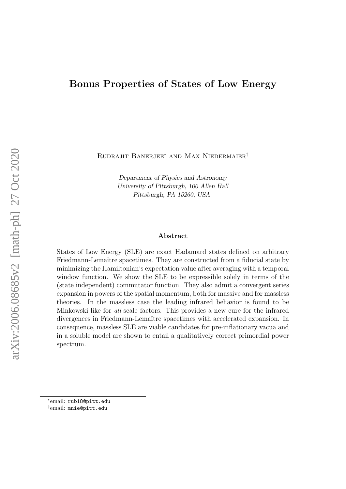## Bonus Properties of States of Low Energy

Rudrajit Banerjee<sup>∗</sup> and Max Niedermaier†

Department of Physics and Astronomy University of Pittsburgh, 100 Allen Hall Pittsburgh, PA 15260, USA

#### Abstract

States of Low Energy (SLE) are exact Hadamard states defined on arbitrary Friedmann-Lemaître spacetimes. They are constructed from a fiducial state by minimizing the Hamiltonian's expectation value after averaging with a temporal window function. We show the SLE to be expressible solely in terms of the (state independent) commutator function. They also admit a convergent series expansion in powers of the spatial momentum, both for massive and for massless theories. In the massless case the leading infrared behavior is found to be Minkowski-like for all scale factors. This provides a new cure for the infrared divergences in Friedmann-Lemaˆıtre spacetimes with accelerated expansion. In consequence, massless SLE are viable candidates for pre-inflationary vacua and in a soluble model are shown to entail a qualitatively correct primordial power spectrum.

† email: mnie@pitt.edu

<sup>∗</sup> email: rub18@pitt.edu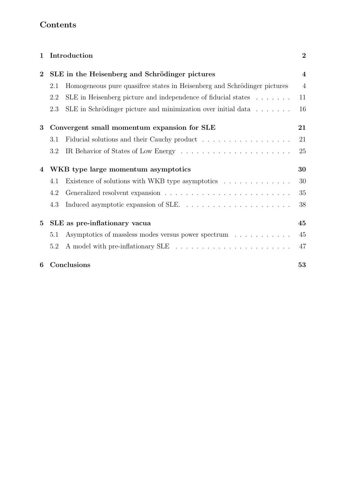# Contents

| $\mathbf{1}$   |                                             | Introduction                                                                | $\overline{2}$          |  |
|----------------|---------------------------------------------|-----------------------------------------------------------------------------|-------------------------|--|
| $\overline{2}$ |                                             | SLE in the Heisenberg and Schrödinger pictures                              | $\overline{\mathbf{4}}$ |  |
|                | 2.1                                         | Homogeneous pure quasifree states in Heisenberg and Schrödinger pictures    | $\overline{4}$          |  |
|                | 2.2                                         | SLE in Heisenberg picture and independence of fiducial states               | 11                      |  |
|                | 2.3                                         | SLE in Schrödinger picture and minimization over initial data $\dots \dots$ | 16                      |  |
| 3              | Convergent small momentum expansion for SLE |                                                                             | 21                      |  |
|                | 3.1                                         | Fiducial solutions and their Cauchy product                                 | 21                      |  |
|                | 3.2                                         |                                                                             | 25                      |  |
| 4              | WKB type large momentum asymptotics         |                                                                             | 30                      |  |
|                | 4.1                                         | Existence of solutions with WKB type asymptotics                            | 30                      |  |
|                | 4.2                                         |                                                                             | 35                      |  |
|                | 4.3                                         |                                                                             | 38                      |  |
| $\bf{5}$       | SLE as pre-inflationary vacua               |                                                                             | 45                      |  |
|                | 5.1                                         | Asymptotics of massless modes versus power spectrum                         | 45                      |  |
|                | 5.2                                         |                                                                             | 47                      |  |
| 6              |                                             | Conclusions                                                                 | 53                      |  |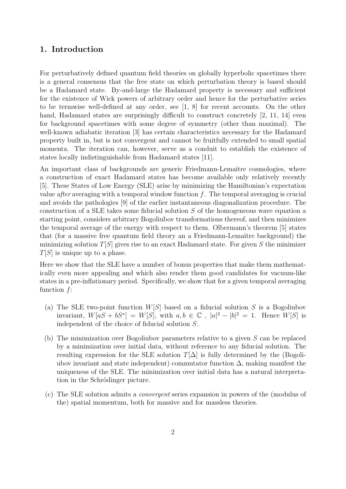## 1. Introduction

For perturbatively defined quantum field theories on globally hyperbolic spacetimes there is a general consensus that the free state on which perturbation theory is based should be a Hadamard state. By-and-large the Hadamard property is necessary and sufficient for the existence of Wick powers of arbitrary order and hence for the perturbative series to be termwise well-defined at any order, see [1, 8] for recent accounts. On the other hand, Hadamard states are surprisingly difficult to construct concretely [2, 11, 14] even for background spacetimes with some degree of symmetry (other than maximal). The well-known adiabatic iteration [3] has certain characteristics necessary for the Hadamard property built in, but is not convergent and cannot be fruitfully extended to small spatial momenta. The iteration can, however, serve as a conduit to establish the existence of states locally indistinguishable from Hadamard states [11].

An important class of backgrounds are generic Friedmann-Lemaître cosmologies, where a construction of exact Hadamard states has become available only relatively recently [5]. These States of Low Energy (SLE) arise by minimizing the Hamiltonian's expectation value *after* averaging with a temporal window function  $f$ . The temporal averaging is crucial and avoids the pathologies [9] of the earlier instantaneous diagonalization procedure. The construction of a SLE takes some fiducial solution S of the homogeneous wave equation a starting point, considers arbitrary Bogoliubov transformations thereof, and then minimizes the temporal average of the energy with respect to them. Olbermann's theorem [5] states that (for a massive free quantum field theory an a Friedmann-Lemaître background) the minimizing solution  $T[S]$  gives rise to an exact Hadamard state. For given S the minimizer  $T[S]$  is unique up to a phase.

Here we show that the SLE have a number of bonus properties that make them mathematically even more appealing and which also render them good candidates for vacuum-like states in a pre-inflationary period. Specifically, we show that for a given temporal averaging function f:

- (a) The SLE two-point function  $W[S]$  based on a fiducial solution S is a Bogoliubov invariant,  $W[aS + bS^*] = W[S],$  with  $a, b \in \mathbb{C}$ ,  $|a|^2 - |b|^2 = 1$ . Hence  $W[S]$  is independent of the choice of fiducial solution S.
- (b) The minimization over Bogoliubov parameters relative to a given S can be replaced by a minimization over initial data, without reference to any fiducial solution. The resulting expression for the SLE solution  $T[\Delta]$  is fully determined by the (Bogoliubov invariant and state independent) commutator function  $\Delta$ , making manifest the uniqueness of the SLE. The minimization over initial data has a natural interpretation in the Schrödinger picture.
- (c) The SLE solution admits a convergent series expansion in powers of the (modulus of the) spatial momentum, both for massive and for massless theories.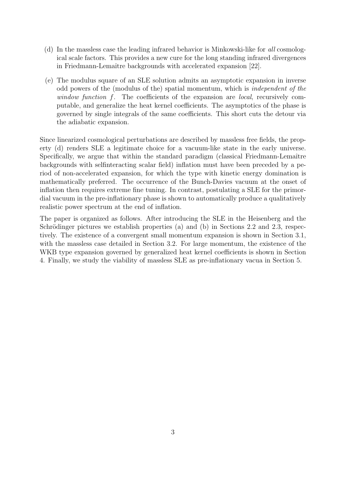- (d) In the massless case the leading infrared behavior is Minkowski-like for all cosmological scale factors. This provides a new cure for the long standing infrared divergences in Friedmann-Lemaître backgrounds with accelerated expansion [22].
- (e) The modulus square of an SLE solution admits an asymptotic expansion in inverse odd powers of the (modulus of the) spatial momentum, which is independent of the window function f. The coefficients of the expansion are local, recursively computable, and generalize the heat kernel coefficients. The asymptotics of the phase is governed by single integrals of the same coefficients. This short cuts the detour via the adiabatic expansion.

Since linearized cosmological perturbations are described by massless free fields, the property (d) renders SLE a legitimate choice for a vacuum-like state in the early universe. Specifically, we argue that within the standard paradigm (classical Friedmann-Lemaître backgrounds with selfinteracting scalar field) inflation must have been preceded by a period of non-accelerated expansion, for which the type with kinetic energy domination is mathematically preferred. The occurrence of the Bunch-Davies vacuum at the onset of inflation then requires extreme fine tuning. In contrast, postulating a SLE for the primordial vacuum in the pre-inflationary phase is shown to automatically produce a qualitatively realistic power spectrum at the end of inflation.

The paper is organized as follows. After introducing the SLE in the Heisenberg and the Schrödinger pictures we establish properties (a) and (b) in Sections 2.2 and 2.3, respectively. The existence of a convergent small momentum expansion is shown in Section 3.1, with the massless case detailed in Section 3.2. For large momentum, the existence of the WKB type expansion governed by generalized heat kernel coefficients is shown in Section 4. Finally, we study the viability of massless SLE as pre-inflationary vacua in Section 5.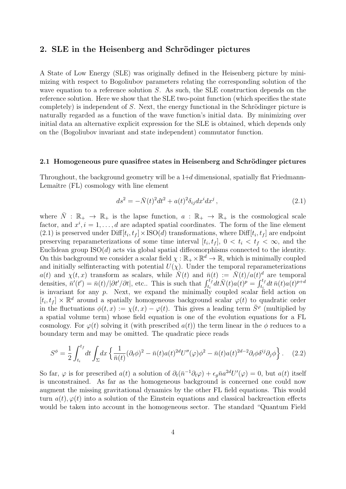## 2. SLE in the Heisenberg and Schrödinger pictures

A State of Low Energy (SLE) was originally defined in the Heisenberg picture by minimizing with respect to Bogoliubov parameters relating the corresponding solution of the wave equation to a reference solution S. As such, the SLE construction depends on the reference solution. Here we show that the SLE two-point function (which specifies the state completely) is independent of  $S$ . Next, the energy functional in the Schrödinger picture is naturally regarded as a function of the wave function's initial data. By minimizing over initial data an alternative explicit expression for the SLE is obtained, which depends only on the (Bogoliubov invariant and state independent) commutator function.

#### 2.1 Homogeneous pure quasifree states in Heisenberg and Schrödinger pictures

Throughout, the background geometry will be a  $1+d$  dimensional, spatially flat Friedmann-Lemaître (FL) cosmology with line element

$$
ds^{2} = -\bar{N}(t)^{2}dt^{2} + a(t)^{2}\delta_{ij}dx^{i}dx^{j}, \qquad (2.1)
$$

where  $\overline{N} : \mathbb{R}_+ \to \mathbb{R}_+$  is the lapse function,  $a : \mathbb{R}_+ \to \mathbb{R}_+$  is the cosmological scale factor, and  $x^i$ ,  $i = 1, \ldots, d$  are adapted spatial coordinates. The form of the line element (2.1) is preserved under  $\text{Diff}[t_i, t_f] \times \text{ISO}(d)$  transformations, where  $\text{Diff}[t_i, t_f]$  are endpoint preserving reparameterizations of some time interval  $[t_i, t_f]$ ,  $0 < t_i < t_f < \infty$ , and the Euclidean group  $ISO(d)$  acts via global spatial diffeomorphisms connected to the identity. On this background we consider a scalar field  $\chi : \mathbb{R}_+ \times \mathbb{R}^d \to \mathbb{R}$ , which is minimally coupled and initially selfinteracting with potential  $U(\chi)$ . Under the temporal reparameterizations  $a(t)$  and  $\chi(t,x)$  transform as scalars, while  $\tilde{\overline{N}}(t)$  and  $\bar{n}(t) := \overline{\overline{N}(t)}/a(t)^d$  are temporal densities,  $\bar{n}'(t') = \bar{n}(t)/|\partial t'/\partial t|$ , etc.. This is such that  $\int_{t_i}^{t_f} dt \bar{N}(t) a(t)^p = \int_{t_i}^{t_f} dt \bar{n}(t) a(t)^{p+d}$ is invariant for any  $p$ . Next, we expand the minimally coupled scalar field action on  $[t_i, t_f] \times \mathbb{R}^d$  around a spatially homogeneous background scalar  $\varphi(t)$  to quadratic order in the fluctuations  $\phi(t,x) := \chi(t,x) - \varphi(t)$ . This gives a leading term  $\bar{S}^{\varphi}$  (multiplied by a spatial volume term) whose field equation is one of the evolution equations for a FL cosmology. For  $\varphi(t)$  solving it (with prescribed  $a(t)$ ) the term linear in the  $\phi$  reduces to a boundary term and may be omitted. The quadratic piece reads

$$
S^{\phi} = \frac{1}{2} \int_{t_i}^{t_f} dt \int_{\Sigma} dx \left\{ \frac{1}{\bar{n}(t)} (\partial_t \phi)^2 - \bar{n}(t) a(t)^{2d} U''(\varphi) \phi^2 - \bar{n}(t) a(t)^{2d-2} \partial_i \phi \delta^{ij} \partial_j \phi \right\}.
$$
 (2.2)

So far,  $\varphi$  is for prescribed  $a(t)$  a solution of  $\partial_t(\bar{n}^{-1}\partial_t\varphi) + \epsilon_g\bar{n}a^{2d}U'(\varphi) = 0$ , but  $a(t)$  itself is unconstrained. As far as the homogeneous background is concerned one could now augment the missing gravitational dynamics by the other FL field equations. This would turn  $a(t)$ ,  $\varphi(t)$  into a solution of the Einstein equations and classical backreaction effects would be taken into account in the homogeneous sector. The standard "Quantum Field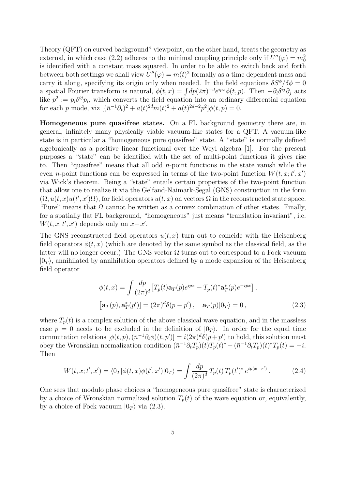Theory (QFT) on curved background" viewpoint, on the other hand, treats the geometry as external, in which case (2.2) adheres to the minimal coupling principle only if  $U''(\varphi) = m_0^2$ is identified with a constant mass squared. In order to be able to switch back and forth between both settings we shall view  $U''(\varphi) = m(t)^2$  formally as a time dependent mass and carry it along, specifying its origin only when needed. In the field equations  $\delta S^{\phi}/\delta \phi = 0$ a spatial Fourier transform is natural,  $\phi(t,x) = \int dp(2\pi)^{-d} e^{ipx} \phi(t,p)$ . Then  $-\partial_i \delta^{ij} \partial_j$  acts like  $p^2 := p_i \delta^{ij} p_i$ , which converts the field equation into an ordinary differential equation for each p mode, viz  $[(\bar{n}^{-1}\partial_t)^2 + a(t)^{2d}m(t)^2 + a(t)^{2d-2}p^2]\phi(t,p) = 0.$ 

Homogeneous pure quasifree states. On a FL background geometry there are, in general, infinitely many physically viable vacuum-like states for a QFT. A vacuum-like state is in particular a "homogeneous pure quasifree" state. A "state" is normally defined algebraically as a positive linear functional over the Weyl algebra [1]. For the present purposes a "state" can be identified with the set of multi-point functions it gives rise to. Then "quasifree" means that all odd  $n$ -point functions in the state vanish while the even *n*-point functions can be expressed in terms of the two-point function  $W(t, x; t', x')$ via Wick's theorem. Being a "state" entails certain properties of the two-point function that allow one to realize it via the Gelfand-Naimark-Segal (GNS) construction in the form  $(\Omega, u(t, x)u(t', x')\Omega)$ , for field operators  $u(t, x)$  on vectors  $\Omega$  in the reconstructed state space. "Pure" means that  $\Omega$  cannot be written as a convex combination of other states. Finally, for a spatially flat FL background, "homogeneous" just means "translation invariant", i.e.  $W(t, x; t', x')$  depends only on  $x-x'$ .

The GNS reconstructed field operators  $u(t, x)$  turn out to coincide with the Heisenberg field operators  $\phi(t, x)$  (which are denoted by the same symbol as the classical field, as the latter will no longer occur.) The GNS vector  $\Omega$  turns out to correspond to a Fock vacuum  $|0_T\rangle$ , annihilated by annihilation operators defined by a mode expansion of the Heisenberg field operator

$$
\phi(t,x) = \int \frac{dp}{(2\pi)^d} \left[ T_p(t)\mathbf{a}_T(p)e^{ipx} + T_p(t)^*\mathbf{a}_T^*(p)e^{-ipx} \right],
$$
  
\n
$$
\left[ \mathbf{a}_T(p), \mathbf{a}_T^*(p') \right] = (2\pi)^d \delta(p - p'), \quad \mathbf{a}_T(p)|0_T\rangle = 0,
$$
\n(2.3)

where  $T_p(t)$  is a complex solution of the above classical wave equation, and in the massless case  $p = 0$  needs to be excluded in the definition of  $|0_T\rangle$ . In order for the equal time commutation relations  $[\phi(t, p), (\bar{n}^{-1}\partial_t \phi)(t, p')] = i(2\pi)^d \delta(p+p')$  to hold, this solution must obey the Wronskian normalization condition  $(\bar{n}^{-1}\partial_t T_p)(t)T_p(t)^* - (\bar{n}^{-1}\partial_t T_p)(t)^*T_p(t) = -i.$ Then

$$
W(t, x; t', x') = \langle 0_T | \phi(t, x) \phi(t', x') | 0_T \rangle = \int \frac{dp}{(2\pi)^d} T_p(t) T_p(t')^* e^{ip(x - x')}.
$$
 (2.4)

One sees that modulo phase choices a "homogeneous pure quasifree" state is characterized by a choice of Wronskian normalized solution  $T_p(t)$  of the wave equation or, equivalently, by a choice of Fock vacuum  $|0_T\rangle$  via  $(2.3)$ .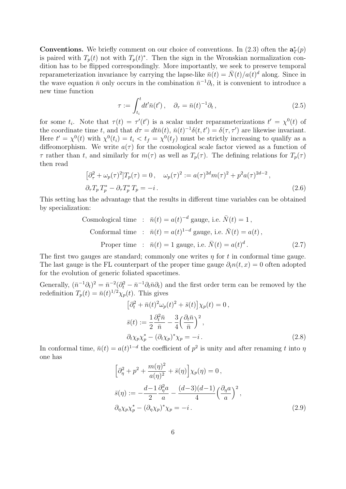**Conventions.** We briefly comment on our choice of conventions. In (2.3) often the  $\mathbf{a}_T^*(p)$ is paired with  $T_p(t)$  not with  $T_p(t)^*$ . Then the sign in the Wronskian normalization condition has to be flipped correspondingly. More importantly, we seek to preserve temporal reparameterization invariance by carrying the lapse-like  $\bar{n}(t) = \bar{N}(t)/a(t)^d$  along. Since in the wave equation  $\bar{n}$  only occurs in the combination  $\bar{n}^{-1}\partial_t$ , it is convenient to introduce a new time function

$$
\tau := \int_{t_i}^t dt' \bar{n}(t'), \quad \partial_\tau = \bar{n}(t)^{-1} \partial_t,
$$
\n(2.5)

for some  $t_i$ . Note that  $\tau(t) = \tau'(t')$  is a scalar under reparameterizations  $t' = \chi^0(t)$  of the coordinate time t, and that  $d\tau = dt\bar{n}(t)$ ,  $\bar{n}(t)^{-1}\delta(t,t') = \delta(\tau,\tau')$  are likewise invariant. Here  $t' = \chi^0(t)$  with  $\chi^0(t_i) = t_i < t_f = \chi^0(t_f)$  must be strictly increasing to qualify as a diffeomorphism. We write  $a(\tau)$  for the cosmological scale factor viewed as a function of  $\tau$  rather than t, and similarly for  $m(\tau)$  as well as  $T_p(\tau)$ . The defining relations for  $T_p(\tau)$ then read

$$
\left[\partial_{\tau}^{2} + \omega_{p}(\tau)^{2}\right]T_{p}(\tau) = 0, \quad \omega_{p}(\tau)^{2} := a(\tau)^{2d}m(\tau)^{2} + p^{2}a(\tau)^{2d-2},
$$
\n
$$
\partial_{\tau}T_{p}T_{p}^{*} - \partial_{\tau}T_{p}^{*}T_{p} = -i.
$$
\n(2.6)

This setting has the advantage that the results in different time variables can be obtained by specialization:

Cosmological time : 
$$
\bar{n}(t) = a(t)^{-d}
$$
 gauge, i.e.  $\bar{N}(t) = 1$ ,  
Conformal time :  $\bar{n}(t) = a(t)^{1-d}$  gauge, i.e.  $\bar{N}(t) = a(t)$ ,  
Proper time :  $\bar{n}(t) = 1$  gauge, i.e.  $\bar{N}(t) = a(t)^d$ . (2.7)

The first two gauges are standard; commonly one writes  $\eta$  for t in conformal time gauge. The last gauge is the FL counterpart of the proper time gauge  $\partial_t n(t, x) = 0$  often adopted for the evolution of generic foliated spacetimes.

Generally,  $(\bar{n}^{-1}\partial_t)^2 = \bar{n}^{-2}(\partial_t^2 - \bar{n}^{-1}\partial_t\bar{n}\partial_t)$  and the first order term can be removed by the redefinition  $T_p(t) = \bar{n}(t)^{1/2} \chi_p(t)$ . This gives

$$
\left[\partial_t^2 + \bar{n}(t)^2 \omega_p(t)^2 + \bar{s}(t)\right] \chi_p(t) = 0,
$$
  
\n
$$
\bar{s}(t) := \frac{1}{2} \frac{\partial_t^2 \bar{n}}{\bar{n}} - \frac{3}{4} \left(\frac{\partial_t \bar{n}}{\bar{n}}\right)^2,
$$
  
\n
$$
\partial_t \chi_p \chi_p^* - (\partial_t \chi_p)^* \chi_p = -i.
$$
\n(2.8)

In conformal time,  $\bar{n}(t) = a(t)^{1-d}$  the coefficient of  $p^2$  is unity and after renaming t into  $\eta$ one has

$$
\left[\partial_{\eta}^{2} + p^{2} + \frac{m(\eta)^{2}}{a(\eta)^{2}} + \bar{s}(\eta)\right]\chi_{p}(\eta) = 0,
$$
  
\n
$$
\bar{s}(\eta) := -\frac{d-1}{2}\frac{\partial_{\eta}^{2}a}{a} - \frac{(d-3)(d-1)}{4}\left(\frac{\partial_{\eta}a}{a}\right)^{2},
$$
  
\n
$$
\partial_{\eta}\chi_{p}\chi_{p}^{*} - (\partial_{\eta}\chi_{p})^{*}\chi_{p} = -i.
$$
\n(2.9)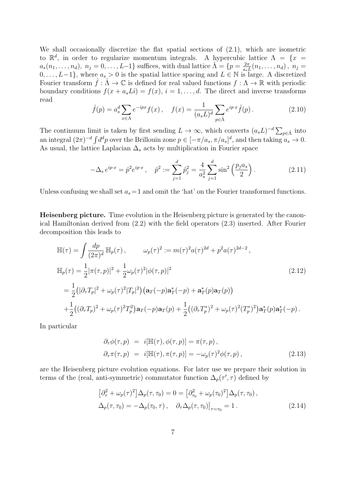We shall occasionally discretize the flat spatial sections of (2.1), which are isometric to  $\mathbb{R}^d$ , in order to regularize momentum integrals. A hypercubic lattice  $\Lambda = \{x =$  $a_s(n_1,\ldots,n_d),\ n_j=0,\ldots,L-1\}$  suffices, with dual lattice  $\hat{\Lambda}=\{p=\frac{2\pi}{a_s}\}$  $\frac{2\pi}{a_s L}(n_1,\ldots,n_d),\ n_j=$  $0, \ldots, L-1$ , where  $a_s > 0$  is the spatial lattice spacing and  $L \in \mathbb{N}$  is large. A discretized Fourier transform  $\hat{f} : \hat{\Lambda} \to \mathbb{C}$  is defined for real valued functions  $f : \Lambda \to \mathbb{R}$  with periodic boundary conditions  $f(x + a_sL\hat{i}) = f(x), i = 1, ..., d$ . The direct and inverse transforms read

$$
\hat{f}(p) = a_s^d \sum_{x \in \Lambda} e^{-ipx} f(x), \quad f(x) = \frac{1}{(a_s L)^d} \sum_{p \in \hat{\Lambda}} e^{ip \cdot x} \hat{f}(p).
$$
\n(2.10)

The continuum limit is taken by first sending  $L \to \infty$ , which converts  $(a_s L)^{-d} \sum_{p \in \hat{\Lambda}}$  into an integral  $(2\pi)^{-d} \int d^d p$  over the Brillouin zone  $p \in [-\pi/a_s, \pi/a_s]^d$ , and then taking  $a_s \to 0$ . As usual, the lattice Laplacian  $\Delta_s$  acts by multiplication in Fourier space

$$
-\Delta_s e^{ip\cdot x} = \hat{p}^2 e^{ip\cdot x}, \quad \hat{p}^2 := \sum_{j=1}^d \hat{p}_j^2 = \frac{4}{a_s^2} \sum_{j=1}^d \sin^2\left(\frac{p_j a_s}{2}\right). \tag{2.11}
$$

Unless confusing we shall set  $a_s = 1$  and omit the 'hat' on the Fourier transformed functions.

Heisenberg picture. Time evolution in the Heisenberg picture is generated by the canonical Hamiltonian derived from (2.2) with the field operators (2.3) inserted. After Fourier decomposition this leads to

$$
\mathbb{H}(\tau) = \int \frac{dp}{(2\pi)^d} \mathbb{H}_p(\tau), \qquad \omega_p(\tau)^2 := m(\tau)^2 a(\tau)^{2d} + p^2 a(\tau)^{2d-2},
$$
\n
$$
\mathbb{H}_p(\tau) = \frac{1}{2} |\pi(\tau, p)|^2 + \frac{1}{2} \omega_p(\tau)^2 |\phi(\tau, p)|^2
$$
\n
$$
= \frac{1}{2} (|\partial_\tau T_p|^2 + \omega_p(\tau)^2 |T_p|^2) (\mathbf{a}_T(-p)\mathbf{a}_T^*(-p) + \mathbf{a}_T^*(p)\mathbf{a}_T(p))
$$
\n
$$
+ \frac{1}{2} ((\partial_\tau T_p)^2 + \omega_p(\tau)^2 T_p^2) \mathbf{a}_T(-p)\mathbf{a}_T(p) + \frac{1}{2} ((\partial_\tau T_p^*)^2 + \omega_p(\tau)^2 (T_p^*)^2) \mathbf{a}_T^*(p)\mathbf{a}_T^*(-p).
$$
\n(2.12)

In particular

$$
\partial_{\tau} \phi(\tau, p) = i[\mathbb{H}(\tau), \phi(\tau, p)] = \pi(\tau, p), \n\partial_{\tau} \pi(\tau, p) = i[\mathbb{H}(\tau), \pi(\tau, p)] = -\omega_p(\tau)^2 \phi(\tau, p),
$$
\n(2.13)

are the Heisenberg picture evolution equations. For later use we prepare their solution in terms of the (real, anti-symmetric) commutator function  $\Delta_p(\tau', \tau)$  defined by

$$
\left[\partial_{\tau}^{2} + \omega_{p}(\tau)^{2}\right] \Delta_{p}(\tau, \tau_{0}) = 0 = \left[\partial_{\tau_{0}}^{2} + \omega_{p}(\tau_{0})^{2}\right] \Delta_{p}(\tau, \tau_{0}),
$$
  

$$
\Delta_{p}(\tau, \tau_{0}) = -\Delta_{p}(\tau_{0}, \tau), \quad \partial_{\tau} \Delta_{p}(\tau, \tau_{0})\big|_{\tau = \tau_{0}} = 1.
$$
 (2.14)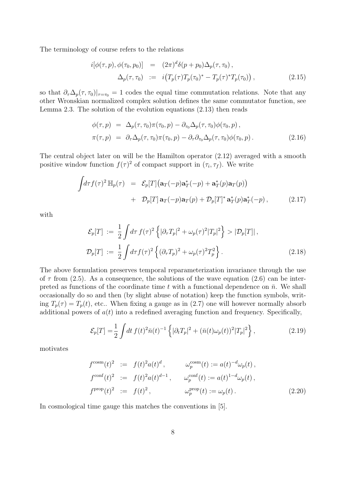The terminology of course refers to the relations

$$
i[\phi(\tau, p), \phi(\tau_0, p_0)] = (2\pi)^d \delta(p + p_0) \Delta_p(\tau, \tau_0),
$$
  
\n
$$
\Delta_p(\tau, \tau_0) := i(T_p(\tau) T_p(\tau_0)^* - T_p(\tau)^* T_p(\tau_0)),
$$
\n(2.15)

so that  $\partial_{\tau}\Delta_p(\tau,\tau_0)|_{\tau=\tau_0}=1$  codes the equal time commutation relations. Note that any other Wronskian normalized complex solution defines the same commutator function, see Lemma 2.3. The solution of the evolution equations (2.13) then reads

$$
\begin{array}{rcl}\n\phi(\tau,p) & = & \Delta_p(\tau,\tau_0)\pi(\tau_0,p) - \partial_{\tau_0}\Delta_p(\tau,\tau_0)\phi(\tau_0,p) \,, \\
\pi(\tau,p) & = & \partial_\tau\Delta_p(\tau,\tau_0)\pi(\tau_0,p) - \partial_\tau\partial_{\tau_0}\Delta_p(\tau,\tau_0)\phi(\tau_0,p) \,.\n\end{array} \tag{2.16}
$$

The central object later on will be the Hamilton operator (2.12) averaged with a smooth positive window function  $f(\tau)^2$  of compact support in  $(\tau_i, \tau_f)$ . We write

$$
\int d\tau f(\tau)^2 \mathbb{H}_p(\tau) = \mathcal{E}_p[T] \left( \mathbf{a}_T(-p) \mathbf{a}_T^*(-p) + \mathbf{a}_T^*(p) \mathbf{a}_T(p) \right) + \mathcal{D}_p[T] \mathbf{a}_T(-p) \mathbf{a}_T(p) + \mathcal{D}_p[T]^* \mathbf{a}_T^*(p) \mathbf{a}_T^*(-p) ,
$$
 (2.17)

with

$$
\mathcal{E}_p[T] := \frac{1}{2} \int d\tau f(\tau)^2 \left\{ |\partial_\tau T_p|^2 + \omega_p(\tau)^2 |T_p|^2 \right\} > |\mathcal{D}_p[T]|,
$$
  

$$
\mathcal{D}_p[T] := \frac{1}{2} \int d\tau f(\tau)^2 \left\{ (\partial_\tau T_p)^2 + \omega_p(\tau)^2 T_p^2 \right\}.
$$
 (2.18)

The above formulation preserves temporal reparameterization invariance through the use of  $\tau$  from (2.5). As a consequence, the solutions of the wave equation (2.6) can be interpreted as functions of the coordinate time t with a functional dependence on  $\bar{n}$ . We shall occasionally do so and then (by slight abuse of notation) keep the function symbols, writing  $T_p(\tau) = T_p(t)$ , etc.. When fixing a gauge as in (2.7) one will however normally absorb additional powers of  $a(t)$  into a redefined averaging function and frequency. Specifically,

$$
\mathcal{E}_p[T] = \frac{1}{2} \int dt f(t)^2 \bar{n}(t)^{-1} \left\{ |\partial_t T_p|^2 + (\bar{n}(t)\omega_p(t))^2 |T_p|^2 \right\},\tag{2.19}
$$

motivates

$$
f^{\text{cosm}}(t)^{2} := f(t)^{2} a(t)^{d}, \qquad \omega_{p}^{\text{cosm}}(t) := a(t)^{-d} \omega_{p}(t),
$$
  
\n
$$
f^{\text{conf}}(t)^{2} := f(t)^{2} a(t)^{d-1}, \qquad \omega_{p}^{\text{conf}}(t) := a(t)^{1-d} \omega_{p}(t),
$$
  
\n
$$
f^{\text{prop}}(t)^{2} := f(t)^{2}, \qquad \omega_{p}^{\text{prop}}(t) := \omega_{p}(t).
$$
\n(2.20)

In cosmological time gauge this matches the conventions in [5].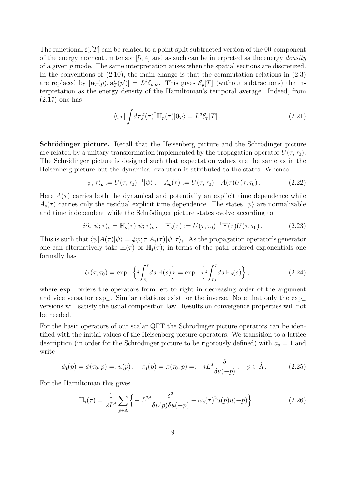The functional  $\mathcal{E}_p[T]$  can be related to a point-split subtracted version of the 00-component of the energy momentum tensor  $[5, 4]$  and as such can be interpreted as the energy *density* of a given  $p$  mode. The same interpretation arises when the spatial sections are discretized. In the conventions of  $(2.10)$ , the main change is that the commutation relations in  $(2.3)$ are replaced by  $[\mathbf{a}_T(p), \mathbf{a}_T^*(p')] = L^d \delta_{p,p'}$ . This gives  $\mathcal{E}_p[T]$  (without subtractions) the interpretation as the energy density of the Hamiltonian's temporal average. Indeed, from (2.17) one has

$$
\langle 0_T | \int d\tau f(\tau)^2 \mathbb{H}_p(\tau) | 0_T \rangle = L^d \mathcal{E}_p[T]. \qquad (2.21)
$$

Schrödinger picture. Recall that the Heisenberg picture and the Schrödinger picture are related by a unitary transformation implemented by the propagation operator  $U(\tau, \tau_0)$ . The Schrödinger picture is designed such that expectation values are the same as in the Heisenberg picture but the dynamical evolution is attributed to the states. Whence

$$
|\psi;\tau\rangle_{\mathsf{s}} := U(\tau,\tau_0)^{-1}|\psi\rangle\,,\quad A_{\mathsf{s}}(\tau) := U(\tau,\tau_0)^{-1}A(\tau)U(\tau,\tau_0)\,.
$$

Here  $A(\tau)$  carries both the dynamical and potentially an explicit time dependence while  $A_{s}(\tau)$  carries only the residual explicit time dependence. The states  $|\psi\rangle$  are normalizable and time independent while the Schrödinger picture states evolve according to

$$
i\partial_{\tau}|\psi;\tau\rangle_{\mathsf{s}} = \mathbb{H}_{\mathsf{s}}(\tau)|\psi;\tau\rangle_{\mathsf{s}}, \quad \mathbb{H}_{\mathsf{s}}(\tau) := U(\tau,\tau_0)^{-1}\mathbb{H}(\tau)U(\tau,\tau_0). \tag{2.23}
$$

This is such that  $\langle \psi | A(\tau) | \psi \rangle = \zeta \psi; \tau | A_{\mathsf{s}}(\tau) | \psi; \tau \rangle_{\mathsf{s}}$ . As the propagation operator's generator one can alternatively take  $\mathbb{H}(\tau)$  or  $\mathbb{H}_{s}(\tau)$ ; in terms of the path ordered exponentials one formally has

$$
U(\tau, \tau_0) = \exp_+\left\{i \int_{\tau_0}^{\tau} ds \, \mathbb{H}(s)\right\} = \exp_-\left\{i \int_{\tau_0}^{\tau} ds \, \mathbb{H}_{\mathsf{s}}(s)\right\},\tag{2.24}
$$

where  $\exp_{+}$  orders the operators from left to right in decreasing order of the argument and vice versa for exp\_. Similar relations exist for the inverse. Note that only the  $\exp_+$ versions will satisfy the usual composition law. Results on convergence properties will not be needed.

For the basic operators of our scalar QFT the Schrödinger picture operators can be identified with the initial values of the Heisenberg picture operators. We transition to a lattice description (in order for the Schrödinger picture to be rigorously defined) with  $a_s = 1$  and write

$$
\phi_{\mathsf{s}}(p) = \phi(\tau_0, p) =: u(p), \quad \pi_{\mathsf{s}}(p) = \pi(\tau_0, p) =: -iL^d \frac{\delta}{\delta u(-p)}, \quad p \in \hat{\Lambda}.
$$
 (2.25)

For the Hamiltonian this gives

$$
\mathbb{H}_{\mathsf{s}}(\tau) = \frac{1}{2L^d} \sum_{p \in \hat{\Lambda}} \left\{ -L^{2d} \frac{\delta^2}{\delta u(p)\delta u(-p)} + \omega_p(\tau)^2 u(p) u(-p) \right\}.
$$
 (2.26)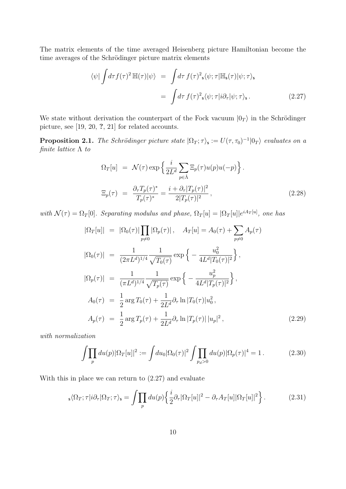The matrix elements of the time averaged Heisenberg picture Hamiltonian become the time averages of the Schrödinger picture matrix elements

$$
\langle \psi | \int d\tau f(\tau)^2 \mathbb{H}(\tau) | \psi \rangle = \int d\tau f(\tau)^2 \mathbf{s} \langle \psi; \tau | \mathbb{H}_{\mathbf{s}}(\tau) | \psi; \tau \rangle_{\mathbf{s}} = \int d\tau f(\tau)^2 \mathbf{s} \langle \psi; \tau | i \partial_{\tau} | \psi; \tau \rangle_{\mathbf{s}}.
$$
 (2.27)

We state without derivation the counterpart of the Fock vacuum  $|0_T\rangle$  in the Schrödinger picture, see [19, 20, ?, 21] for related accounts.

**Proposition 2.1.** The Schrödinger picture state  $|\Omega_T; \tau \rangle_s := U(\tau, \tau_0)^{-1} |0_T\rangle$  evaluates on a finite lattice  $\Lambda$  to

$$
\Omega_T[u] = \mathcal{N}(\tau) \exp\left\{\frac{i}{2L^d} \sum_{p \in \hat{\Lambda}} \Xi_p(\tau) u(p) u(-p)\right\}.
$$
  

$$
\Xi_p(\tau) = \frac{\partial_\tau T_p(\tau)^*}{T_p(\tau)^*} = \frac{i + \partial_\tau |T_p(\tau)|^2}{2|T_p(\tau)|^2},
$$
 (2.28)

with  $\mathcal{N}(\tau) = \Omega_T[0]$ . Separating modulus and phase,  $\Omega_T[u] = |\Omega_T[u]|e^{iA_T[u]}$ , one has

$$
|\Omega_T[u]| = |\Omega_0(\tau)| \prod_{p \neq 0} |\Omega_p(\tau)|, \quad A_T[u] = A_0(\tau) + \sum_{p \neq 0} A_p(\tau)
$$
  
\n
$$
|\Omega_0(\tau)| = \frac{1}{(2\pi L^d)^{1/4}} \frac{1}{\sqrt{T_0(\tau)}} \exp\left\{-\frac{u_0^2}{4L^d |T_0(\tau)|^2}\right\},
$$
  
\n
$$
|\Omega_p(\tau)| = \frac{1}{(\pi L^d)^{1/4}} \frac{1}{\sqrt{T_p(\tau)}} \exp\left\{-\frac{u_p^2}{4L^d |T_p(\tau)|^2}\right\},
$$
  
\n
$$
A_0(\tau) = \frac{1}{2} \arg T_0(\tau) + \frac{1}{2L^d} \partial_\tau \ln |T_0(\tau)| u_0^2,
$$
  
\n
$$
A_p(\tau) = \frac{1}{2} \arg T_p(\tau) + \frac{1}{2L^d} \partial_\tau \ln |T_p(\tau)| |u_p|^2,
$$
\n(2.29)

with normalization

$$
\int \prod_{p} du(p) |\Omega_T[u]|^2 := \int du_0 |\Omega_0(\tau)|^2 \int \prod_{p_d>0} du(p) |\Omega_p(\tau)|^4 = 1.
$$
 (2.30)

With this in place we can return to (2.27) and evaluate

$$
{}_{\mathsf{s}}\langle\Omega_T;\tau|i\partial_{\tau}|\Omega_T;\tau\rangle_{\mathsf{s}} = \int \prod_p du(p) \left\{ \frac{i}{2} \partial_{\tau} |\Omega_T[u]|^2 - \partial_{\tau} A_T[u] |\Omega_T[u]|^2 \right\}.
$$
 (2.31)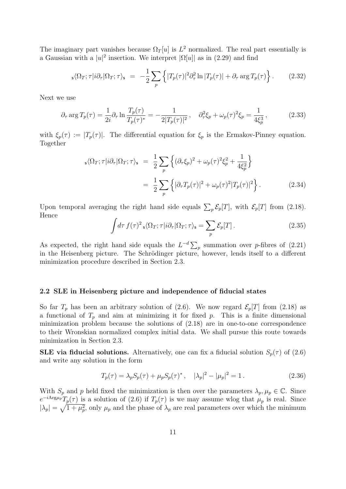The imaginary part vanishes because  $\Omega_T[u]$  is  $L^2$  normalized. The real part essentially is a Gaussian with a  $|u|^2$  insertion. We interpret  $|\Omega[u]|$  as in (2.29) and find

$$
s\langle \Omega_T; \tau | i \partial_\tau | \Omega_T; \tau \rangle_s = -\frac{1}{2} \sum_p \left\{ |T_p(\tau)|^2 \partial_\tau^2 \ln |T_p(\tau)| + \partial_\tau \arg T_p(\tau) \right\}.
$$
 (2.32)

Next we use

$$
\partial_{\tau} \arg T_p(\tau) = \frac{1}{2i} \partial_{\tau} \ln \frac{T_p(\tau)}{T_p(\tau)^*} = -\frac{1}{2|T_p(\tau)|^2} \,, \quad \partial_{\tau}^2 \xi_p + \omega_p(\tau)^2 \xi_p = \frac{1}{4\xi_p^3} \,, \tag{2.33}
$$

with  $\xi_p(\tau) := |T_p(\tau)|$ . The differential equation for  $\xi_p$  is the Ermakov-Pinney equation. Together

$$
\begin{split} \mathbf{s} \langle \Omega_T; \tau | i \partial_\tau | \Omega_T; \tau \rangle_{\mathbf{s}} &= \frac{1}{2} \sum_p \left\{ (\partial_\tau \xi_p)^2 + \omega_p(\tau)^2 \xi_p^2 + \frac{1}{4 \xi_p^2} \right\} \\ &= \frac{1}{2} \sum_p \left\{ |\partial_\tau T_p(\tau)|^2 + \omega_p(\tau)^2 |T_p(\tau)|^2 \right\}. \end{split} \tag{2.34}
$$

Upon temporal averaging the right hand side equals  $\sum_{p} \mathcal{E}_p[T]$ , with  $\mathcal{E}_p[T]$  from (2.18). Hence

$$
\int d\tau \, f(\tau)^2 \, \mathbf{s} \langle \Omega_T; \tau | i \partial_\tau | \Omega_T; \tau \rangle_{\mathbf{s}} = \sum_p \mathcal{E}_p[T] \,. \tag{2.35}
$$

As expected, the right hand side equals the  $L^{-d}\sum_{p}$  summation over p-fibres of (2.21) in the Heisenberg picture. The Schrödinger picture, however, lends itself to a different minimization procedure described in Section 2.3.

#### 2.2 SLE in Heisenberg picture and independence of fiducial states

So far  $T_p$  has been an arbitrary solution of (2.6). We now regard  $\mathcal{E}_p[T]$  from (2.18) as a functional of  $T_p$  and aim at minimizing it for fixed p. This is a finite dimensional minimization problem because the solutions of (2.18) are in one-to-one correspondence to their Wronskian normalized complex initial data. We shall pursue this route towards minimization in Section 2.3.

**SLE via fiducial solutions.** Alternatively, one can fix a fiducial solution  $S_p(\tau)$  of (2.6) and write any solution in the form

$$
T_p(\tau) = \lambda_p S_p(\tau) + \mu_p S_p(\tau)^*, \quad |\lambda_p|^2 - |\mu_p|^2 = 1. \tag{2.36}
$$

With  $S_p$  and p held fixed the minimization is then over the parameters  $\lambda_p, \mu_p \in \mathbb{C}$ . Since  $e^{-iArg\mu_p}T_p(\tau)$  is a solution of (2.6) if  $T_p(\tau)$  is we may assume wlog that  $\mu_p$  is real. Since  $|\lambda_p| = \sqrt{1 + \mu_p^2}$ , only  $\mu_p$  and the phase of  $\lambda_p$  are real parameters over which the minimum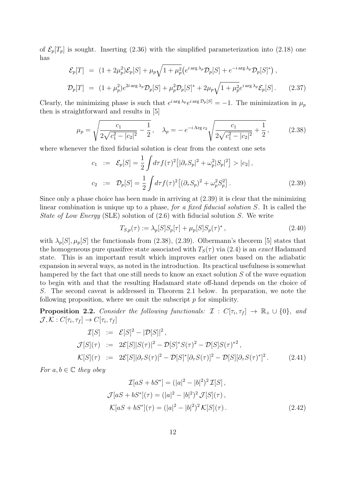of  $\mathcal{E}_p[T_p]$  is sought. Inserting (2.36) with the simplified parameterization into (2.18) one has

$$
\mathcal{E}_p[T] = (1 + 2\mu_p^2)\mathcal{E}_p[S] + \mu_p\sqrt{1 + \mu_p^2} \left(e^{i \arg \lambda_p} \mathcal{D}_p[S] + e^{-i \arg \lambda_p} \mathcal{D}_p[S]^* \right),
$$
  

$$
\mathcal{D}_p[T] = (1 + \mu_p^2)e^{2i \arg \lambda_p} \mathcal{D}_p[S] + \mu_p^2 \mathcal{D}_p[S]^* + 2\mu_p\sqrt{1 + \mu_p^2}e^{i \arg \lambda_p} \mathcal{E}_p[S].
$$
 (2.37)

Clearly, the minimizing phase is such that  $e^{i \arg \lambda_p} e^{i \arg \mathcal{D}_p[S]} = -1$ . The minimization in  $\mu_p$ then is straightforward and results in [5]

$$
\mu_p = \sqrt{\frac{c_1}{2\sqrt{c_1^2 - |c_2|^2}} - \frac{1}{2}}, \quad \lambda_p = -e^{-i \text{Arg } c_2} \sqrt{\frac{c_1}{2\sqrt{c_1^2 - |c_2|^2}} + \frac{1}{2}},\tag{2.38}
$$

where whenever the fixed fiducial solution is clear from the context one sets

$$
c_1 := \mathcal{E}_p[S] = \frac{1}{2} \int d\tau f(\tau)^2 \left[ |\partial_\tau S_p|^2 + \omega_p^2 |S_p|^2 \right] > |c_2|,
$$
  
\n
$$
c_2 := \mathcal{D}_p[S] = \frac{1}{2} \int d\tau f(\tau)^2 \left[ (\partial_\tau S_p)^2 + \omega_p^2 S_p^2 \right].
$$
\n(2.39)

Since only a phase choice has been made in arriving at (2.39) it is clear that the minimizing linear combination is unique up to a phase, for a fixed fiducial solution  $S$ . It is called the State of Low Energy (SLE) solution of  $(2.6)$  with fiducial solution S. We write

$$
T_{S,p}(\tau) := \lambda_p[S]S_p[\tau] + \mu_p[S]S_p(\tau)^*,
$$
\n(2.40)

with  $\lambda_p[S], \mu_p[S]$  the functionals from (2.38), (2.39). Olbermann's theorem [5] states that the homogeneous pure quasifree state associated with  $T<sub>S</sub>(\tau)$  via (2.4) is an exact Hadamard state. This is an important result which improves earlier ones based on the adiabatic expansion in several ways, as noted in the introduction. Its practical usefulness is somewhat hampered by the fact that one still needs to know an exact solution S of the wave equation to begin with and that the resulting Hadamard state off-hand depends on the choice of S. The second caveat is addressed in Theorem 2.1 below. In preparation, we note the following proposition, where we omit the subscript  $p$  for simplicity.

**Proposition 2.2.** Consider the following functionals:  $\mathcal{I}: C[\tau_i, \tau_f] \to \mathbb{R}_+ \cup \{0\}$ , and  $\mathcal{J}, \mathcal{K}: C[\tau_i, \tau_f] \to C[\tau_i, \tau_f]$ 

$$
\mathcal{I}[S] := \mathcal{E}[S]^2 - |\mathcal{D}[S]|^2,
$$
  
\n
$$
\mathcal{J}[S](\tau) := 2\mathcal{E}[S||S(\tau)|^2 - \mathcal{D}[S]^*S(\tau)^2 - \mathcal{D}[S]S(\tau)^{*2},
$$
  
\n
$$
\mathcal{K}[S](\tau) := 2\mathcal{E}[S]|\partial_{\tau}S(\tau)|^2 - \mathcal{D}[S]^*[\partial_{\tau}S(\tau)]^2 - \mathcal{D}[S][\partial_{\tau}S(\tau)^*]^2.
$$
\n(2.41)

For  $a, b \in \mathbb{C}$  they obey

$$
\mathcal{I}[aS + bS^*] = (|a|^2 - |b|^2)^2 \mathcal{I}[S],
$$
  
\n
$$
\mathcal{J}[aS + bS^*](\tau) = (|a|^2 - |b|^2)^2 \mathcal{J}[S](\tau),
$$
  
\n
$$
\mathcal{K}[aS + bS^*](\tau) = (|a|^2 - |b|^2)^2 \mathcal{K}[S](\tau).
$$
\n(2.42)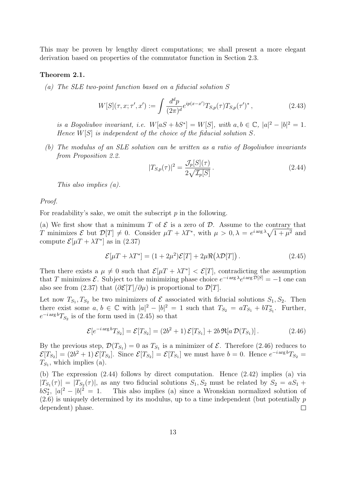This may be proven by lengthy direct computations; we shall present a more elegant derivation based on properties of the commutator function in Section 2.3.

#### Theorem 2.1.

(a) The SLE two-point function based on a fiducial solution S

$$
W[S](\tau, x; \tau', x') := \int \frac{d^d p}{(2\pi)^d} e^{ip(x - x')} T_{S, p}(\tau) T_{S, p}(\tau')^*,
$$
\n(2.43)

is a Bogoliubov invariant, i.e.  $W[aS + bS^*] = W[S],$  with  $a, b \in \mathbb{C}, |a|^2 - |b|^2 = 1$ . Hence  $W[S]$  is independent of the choice of the fiducial solution S.

(b) The modulus of an SLE solution can be written as a ratio of Bogoliubov invariants from Proposition 2.2.

$$
|T_{S,p}(\tau)|^2 = \frac{\mathcal{J}_p[S](\tau)}{2\sqrt{\mathcal{I}_p[S]}}.
$$
\n(2.44)

This also implies (a).

Proof.

For readability's sake, we omit the subscript  $p$  in the following.

(a) We first show that a minimum T of  $\mathcal E$  is a zero of  $\mathcal D$ . Assume to the contrary that T minimizes  $\mathcal E$  but  $\mathcal D[T] \neq 0$ . Consider  $\mu T + \lambda T^*$ , with  $\mu > 0$ ,  $\lambda = e^{i \arg \lambda} \sqrt{1 + \mu^2}$  and compute  $\mathcal{E}[\mu T + \lambda T^*]$  as in (2.37)

$$
\mathcal{E}[\mu T + \lambda T^*] = (1 + 2\mu^2)\mathcal{E}[T] + 2\mu \Re(\lambda \mathcal{D}[T]). \qquad (2.45)
$$

Then there exists a  $\mu \neq 0$  such that  $\mathcal{E}[\mu T + \lambda T^*] < \mathcal{E}[T]$ , contradicting the assumption that T minimizes  $\mathcal{E}$ . Subject to the minimizing phase choice  $e^{-i \arg \lambda} e^{i \arg \mathcal{D}[S]} = -1$  one can also see from (2.37) that  $(\partial \mathcal{E}[T]/\partial \mu)$  is proportional to  $\mathcal{D}[T]$ .

Let now  $T_{S_1}, T_{S_2}$  be two minimizers of  $\mathcal E$  associated with fiducial solutions  $S_1, S_2$ . Then there exist some  $a, b \in \mathbb{C}$  with  $|a|^2 - |b|^2 = 1$  such that  $T_{S_2} = aT_{S_1} + bT_{S_1}^*$ . Further,  $e^{-i\arg b}T_{S_2}$  is of the form used in (2.45) so that

$$
\mathcal{E}[e^{-i\arg b}T_{S_2}] = \mathcal{E}[T_{S_2}] = (2b^2 + 1)\mathcal{E}[T_{S_1}] + 2b\Re[a\,\mathcal{D}(T_{S_1})].\tag{2.46}
$$

By the previous step,  $\mathcal{D}(T_{S_1}) = 0$  as  $T_{S_1}$  is a minimizer of  $\mathcal{E}$ . Therefore (2.46) reduces to  $\mathcal{E}[T_{S_2}] = (2b^2 + 1)\,\mathcal{E}[T_{S_2}].$  Since  $\mathcal{E}[T_{S_2}] = \mathcal{E}[T_{S_1}]$  we must have  $b = 0$ . Hence  $e^{-i \arg b} T_{S_2} =$  $T_{S_1}$ , which implies (a).

(b) The expression (2.44) follows by direct computation. Hence (2.42) implies (a) via  $|T_{S_1}(\tau)| = |T_{S_2}(\tau)|$ , as any two fiducial solutions  $S_1, S_2$  must be related by  $S_2 = aS_1 + bS_2$  $bS_2^*$ ,  $|a|^2 - |b|^2 = 1$ . This also implies (a) since a Wronskian normalized solution of  $(2.6)$  is uniquely determined by its modulus, up to a time independent (but potentially  $p$ dependent) phase.  $\Box$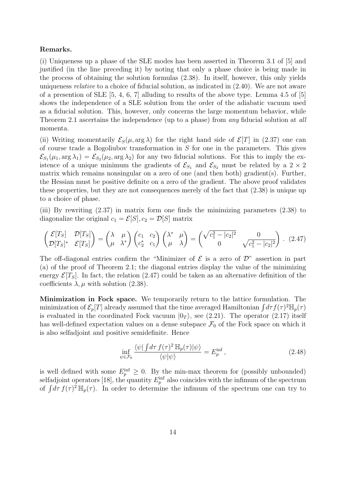#### Remarks.

(i) Uniqueness up a phase of the SLE modes has been asserted in Theorem 3.1 of [5] and justified (in the line preceding it) by noting that only a phase choice is being made in the process of obtaining the solution formulas (2.38). In itself, however, this only yields uniqueness relative to a choice of fiducial solution, as indicated in (2.40). We are not aware of a presention of SLE [5, 4, 6, 7] alluding to results of the above type. Lemma 4.5 of [5] shows the independence of a SLE solution from the order of the adiabatic vacuum used as a fiducial solution. This, however, only concerns the large momentum behavior, while Theorem 2.1 ascertains the independence (up to a phase) from *any* fiducial solution at *all* momenta.

(ii) Writing momentarily  $\mathcal{E}_S(\mu, \arg \lambda)$  for the right hand side of  $\mathcal{E}[T]$  in (2.37) one can of course trade a Bogoliubov transformation in S for one in the parameters. This gives  $\mathcal{E}_{S_1}(\mu_1, \arg \lambda_1) = \mathcal{E}_{S_2}(\mu_2, \arg \lambda_2)$  for any two fiducial solutions. For this to imply the existence of a unique minimum the gradients of  $\mathcal{E}_{S_1}$  and  $\mathcal{E}_{S_2}$  must be related by a 2 × 2 matrix which remains nonsingular on a zero of one (and then both) gradient(s). Further, the Hessian must be positive definite on a zero of the gradient. The above proof validates these properties, but they are not consequences merely of the fact that (2.38) is unique up to a choice of phase.

(iii) By rewriting (2.37) in matrix form one finds the minimizing parameters (2.38) to diagonalize the original  $c_1 = \mathcal{E}[S], c_2 = \mathcal{D}[S]$  matrix

$$
\begin{pmatrix}\n\mathcal{E}[T_S] & \mathcal{D}[T_S] \\
\mathcal{D}[T_S]^* & \mathcal{E}[T_S]\n\end{pmatrix} = \begin{pmatrix}\n\lambda & \mu \\
\mu & \lambda^*\n\end{pmatrix} \begin{pmatrix}\nc_1 & c_2 \\
c_2^* & c_1\n\end{pmatrix} \begin{pmatrix}\n\lambda^* & \mu \\
\mu & \lambda\n\end{pmatrix} = \begin{pmatrix}\n\sqrt{c_1^2 - |c_2|^2} & 0 \\
0 & \sqrt{c_1^2 - |c_2|^2}\n\end{pmatrix} . (2.47)
$$

The off-diagonal entries confirm the "Minimizer of  $\mathcal E$  is a zero of  $\mathcal D$ " assertion in part (a) of the proof of Theorem 2.1; the diagonal entries display the value of the minimizing energy  $\mathcal{E}[T_S]$ . In fact, the relation (2.47) could be taken as an alternative definition of the coefficients  $\lambda, \mu$  with solution (2.38).

Minimization in Fock space. We temporarily return to the lattice formulation. The minimization of  $\mathcal{E}_p[T]$  already assumed that the time averaged Hamiltonian  $\int d\tau f(\tau)^2 \mathbb{H}_p(\tau)$ is evaluated in the coordinated Fock vacuum  $|0_T\rangle$ , see (2.21). The operator (2.17) itself has well-defined expectation values on a dense subspace  $\mathcal{F}_0$  of the Fock space on which it is also selfadjoint and positive semidefinite. Hence

$$
\inf_{\psi \in \mathcal{F}_0} \frac{\langle \psi | \int d\tau \, f(\tau)^2 \, \mathbb{H}_p(\tau) | \psi \rangle}{\langle \psi | \psi \rangle} = E_p^{\text{inf}},\tag{2.48}
$$

is well defined with some  $E_p^{\text{inf}} \geq 0$ . By the min-max theorem for (possibly unbounded) selfadjoint operators [18], the quantity  $E_p^{\text{inf}}$  also coincides with the infimum of the spectrum of  $\int d\tau f(\tau)^2 \mathbb{H}_p(\tau)$ . In order to determine the infimum of the spectrum one can try to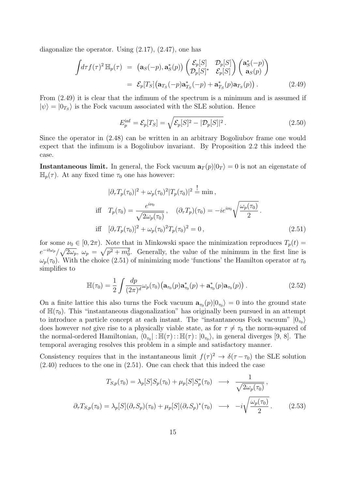diagonalize the operator. Using (2.17), (2.47), one has

$$
\int d\tau f(\tau)^2 \mathbb{H}_p(\tau) = (\mathbf{a}_S(-p), \mathbf{a}_S^*(p)) \begin{pmatrix} \mathcal{E}_p[S] & \mathcal{D}_p[S] \\ \mathcal{D}_p[S]^* & \mathcal{E}_p[S] \end{pmatrix} \begin{pmatrix} \mathbf{a}_S^*(-p) \\ \mathbf{a}_S(p) \end{pmatrix}
$$
  
=  $\mathcal{E}_p[T_S](\mathbf{a}_{T_S}(-p)\mathbf{a}_{T_S}^*(-p) + \mathbf{a}_{T_S}^*(p)\mathbf{a}_{T_S}(p)).$  (2.49)

From (2.49) it is clear that the infimum of the spectrum is a minimum and is assumed if  $|\psi\rangle = |0_{T_S}\rangle$  is the Fock vacuum associated with the SLE solution. Hence

$$
E_p^{\text{inf}} = \mathcal{E}_p[T_S] = \sqrt{\mathcal{E}_p[S]^2 - |\mathcal{D}_p[S]|^2} \,. \tag{2.50}
$$

Since the operator in (2.48) can be written in an arbitrary Bogoliubov frame one would expect that the infimum is a Bogoliubov invariant. By Proposition 2.2 this indeed the case.

**Instantaneous limit.** In general, the Fock vacuum  $\mathbf{a}_T(p)|0_T\rangle = 0$  is not an eigenstate of  $\mathbb{H}_p(\tau)$ . At any fixed time  $\tau_0$  one has however:

$$
|\partial_{\tau}T_{p}(\tau_{0})|^{2} + \omega_{p}(\tau_{0})^{2}|T_{p}(\tau_{0})|^{2} \stackrel{!}{=} \min ,
$$
  
iff  $T_{p}(\tau_{0}) = \frac{e^{i\nu_{0}}}{\sqrt{2\omega_{p}(\tau_{0})}}, \quad (\partial_{\tau}T_{p})(\tau_{0}) = -ie^{i\nu_{0}}\sqrt{\frac{\omega_{p}(\tau_{0})}{2}}.$   
iff  $[\partial_{\tau}T_{p}(\tau_{0})]^{2} + \omega_{p}(\tau_{0})^{2}T_{p}(\tau_{0})^{2} = 0,$  (2.51)

for some  $\nu_0 \in [0, 2\pi)$ . Note that in Minkowski space the minimization reproduces  $T_p(t)$  $e^{-it\omega_p}/\sqrt{2\omega_p}$ ,  $\omega_p = \sqrt{p^2 + m_0^2}$ . Generally, the value of the minimum in the first line is  $\omega_p(\tau_0)$ . With the choice (2.51) of minimizing mode 'functions' the Hamilton operator at  $\tau_0$ simplifies to

$$
\mathbb{H}(\tau_0) = \frac{1}{2} \int \frac{dp}{(2\pi)^d} \omega_p(\tau_0) \big( \mathbf{a}_{\tau_0}(p) \mathbf{a}_{\tau_0}^*(p) + \mathbf{a}_{\tau_0}^*(p) \mathbf{a}_{\tau_0}(p) \big) . \tag{2.52}
$$

On a finite lattice this also turns the Fock vacuum  $a_{\tau_0}(p)|0_{\tau_0}\rangle = 0$  into the ground state of  $\mathbb{H}(\tau_0)$ . This "instantaneous diagonalization" has originally been pursued in an attempt to introduce a particle concept at each instant. The "instantaneous Fock vacuum"  $|0_{\tau_0}\rangle$ does however *not* give rise to a physically viable state, as for  $\tau \neq \tau_0$  the norm-squared of the normal-ordered Hamiltonian,  $\langle 0_{\tau_0} | : \mathbb{H}(\tau) : \mathbb{H}(\tau) : |0_{\tau_0} \rangle$ , in general diverges [9, 8]. The temporal averaging resolves this problem in a simple and satisfactory manner.

Consistency requires that in the instantaneous limit  $f(\tau)^2 \to \delta(\tau - \tau_0)$  the SLE solution (2.40) reduces to the one in (2.51). One can check that this indeed the case

$$
T_{S,p}(\tau_0) = \lambda_p[S]S_p(\tau_0) + \mu_p[S]S_p^*(\tau_0) \longrightarrow \frac{1}{\sqrt{2\omega_p(\tau_0)}},
$$
  

$$
\partial_{\tau}T_{S,p}(\tau_0) = \lambda_p[S](\partial_{\tau}S_p)(\tau_0) + \mu_p[S](\partial_{\tau}S_p)^*(\tau_0) \longrightarrow -i\sqrt{\frac{\omega_p(\tau_0)}{2}}.
$$
 (2.53)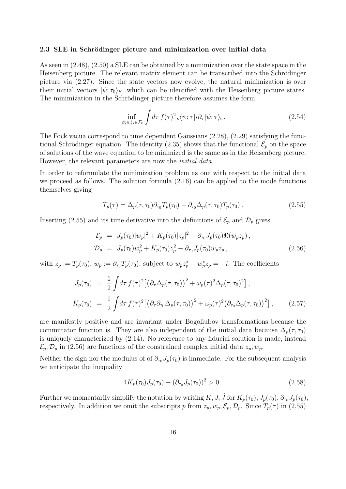#### 2.3 SLE in Schrödinger picture and minimization over initial data

As seen in (2.48), (2.50) a SLE can be obtained by a minimization over the state space in the Heisenberg picture. The relevant matrix element can be transcribed into the Schrödinger picture via (2.27). Since the state vectors now evolve, the natural minimization is over their initial vectors  $|\psi; \tau_0\rangle_S$ , which can be identified with the Heisenberg picture states. The minimization in the Schrödinger picture therefore assumes the form

$$
\inf_{|\psi;\tau_0\rangle_{\mathsf{s}}\in\mathcal{F}_0} \int d\tau \, f(\tau)^2 \, \mathsf{s} \langle \psi;\tau | i \partial_\tau | \psi;\tau \rangle_{\mathsf{s}} \,. \tag{2.54}
$$

The Fock vacua correspond to time dependent Gaussians (2.28), (2.29) satisfying the functional Schrödinger equation. The identity (2.35) shows that the functional  $\mathcal{E}_p$  on the space of solutions of the wave equation to be minimized is the same as in the Heisenberg picture. However, the relevant parameters are now the *initial data*.

In order to reformulate the minimization problem as one with respect to the initial data we proceed as follows. The solution formula  $(2.16)$  can be applied to the mode functions themselves giving

$$
T_p(\tau) = \Delta_p(\tau, \tau_0) \partial_{\tau_0} T_p(\tau_0) - \partial_{\tau_0} \Delta_p(\tau, \tau_0) T_p(\tau_0).
$$
\n(2.55)

Inserting (2.55) and its time derivative into the definitions of  $\mathcal{E}_p$  and  $\mathcal{D}_p$  gives

$$
\mathcal{E}_p = J_p(\tau_0)|w_p|^2 + K_p(\tau_0)|z_p|^2 - \partial_{\tau_0}J_p(\tau_0)\Re(w_p z_p),
$$
  
\n
$$
\mathcal{D}_p = J_p(\tau_0)w_p^2 + K_p(\tau_0)z_p^2 - \partial_{\tau_0}J_p(\tau_0)w_p z_p,
$$
\n(2.56)

with  $z_p := T_p(\tau_0)$ ,  $w_p := \partial_{\tau_0} T_p(\tau_0)$ , subject to  $w_p z_p^* - w_p^* z_p = -i$ . The coefficients

$$
J_p(\tau_0) = \frac{1}{2} \int d\tau f(\tau)^2 \left[ \left( \partial_\tau \Delta_p(\tau, \tau_0) \right)^2 + \omega_p(\tau)^2 \Delta_p(\tau, \tau_0)^2 \right],
$$
  
\n
$$
K_p(\tau_0) = \frac{1}{2} \int d\tau f(\tau)^2 \left[ \left( \partial_\tau \partial_{\tau_0} \Delta_p(\tau, \tau_0) \right)^2 + \omega_p(\tau)^2 \left( \partial_{\tau_0} \Delta_p(\tau, \tau_0) \right)^2 \right],
$$
\n(2.57)

are manifestly positive and are invariant under Bogoliubov transformations because the commutator function is. They are also independent of the initial data because  $\Delta_p(\tau, \tau_0)$ is uniquely characterized by (2.14). No reference to any fiducial solution is made, instead  $\mathcal{E}_p, \mathcal{D}_p$  in (2.56) are functions of the constrained complex initial data  $z_p, w_p$ .

Neither the sign nor the modulus of of  $\partial_{\tau_0} J_p(\tau_0)$  is immediate. For the subsequent analysis we anticipate the inequality

$$
4K_p(\tau_0)J_p(\tau_0) - (\partial_{\tau_0}J_p(\tau_0))^2 > 0.
$$
\n(2.58)

Further we momentarily simplify the notation by writing  $K, J, \dot{J}$  for  $K_p(\tau_0), J_p(\tau_0), \partial_{\tau_0} J_p(\tau_0)$ , respectively. In addition we omit the subscripts p from  $z_p, w_p, \mathcal{E}_p, \mathcal{D}_p$ . Since  $T_p(\tau)$  in (2.55)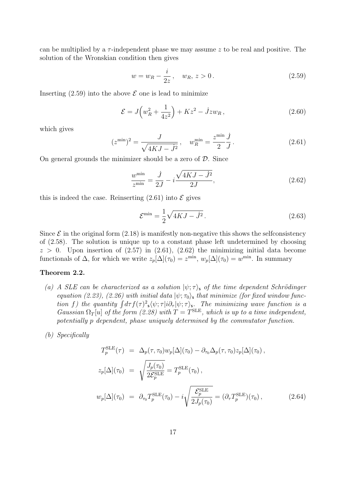can be multiplied by a  $\tau$ -independent phase we may assume z to be real and positive. The solution of the Wronskian condition then gives

$$
w = w_R - \frac{i}{2z}, \quad w_R, \, z > 0. \tag{2.59}
$$

Inserting  $(2.59)$  into the above  $\mathcal E$  one is lead to minimize

$$
\mathcal{E} = J\left(w_R^2 + \frac{1}{4z^2}\right) + Kz^2 - jzw_R\,,\tag{2.60}
$$

which gives

$$
(z^{\min})^2 = \frac{J}{\sqrt{4KJ - \dot{J}^2}}, \quad w_R^{\min} = \frac{z^{\min}}{2} \frac{\dot{J}}{J}.
$$
 (2.61)

On general grounds the minimizer should be a zero of  $\mathcal{D}$ . Since

$$
\frac{w^{\min}}{z^{\min}} = \frac{j}{2J} - i\frac{\sqrt{4KJ - J^2}}{2J},\tag{2.62}
$$

this is indeed the case. Reinserting  $(2.61)$  into  $\mathcal E$  gives

$$
\mathcal{E}^{\min} = \frac{1}{2}\sqrt{4KJ - \dot{J}^2}.
$$
\n(2.63)

Since  $\mathcal E$  in the original form (2.18) is manifestly non-negative this shows the selfconsistency of (2.58). The solution is unique up to a constant phase left undetermined by choosing  $z > 0$ . Upon insertion of  $(2.57)$  in  $(2.61)$ ,  $(2.62)$  the minimizing initial data become functionals of  $\Delta$ , for which we write  $z_p[\Delta](\tau_0) = z^{\min}$ ,  $w_p[\Delta](\tau_0) = w^{\min}$ . In summary

#### Theorem 2.2.

- (a) A SLE can be characterized as a solution  $|\psi; \tau \rangle$ , of the time dependent Schrödinger equation (2.23), (2.26) with initial data  $|\psi; \tau_0\rangle$ , that minimize (for fixed window function f) the quantity  $\int d\tau f(\tau)^2 s \langle \psi; \tau | i \partial_{\tau} | \psi; \tau \rangle_s$ . The minimizing wave function is a Gaussian  $\Omega_T[u]$  of the form (2.28) with  $T=T^{\text{SLE}}$ , which is up to a time independent, potentially p dependent, phase uniquely determined by the commutator function.
- (b) Specifically

$$
T_p^{\text{SLE}}(\tau) = \Delta_p(\tau, \tau_0) w_p[\Delta](\tau_0) - \partial_{\tau_0} \Delta_p(\tau, \tau_0) z_p[\Delta](\tau_0),
$$
  
\n
$$
z_p[\Delta](\tau_0) = \sqrt{\frac{J_p(\tau_0)}{2\mathcal{E}_p^{\text{SLE}}}} = T_p^{\text{SLE}}(\tau_0),
$$
  
\n
$$
w_p[\Delta](\tau_0) = \partial_{\tau_0} T_p^{\text{SLE}}(\tau_0) - i \sqrt{\frac{\mathcal{E}_p^{\text{SLE}}}{2J_p(\tau_0)}} = (\partial_{\tau} T_p^{\text{SLE}})(\tau_0),
$$
\n(2.64)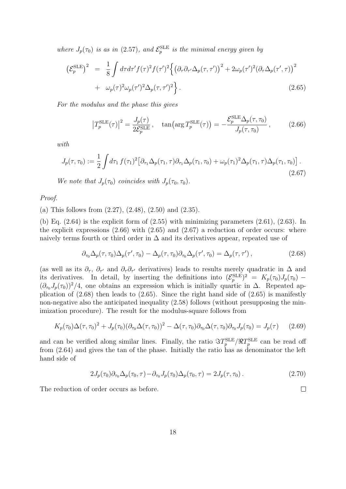where  $J_p(\tau_0)$  is as in (2.57), and  $\mathcal{E}_p^{\text{SLE}}$  is the minimal energy given by

$$
\begin{split} \left(\mathcal{E}_p^{\text{SLE}}\right)^2 &= \frac{1}{8} \int d\tau d\tau' f(\tau)^2 f(\tau')^2 \Big\{ \left(\partial_\tau \partial_{\tau'} \Delta_p(\tau, \tau')\right)^2 + 2\omega_p(\tau')^2 (\partial_\tau \Delta_p(\tau', \tau))^2 \\ &+ \omega_p(\tau)^2 \omega_p(\tau')^2 \Delta_p(\tau, \tau')^2 \Big\} \,. \end{split} \tag{2.65}
$$

For the modulus and the phase this gives

$$
\left|T_p^{\text{SLE}}(\tau)\right|^2 = \frac{J_p(\tau)}{2\mathcal{E}_p^{\text{SLE}}}, \quad \tan\left(\arg T_p^{\text{SLE}}(\tau)\right) = -\frac{\mathcal{E}_p^{\text{SLE}}\Delta_p(\tau, \tau_0)}{J_p(\tau, \tau_0)},\tag{2.66}
$$

with

$$
J_p(\tau, \tau_0) := \frac{1}{2} \int d\tau_1 f(\tau_1)^2 \left[ \partial_{\tau_1} \Delta_p(\tau_1, \tau) \partial_{\tau_1} \Delta_p(\tau_1, \tau_0) + \omega_p(\tau_1)^2 \Delta_p(\tau_1, \tau) \Delta_p(\tau_1, \tau_0) \right].
$$
\n(2.67)

We note that  $J_p(\tau_0)$  coincides with  $J_p(\tau_0, \tau_0)$ .

Proof.

(a) This follows from (2.27), (2.48), (2.50) and (2.35).

(b) Eq.  $(2.64)$  is the explicit form of  $(2.55)$  with minimizing parameters  $(2.61)$ ,  $(2.63)$ . In the explicit expressions  $(2.66)$  with  $(2.65)$  and  $(2.67)$  a reduction of order occurs: where naively terms fourth or third order in  $\Delta$  and its derivatives appear, repeated use of

$$
\partial_{\tau_0} \Delta_p(\tau, \tau_0) \Delta_p(\tau', \tau_0) - \Delta_p(\tau, \tau_0) \partial_{\tau_0} \Delta_p(\tau', \tau_0) = \Delta_p(\tau, \tau'), \qquad (2.68)
$$

(as well as its  $\partial_{\tau}, \partial_{\tau'}$  and  $\partial_{\tau}\partial_{\tau'}$  derivatives) leads to results merely quadratic in  $\Delta$  and its derivatives. In detail, by inserting the definitions into  $(\mathcal{E}_p^{\text{SLE}})^2 = K_p(\tau_0)J_p(\tau_0)$  $(\partial_{\tau_0} J_p(\tau_0))^2/4$ , one obtains an expression which is initially quartic in  $\Delta$ . Repeated application of  $(2.68)$  then leads to  $(2.65)$ . Since the right hand side of  $(2.65)$  is manifestly non-negative also the anticipated inequality (2.58) follows (without presupposing the minimization procedure). The result for the modulus-square follows from

$$
K_p(\tau_0)\Delta(\tau,\tau_0)^2 + J_p(\tau_0)(\partial_{\tau_0}\Delta(\tau,\tau_0))^2 - \Delta(\tau,\tau_0)\partial_{\tau_0}\Delta(\tau,\tau_0)\partial_{\tau_0}J_p(\tau_0) = J_p(\tau) \qquad (2.69)
$$

and can be verified along similar lines. Finally, the ratio  $\Im T_p^{\text{SLE}}/\Re T_p^{\text{SLE}}$  can be read off from (2.64) and gives the tan of the phase. Initially the ratio has as denominator the left hand side of

$$
2J_p(\tau_0)\partial_{\tau_0}\Delta_p(\tau_0,\tau) - \partial_{\tau_0}J_p(\tau_0)\Delta_p(\tau_0,\tau) = 2J_p(\tau,\tau_0). \qquad (2.70)
$$

The reduction of order occurs as before.

 $\Box$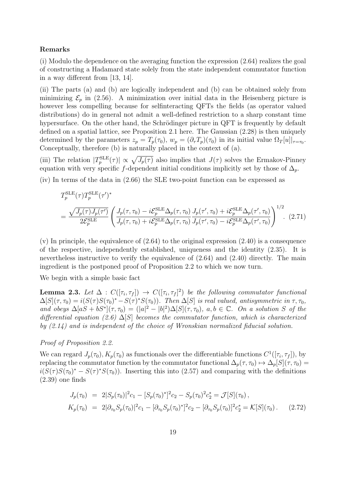#### Remarks

(i) Modulo the dependence on the averaging function the expression (2.64) realizes the goal of constructing a Hadamard state solely from the state independent commutator function in a way different from [13, 14].

(ii) The parts (a) and (b) are logically independent and (b) can be obtained solely from minimizing  $\mathcal{E}_p$  in (2.56). A minimization over initial data in the Heisenberg picture is however less compelling because for selfinteracting QFTs the fields (as operator valued distributions) do in general not admit a well-defined restriction to a sharp constant time hypersurface. On the other hand, the Schrödinger picture in QFT is frequently by default defined on a spatial lattice, see Proposition 2.1 here. The Gaussian (2.28) is then uniquely determined by the parameters  $z_p = T_p(\tau_0)$ ,  $w_p = (\partial_\tau T_p)(\tau_0)$  in its initial value  $\Omega_T[u]|_{\tau=\tau_0}$ . Conceptually, therefore (b) is naturally placed in the context of (a).

(iii) The relation  $|T_p^{\text{SLE}}(\tau)| \propto \sqrt{J_p(\tau)}$  also implies that  $J(\tau)$  solves the Ermakov-Pinney equation with very specific f-dependent initial conditions implicitly set by those of  $\Delta_p$ .

(iv) In terms of the data in (2.66) the SLE two-point function can be expressed as

$$
T_p^{\text{SLE}}(\tau) T_p^{\text{SLE}}(\tau')^*
$$
  
= 
$$
\frac{\sqrt{J_p(\tau)J_p(\tau')}}{2\mathcal{E}_p^{\text{SLE}}}\left(\frac{J_p(\tau,\tau_0) - i\mathcal{E}_p^{\text{SLE}}\Delta_p(\tau,\tau_0)}{J_p(\tau,\tau_0) + i\mathcal{E}_p^{\text{SLE}}\Delta_p(\tau,\tau_0)}\frac{J_p(\tau',\tau_0) + i\mathcal{E}_p^{\text{SLE}}\Delta_p(\tau',\tau_0)}{J_p(\tau',\tau_0) - i\mathcal{E}_p^{\text{SLE}}\Delta_p(\tau',\tau_0)}\right)^{1/2}.
$$
 (2.71)

 $(v)$  In principle, the equivalence of  $(2.64)$  to the original expression  $(2.40)$  is a consequence of the respective, independently established, uniqueness and the identity (2.35). It is nevertheless instructive to verify the equivalence of (2.64) and (2.40) directly. The main ingredient is the postponed proof of Proposition 2.2 to which we now turn.

We begin with a simple basic fact

**Lemma 2.3.** Let  $\Delta$  :  $C([\tau_i, \tau_f]) \rightarrow C([\tau_i, \tau_f]^2)$  be the following commutator functional  $\Delta[S](\tau, \tau_0) = i(S(\tau)S(\tau_0)^* - S(\tau)^*S(\tau_0))$ . Then  $\Delta[S]$  is real valued, antisymmetric in  $\tau, \tau_0$ , and obeys  $\Delta[aS+bS^*](\tau,\tau_0) = (|a|^2-|b|^2)\Delta[S](\tau,\tau_0)$ ,  $a,b \in \mathbb{C}$ . On a solution S of the differential equation (2.6)  $\Delta[S]$  becomes the commutator function, which is characterized by (2.14) and is independent of the choice of Wronskian normalized fiducial solution.

#### Proof of Proposition 2.2.

We can regard  $J_p(\tau_0)$ ,  $K_p(\tau_0)$  as functionals over the differentiable functions  $C^1([\tau_i, \tau_f])$ , by replacing the commutator function by the commutator functional  $\Delta_p(\tau, \tau_0) \mapsto \Delta_p[S](\tau, \tau_0) =$  $i(S(\tau)S(\tau_0)^* - S(\tau)^*S(\tau_0))$ . Inserting this into (2.57) and comparing with the definitions  $(2.39)$  one finds

$$
J_p(\tau_0) = 2|S_p(\tau_0)|^2 c_1 - [S_p(\tau_0)^*]^2 c_2 - S_p(\tau_0)^2 c_2^* = \mathcal{J}[S](\tau_0),
$$
  
\n
$$
K_p(\tau_0) = 2|\partial_{\tau_0} S_p(\tau_0)|^2 c_1 - [\partial_{\tau_0} S_p(\tau_0)^*]^2 c_2 - [\partial_{\tau_0} S_p(\tau_0)]^2 c_2^* = \mathcal{K}[S](\tau_0).
$$
 (2.72)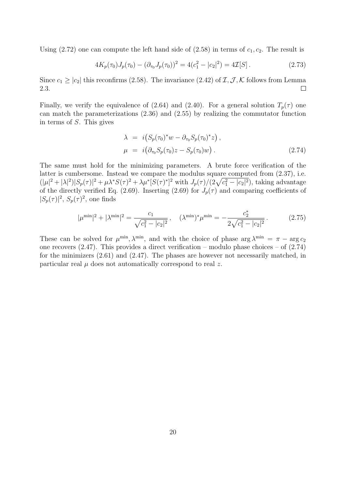Using (2.72) one can compute the left hand side of (2.58) in terms of  $c_1, c_2$ . The result is

$$
4K_p(\tau_0)J_p(\tau_0) - (\partial_{\tau_0}J_p(\tau_0))^2 = 4(c_1^2 - |c_2|^2) = 4\mathcal{I}[S].\tag{2.73}
$$

Since  $c_1 \geq |c_2|$  this reconfirms (2.58). The invariance (2.42) of  $\mathcal{I}, \mathcal{J}, \mathcal{K}$  follows from Lemma 2.3.  $\Box$ 

Finally, we verify the equivalence of (2.64) and (2.40). For a general solution  $T_p(\tau)$  one can match the parameterizations (2.36) and (2.55) by realizing the commutator function in terms of S. This gives

$$
\lambda = i(S_p(\tau_0)^*w - \partial_{\tau_0}S_p(\tau_0)^*z),
$$
  
\n
$$
\mu = i(\partial_{\tau_0}S_p(\tau_0)z - S_p(\tau_0)w).
$$
\n(2.74)

The same must hold for the minimizing parameters. A brute force verification of the latter is cumbersome. Instead we compare the modulus square computed from (2.37), i.e.  $(|\mu|^2 + |\lambda|^2)|S_p(\tau)|^2 + \mu \lambda^* S(\tau)^2 + \lambda \mu^* [S(\tau)^*]^2$  with  $J_p(\tau)/(2\sqrt{c_1^2 - |c_2|^2})$ , taking advantage of the directly verified Eq. (2.69). Inserting (2.69) for  $J_p(\tau)$  and comparing coefficients of  $|S_p(\tau)|^2$ ,  $S_p(\tau)^2$ , one finds

$$
|\mu^{\min}|^2 + |\lambda^{\min}|^2 = \frac{c_1}{\sqrt{c_1^2 - |c_2|^2}}, \quad (\lambda^{\min})^* \mu^{\min} = -\frac{c_2^*}{2\sqrt{c_1^2 - |c_2|^2}}.
$$
 (2.75)

These can be solved for  $\mu^{\min}$ ,  $\lambda^{\min}$ , and with the choice of phase  $\arg \lambda^{\min} = \pi - \arg c_2$ one recovers  $(2.47)$ . This provides a direct verification – modulo phase choices – of  $(2.74)$ for the minimizers (2.61) and (2.47). The phases are however not necessarily matched, in particular real  $\mu$  does not automatically correspond to real z.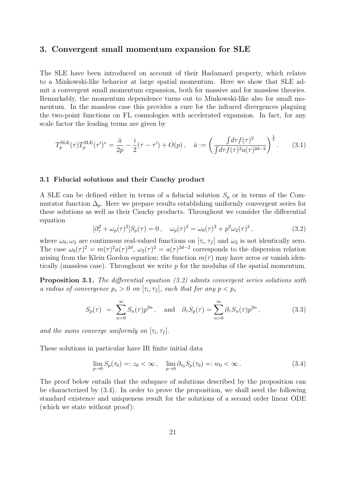### 3. Convergent small momentum expansion for SLE

The SLE have been introduced on account of their Hadamard property, which relates to a Minkowski-like behavior at large spatial momentum. Here we show that SLE admit a convergent small momentum expansion, both for massive and for massless theories. Remarkably, the momentum dependence turns out to Minkowski-like also for small momentum. In the massless case this provides a cure for the infrared divergences plaguing the two-point functions on FL cosmologies with accelerated expansion. In fact, for any scale factor the leading terms are given by

$$
T_p^{\text{SLE}}(\tau) T_p^{\text{SLE}}(\tau')^* = \frac{\bar{a}}{2p} - \frac{i}{2}(\tau - \tau') + O(p) \,, \quad \bar{a} := \left(\frac{\int d\tau f(\tau)^2}{\int d\tau f(\tau)^2 a(\tau)^{2d-2}}\right)^{\frac{1}{2}}.\tag{3.1}
$$

#### 3.1 Fiducial solutions and their Cauchy product

A SLE can be defined either in terms of a fiducial solution  $S_p$  or in terms of the Commutator function  $\Delta_p$ . Here we prepare results establishing uniformly convergent series for these solutions as well as their Cauchy products. Throughout we consider the differential equation

$$
[\partial_{\tau}^{2} + \omega_{p}(\tau)^{2}]S_{p}(\tau) = 0, \quad \omega_{p}(\tau)^{2} = \omega_{0}(\tau)^{2} + p^{2}\omega_{2}(\tau)^{2}, \tag{3.2}
$$

where  $\omega_0, \omega_2$  are continuous real-valued functions on  $[\tau_i, \tau_f]$  and  $\omega_2$  is not identically zero. The case  $\omega_0(\tau)^2 = m(\tau)^2 a(\tau)^{2d}$ ,  $\omega_2(\tau)^2 = a(\tau)^{2d-2}$  corresponds to the dispersion relation arising from the Klein Gordon equation; the function  $m(\tau)$  may have zeros or vanish identically (massless case). Throughout we write  $p$  for the modulus of the spatial momentum.

Proposition 3.1. The differential equation (3.2) admits convergent series solutions with a radius of convergence  $p_* > 0$  on  $[\tau_i, \tau_f]$ , such that for any  $p < p_*$ 

$$
S_p(\tau) = \sum_{n=0}^{\infty} S_n(\tau) p^{2n}, \text{ and } \partial_{\tau} S_p(\tau) = \sum_{n=0}^{\infty} \partial_{\tau} S_n(\tau) p^{2n}, \qquad (3.3)
$$

and the sums converge uniformly on  $[\tau_i, \tau_f]$ .

These solutions in particular have IR finite initial data

$$
\lim_{p \to 0} S_p(\tau_0) =: z_0 < \infty \,, \quad \lim_{p \to 0} \partial_{\tau_0} S_p(\tau_0) =: w_0 < \infty \,. \tag{3.4}
$$

The proof below entails that the subspace of solutions described by the proposition can be characterized by (3.4). In order to prove the proposition, we shall need the following standard existence and uniqueness result for the solutions of a second order linear ODE (which we state without proof):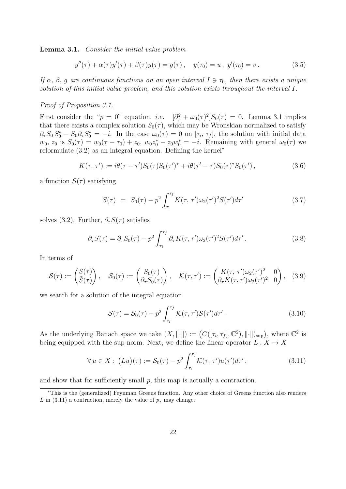Lemma 3.1. Consider the initial value problem

$$
y''(\tau) + \alpha(\tau)y'(\tau) + \beta(\tau)y(\tau) = g(\tau), \quad y(\tau_0) = u, \ y'(\tau_0) = v. \tag{3.5}
$$

If  $\alpha$ ,  $\beta$ ,  $q$  are continuous functions on an open interval  $I \ni \tau_0$ , then there exists a unique solution of this initial value problem, and this solution exists throughout the interval I.

#### Proof of Proposition 3.1.

First consider the " $p = 0$ " equation, *i.e.*  $[\partial^2 + \omega_0(\tau)^2]S_0(\tau) = 0$ . Lemma 3.1 implies that there exists a complex solution  $S_0(\tau)$ , which may be Wronskian normalized to satisfy  $\partial_{\tau}S_0 S_0^* - S_0 \partial_{\tau} S_0^* = -i$ . In the case  $\omega_0(\tau) = 0$  on  $[\tau_i, \tau_f]$ , the solution with initial data  $w_0, z_0$  is  $S_0(\tau) = w_0(\tau - \tau_0) + z_0$ ,  $w_0 z_0^* - z_0 w_0^* = -i$ . Remaining with general  $\omega_0(\tau)$  we reformulate (3.2) as an integral equation. Defining the kernel<sup>∗</sup>

$$
K(\tau, \tau') := i\theta(\tau - \tau')S_0(\tau)S_0(\tau')^* + i\theta(\tau' - \tau)S_0(\tau)^*S_0(\tau'), \qquad (3.6)
$$

a function  $S(\tau)$  satisfying

$$
S(\tau) = S_0(\tau) - p^2 \int_{\tau_i}^{\tau_f} K(\tau, \tau') \omega_2(\tau')^2 S(\tau') d\tau'
$$
 (3.7)

solves (3.2). Further,  $\partial_{\tau}S(\tau)$  satisfies

$$
\partial_{\tau} S(\tau) = \partial_{\tau} S_0(\tau) - p^2 \int_{\tau_i}^{\tau_f} \partial_{\tau} K(\tau, \tau') \omega_2(\tau')^2 S(\tau') d\tau'.
$$
 (3.8)

In terms of

$$
\mathcal{S}(\tau) := \begin{pmatrix} S(\tau) \\ \tilde{S}(\tau) \end{pmatrix}, \quad \mathcal{S}_0(\tau) := \begin{pmatrix} S_0(\tau) \\ \partial_\tau S_0(\tau) \end{pmatrix}, \quad \mathcal{K}(\tau, \tau') := \begin{pmatrix} K(\tau, \tau') \omega_2(\tau')^2 & 0 \\ \partial_\tau K(\tau, \tau') \omega_2(\tau')^2 & 0 \end{pmatrix}, \quad (3.9)
$$

we search for a solution of the integral equation

$$
\mathcal{S}(\tau) = \mathcal{S}_0(\tau) - p^2 \int_{\tau_i}^{\tau_f} \mathcal{K}(\tau, \tau') \mathcal{S}(\tau') d\tau'.
$$
 (3.10)

As the underlying Banach space we take  $(X, \|\cdot\|) := (C([\tau_i, \tau_f], \mathbb{C}^2), \|\cdot\|)_{\sup})$ , where  $\mathbb{C}^2$  is being equipped with the sup-norm. Next, we define the linear operator  $L: X \to X$ 

$$
\forall u \in X: (Lu)(\tau) := \mathcal{S}_0(\tau) - p^2 \int_{\tau_i}^{\tau_f} \mathcal{K}(\tau, \tau') u(\tau') d\tau', \qquad (3.11)
$$

and show that for sufficiently small  $p$ , this map is actually a contraction.

<sup>∗</sup>This is the (generalized) Feynman Greens function. Any other choice of Greens function also renders L in (3.11) a contraction, merely the value of  $p_*$  may change.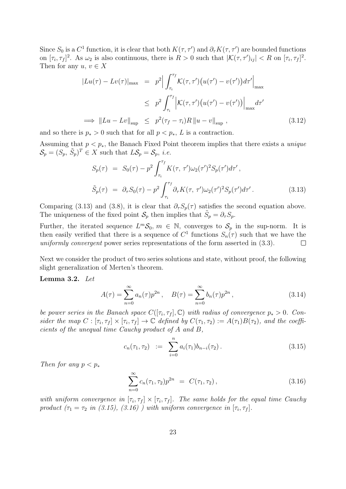Since  $S_0$  is a  $C^1$  function, it is clear that both  $K(\tau, \tau')$  and  $\partial_{\tau} K(\tau, \tau')$  are bounded functions on  $[\tau_i, \tau_f]^2$ . As  $\omega_2$  is also continuous, there is  $R > 0$  such that  $|\mathcal{K}(\tau, \tau')_{ij}| < R$  on  $[\tau_i, \tau_f]^2$ . Then for any  $u, v \in X$ 

$$
|Lu(\tau) - Lv(\tau)|_{\max} = p^2 \Big| \int_{\tau_i}^{\tau_f} \mathcal{K}(\tau, \tau') \big( u(\tau') - v(\tau') \big) d\tau' \Big|_{\max}
$$
  
\n
$$
\leq p^2 \int_{\tau_i}^{\tau_f} \Big| \mathcal{K}(\tau, \tau') \big( u(\tau') - v(\tau') \big) \Big|_{\max} d\tau'
$$
  
\n
$$
\implies ||Lu - Lv||_{\sup} \leq p^2 (\tau_f - \tau_i) R ||u - v||_{\sup}, \qquad (3.12)
$$

and so there is  $p_* > 0$  such that for all  $p < p_*, L$  is a contraction.

Assuming that  $p < p_*$ , the Banach Fixed Point theorem implies that there exists a *unique*  $\mathcal{S}_p = (S_p, \tilde{S}_p)^T \in X$  such that  $L\mathcal{S}_p = \mathcal{S}_p$ , *i.e.* 

$$
S_p(\tau) = S_0(\tau) - p^2 \int_{\tau_i}^{\tau_f} K(\tau, \tau') \omega_2(\tau')^2 S_p(\tau') d\tau',
$$
  

$$
\tilde{S}_p(\tau) = \partial_\tau S_0(\tau) - p^2 \int_{\tau_i}^{\tau_f} \partial_\tau K(\tau, \tau') \omega_2(\tau')^2 S_p(\tau') d\tau'. \qquad (3.13)
$$

Comparing (3.13) and (3.8), it is clear that  $\partial_{\tau} S_n(\tau)$  satisfies the second equation above. The uniqueness of the fixed point  $S_p$  then implies that  $\tilde{S}_p = \partial_{\tau} S_p$ .

Further, the iterated sequence  $L^m \mathcal{S}_0$ ,  $m \in \mathbb{N}$ , converges to  $\mathcal{S}_p$  in the sup-norm. It is then easily verified that there is a sequence of  $C^1$  functions  $S_n(\tau)$  such that we have the uniformly convergent power series representations of the form asserted in (3.3).  $\Box$ 

Next we consider the product of two series solutions and state, without proof, the following slight generalization of Merten's theorem.

Lemma 3.2. Let

$$
A(\tau) = \sum_{n=0}^{\infty} a_n(\tau) p^{2n}, \quad B(\tau) = \sum_{n=0}^{\infty} b_n(\tau) p^{2n}, \qquad (3.14)
$$

be power series in the Banach space  $C([\tau_i, \tau_f], \mathbb{C})$  with radius of convergence  $p_* > 0$ . Consider the map  $C : [\tau_i, \tau_f] \times [\tau_i, \tau_f] \to \mathbb{C}$  defined by  $C(\tau_1, \tau_2) := A(\tau_1)B(\tau_2)$ , and the coefficients of the unequal time Cauchy product of A and B,

$$
c_n(\tau_1, \tau_2) := \sum_{i=0}^n a_i(\tau_1) b_{n-i}(\tau_2).
$$
 (3.15)

Then for any  $p < p_*$ 

$$
\sum_{n=0}^{\infty} c_n(\tau_1, \tau_2) p^{2n} = C(\tau_1, \tau_2), \qquad (3.16)
$$

with uniform convergence in  $[\tau_i, \tau_f] \times [\tau_i, \tau_f]$ . The same holds for the equal time Cauchy product  $(\tau_1 = \tau_2 \text{ in } (3.15), (3.16)$  ) with uniform convergence in  $[\tau_i, \tau_f]$ .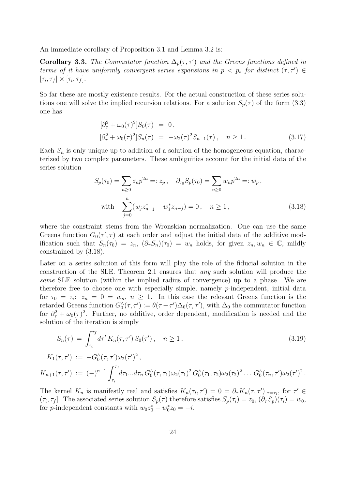An immediate corollary of Proposition 3.1 and Lemma 3.2 is:

**Corollary 3.3.** The Commutator function  $\Delta_p(\tau, \tau')$  and the Greens functions defined in terms of it have uniformly convergent series expansions in  $p < p_*$  for distinct  $(\tau, \tau') \in$  $[\tau_i, \tau_f] \times [\tau_i, \tau_f].$ 

So far these are mostly existence results. For the actual construction of these series solutions one will solve the implied recursion relations. For a solution  $S_p(\tau)$  of the form (3.3) one has

$$
\begin{aligned}\n[\partial_{\tau}^2 + \omega_0(\tau)^2] S_0(\tau) &= 0, \\
[\partial_{\tau}^2 + \omega_0(\tau)^2] S_n(\tau) &= -\omega_2(\tau)^2 S_{n-1}(\tau), \quad n \ge 1.\n\end{aligned} \tag{3.17}
$$

Each  $S_n$  is only unique up to addition of a solution of the homogeneous equation, characterized by two complex parameters. These ambiguities account for the initial data of the series solution

$$
S_p(\tau_0) = \sum_{n\geq 0} z_n p^{2n} =: z_p, \quad \partial_{\tau_0} S_p(\tau_0) = \sum_{n\geq 0} w_n p^{2n} =: w_p,
$$
  
with 
$$
\sum_{j=0}^n (w_j z_{n-j}^* - w_j^* z_{n-j}) = 0, \quad n \geq 1,
$$
 (3.18)

where the constraint stems from the Wronskian normalization. One can use the same Greens function  $G_0(\tau', \tau)$  at each order and adjust the initial data of the additive modification such that  $S_n(\tau_0) = z_n$ ,  $(\partial_\tau S_n)(\tau_0) = w_n$  holds, for given  $z_n, w_n \in \mathbb{C}$ , mildly constrained by (3.18).

Later on a series solution of this form will play the role of the fiducial solution in the construction of the SLE. Theorem 2.1 ensures that any such solution will produce the same SLE solution (within the implied radius of convergence) up to a phase. We are therefore free to choose one with especially simple, namely  $p$ -independent, initial data for  $\tau_0 = \tau_i$ :  $z_n = 0 = w_n$ ,  $n \ge 1$ . In this case the relevant Greens function is the retarded Greens function  $G_0^{\wedge}(\tau, \tau') := \theta(\tau - \tau')\Delta_0(\tau, \tau')$ , with  $\Delta_0$  the commutator function for  $\partial_{\tau}^{2} + \omega_{0}(\tau)^{2}$ . Further, no additive, order dependent, modification is needed and the solution of the iteration is simply

$$
S_n(\tau) = \int_{\tau_i}^{\tau_f} d\tau' K_n(\tau, \tau') S_0(\tau'), \quad n \ge 1,
$$
\n(3.19)

$$
K_1(\tau,\tau')\;:=\; -G_0^\wedge(\tau,\tau')\omega_2(\tau')^2\,,
$$

$$
K_{n+1}(\tau,\tau') := (-)^{n+1} \int_{\tau_i}^{\tau_f} d\tau_1 ... d\tau_n \, G_0(\tau,\tau_1) \omega_2(\tau_1)^2 \, G_0(\tau_1,\tau_2) \omega_2(\tau_2)^2 \, ... \, G_0(\tau_n,\tau') \omega_2(\tau')^2 \, .
$$

The kernel  $K_n$  is manifestly real and satisfies  $K_n(\tau_i, \tau') = 0 = \partial_\tau K_n(\tau, \tau')|_{\tau = \tau_i}$ , for  $\tau' \in$  $(\tau_i, \tau_f]$ . The associated series solution  $S_p(\tau)$  therefore satisfies  $S_p(\tau_i) = z_0$ ,  $(\partial_\tau S_p)(\tau_i) = w_0$ , for *p*-independent constants with  $w_0 z_0^* - w_0^* z_0 = -i$ .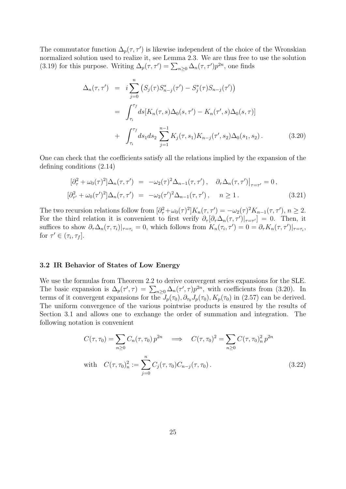The commutator function  $\Delta_p(\tau, \tau')$  is likewise independent of the choice of the Wronskian normalized solution used to realize it, see Lemma 2.3. We are thus free to use the solution (3.19) for this purpose. Writing  $\Delta_p(\tau, \tau') = \sum_{n\geq 0} \Delta_n(\tau, \tau') p^{2n}$ , one finds

$$
\Delta_n(\tau, \tau') = i \sum_{j=0}^n (S_j(\tau) S_{n-j}^*(\tau') - S_j^*(\tau) S_{n-j}(\tau'))
$$
  
\n
$$
= \int_{\tau_i}^{\tau_f} ds [K_n(\tau, s) \Delta_0(s, \tau') - K_n(\tau', s) \Delta_0(s, \tau)]
$$
  
\n
$$
+ \int_{\tau_i}^{\tau_f} ds_1 ds_2 \sum_{j=1}^{n-1} K_j(\tau, s_1) K_{n-j}(\tau', s_2) \Delta_0(s_1, s_2).
$$
 (3.20)

One can check that the coefficients satisfy all the relations implied by the expansion of the defining conditions (2.14)

$$
\begin{aligned}\n[\partial_{\tau}^{2} + \omega_{0}(\tau)^{2}] \Delta_{n}(\tau, \tau') &= -\omega_{2}(\tau)^{2} \Delta_{n-1}(\tau, \tau'), \quad \partial_{\tau} \Delta_{n}(\tau, \tau')\big|_{\tau = \tau'} = 0, \\
[\partial_{\tau'}^{2} + \omega_{0}(\tau')^{2}] \Delta_{n}(\tau, \tau') &= -\omega_{2}(\tau')^{2} \Delta_{n-1}(\tau, \tau'), \quad n \ge 1.\n\end{aligned} \tag{3.21}
$$

The two recursion relations follow from  $\left[\partial_{\tau}^2 + \omega_0(\tau)^2\right]K_n(\tau, \tau') = -\omega_2(\tau)^2 K_{n-1}(\tau, \tau'), n \geq 2.$ For the third relation it is convenient to first verify  $\partial_{\tau}[\partial_{\tau}\Delta_n(\tau, \tau')|_{\tau=\tau'}] = 0$ . Then, it suffices to show  $\partial_{\tau} \Delta_n(\tau, \tau_i)|_{\tau = \tau_i} = 0$ , which follows from  $K_n(\tau_i, \tau') = 0 = \partial_{\tau} K_n(\tau, \tau')|_{\tau = \tau_i}$ , for  $\tau' \in (\tau_i, \tau_f]$ .

#### 3.2 IR Behavior of States of Low Energy

We use the formulas from Theorem 2.2 to derive convergent series expansions for the SLE. The basic expansion is  $\Delta_p(\tau', \tau) = \sum_{n\geq 0} \Delta_n(\tau', \tau) p^{2n}$ , with coefficients from (3.20). In terms of it convergent expansions for the  $J_p(\tau_0), \partial_{\tau_0} J_p(\tau_0), K_p(\tau_0)$  in (2.57) can be derived. The uniform convergence of the various pointwise products is ensured by the results of Section 3.1 and allows one to exchange the order of summation and integration. The following notation is convenient

$$
C(\tau, \tau_0) = \sum_{n \ge 0} C_n(\tau, \tau_0) p^{2n} \implies C(\tau, \tau_0)^2 = \sum_{n \ge 0} C(\tau, \tau_0)_n^2 p^{2n}
$$
  
with 
$$
C(\tau, \tau_0)_n^2 := \sum_{j=0}^n C_j(\tau, \tau_0) C_{n-j}(\tau, \tau_0).
$$
 (3.22)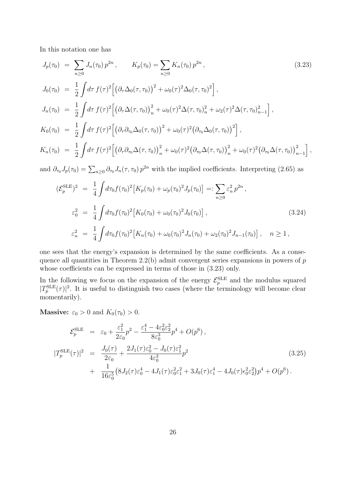In this notation one has

$$
J_p(\tau_0) = \sum_{n\geq 0} J_n(\tau_0) p^{2n}, \qquad K_p(\tau_0) = \sum_{n\geq 0} K_n(\tau_0) p^{2n},
$$
\n
$$
J_0(\tau_0) = \frac{1}{2} \int d\tau f(\tau)^2 \Big[ \left(\partial_\tau \Delta_0(\tau, \tau_0)\right)^2 + \omega_0(\tau)^2 \Delta_0(\tau, \tau_0)^2 \Big],
$$
\n
$$
J_n(\tau_0) = \frac{1}{2} \int d\tau f(\tau)^2 \Big[ \left(\partial_\tau \Delta(\tau, \tau_0)\right)_n^2 + \omega_0(\tau)^2 \Delta(\tau, \tau_0)_n^2 + \omega_2(\tau)^2 \Delta(\tau, \tau_0)_{n-1}^2 \Big],
$$
\n
$$
K_0(\tau_0) = \frac{1}{2} \int d\tau f(\tau)^2 \Big[ \left(\partial_\tau \partial_{\tau_0} \Delta_0(\tau, \tau_0)\right)^2 + \omega_0(\tau)^2 \left(\partial_{\tau_0} \Delta_0(\tau, \tau_0)\right)^2 \Big],
$$
\n
$$
K_n(\tau_0) = \frac{1}{2} \int d\tau f(\tau)^2 \Big[ \left(\partial_\tau \partial_{\tau_0} \Delta(\tau, \tau_0)\right)_n^2 + \omega_0(\tau)^2 \left(\partial_{\tau_0} \Delta(\tau, \tau_0)\right)_n^2 + \omega_0(\tau)^2 \left(\partial_{\tau_0} \Delta(\tau, \tau_0)\right)_n^2 \Big],
$$
\n
$$
(3.23)
$$

and  $\partial_{\tau_0} J_p(\tau_0) = \sum_{n\geq 0} \partial_{\tau_0} J_n(\tau, \tau_0) p^{2n}$  with the implied coefficients. Interpreting (2.65) as

$$
(\mathcal{E}_p^{\text{SLE}})^2 = \frac{1}{4} \int d\tau_0 f(\tau_0)^2 \left[ K_p(\tau_0) + \omega_p(\tau_0)^2 J_p(\tau_0) \right] =: \sum_{n \ge 0} \varepsilon_n^2 p^{2n},
$$
  
\n
$$
\varepsilon_0^2 = \frac{1}{4} \int d\tau_0 f(\tau_0)^2 \left[ K_0(\tau_0) + \omega_0(\tau_0)^2 J_0(\tau_0) \right],
$$
  
\n
$$
\varepsilon_n^2 = \frac{1}{4} \int d\tau_0 f(\tau_0)^2 \left[ K_n(\tau_0) + \omega_0(\tau_0)^2 J_n(\tau_0) + \omega_2(\tau_0)^2 J_{n-1}(\tau_0) \right], \quad n \ge 1,
$$
\n(3.24)

one sees that the energy's expansion is determined by the same coefficients. As a consequence all quantities in Theorem 2.2(b) admit convergent series expansions in powers of  $p$ whose coefficients can be expressed in terms of those in (3.23) only.

In the following we focus on the expansion of the energy  $\mathcal{E}_p^{\text{SLE}}$  and the modulus squared  $|T_p^{\text{SLE}}(\tau)|^2$ . It is useful to distinguish two cases (where the terminology will become clear momentarily).

**Massive:**  $\varepsilon_0 > 0$  and  $K_0(\tau_0) > 0$ .

$$
\mathcal{E}_p^{\text{SLE}} = \varepsilon_0 + \frac{\varepsilon_1^2}{2\varepsilon_0} p^2 - \frac{\varepsilon_1^4 - 4\varepsilon_0^2 \varepsilon_2^2}{8\varepsilon_0^3} p^4 + O(p^6),
$$
\n
$$
|T_p^{\text{SLE}}(\tau)|^2 = \frac{J_0(\tau)}{2\varepsilon_0} + \frac{2J_1(\tau)\varepsilon_0^2 - J_0(\tau)\varepsilon_1^2}{4\varepsilon_0^3} p^2
$$
\n
$$
+ \frac{1}{16\varepsilon_0^5} \left(8J_2(\tau)\varepsilon_0^4 - 4J_1(\tau)\varepsilon_0^2 \varepsilon_1^2 + 3J_0(\tau)\varepsilon_1^4 - 4J_0(\tau)\varepsilon_0^2 \varepsilon_2^2\right) p^4 + O(p^6).
$$
\n(3.25)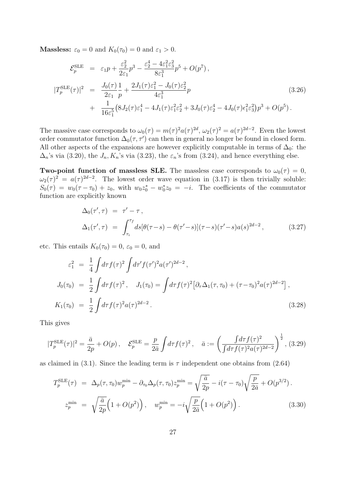**Massless:**  $\varepsilon_0 = 0$  and  $K_0(\tau_0) = 0$  and  $\varepsilon_1 > 0$ .

$$
\mathcal{E}_p^{\text{SLE}} = \varepsilon_1 p + \frac{\varepsilon_2^2}{2\varepsilon_1} p^3 - \frac{\varepsilon_2^4 - 4\varepsilon_1^2 \varepsilon_3^2}{8\varepsilon_1^3} p^5 + O(p^7) ,
$$
\n
$$
|T_p^{\text{SLE}}(\tau)|^2 = \frac{J_0(\tau)}{2\varepsilon_1} \frac{1}{p} + \frac{2J_1(\tau)\varepsilon_1^2 - J_0(\tau)\varepsilon_2^2}{4\varepsilon_1^3} p + \frac{1}{16\varepsilon_1^5} (8J_2(\tau)\varepsilon_1^4 - 4J_1(\tau)\varepsilon_1^2 \varepsilon_2^2 + 3J_0(\tau)\varepsilon_2^4 - 4J_0(\tau)\varepsilon_1^2 \varepsilon_3^2) p^3 + O(p^5) .
$$
\n(3.26)

The massive case corresponds to  $\omega_0(\tau) = m(\tau)^2 a(\tau)^{2d}, \omega_2(\tau)^2 = a(\tau)^{2d-2}$ . Even the lowest order commutator function  $\Delta_0(\tau, \tau')$  can then in general no longer be found in closed form. All other aspects of the expansions are however explicitly computable in terms of  $\Delta_0$ : the  $\Delta_n$ 's via (3.20), the  $J_n, K_n$ 's via (3.23), the  $\varepsilon_n$ 's from (3.24), and hence everything else.

Two-point function of massless SLE. The massless case corresponds to  $\omega_0(\tau) = 0$ ,  $\omega_2(\tau)^2 = a(\tau)^{2d-2}$ . The lowest order wave equation in (3.17) is then trivially soluble:  $S_0(\tau) = w_0(\tau - \tau_0) + z_0$ , with  $w_0 z_0^* - w_0^* z_0 = -i$ . The coefficients of the commutator function are explicitly known

$$
\Delta_0(\tau', \tau) = \tau' - \tau,
$$
  
\n
$$
\Delta_1(\tau', \tau) = \int_{\tau_i}^{\tau_f} ds [\theta(\tau - s) - \theta(\tau' - s)](\tau - s)(\tau' - s)a(s)^{2d - 2},
$$
\n(3.27)

etc. This entails  $K_0(\tau_0) = 0$ ,  $\varepsilon_0 = 0$ , and

$$
\varepsilon_1^2 = \frac{1}{4} \int d\tau f(\tau)^2 \int d\tau' f(\tau')^2 a(\tau')^{2d-2},
$$
  
\n
$$
J_0(\tau_0) = \frac{1}{2} \int d\tau f(\tau)^2, \quad J_1(\tau_0) = \int d\tau f(\tau)^2 \left[ \partial_\tau \Delta_1(\tau, \tau_0) + (\tau - \tau_0)^2 a(\tau)^{2d-2} \right],
$$
  
\n
$$
K_1(\tau_0) = \frac{1}{2} \int d\tau f(\tau)^2 a(\tau)^{2d-2}.
$$
\n(3.28)

This gives

$$
|T_p^{\text{SLE}}(\tau)|^2 = \frac{\bar{a}}{2p} + O(p) \,, \quad \mathcal{E}_p^{\text{SLE}} = \frac{p}{2\bar{a}} \int d\tau f(\tau)^2 \,, \quad \bar{a} := \left(\frac{\int d\tau f(\tau)^2}{\int d\tau f(\tau)^2 a(\tau)^{2d-2}}\right)^{\frac{1}{2}} \,, \tag{3.29}
$$

as claimed in (3.1). Since the leading term is  $\tau$  independent one obtains from (2.64)

$$
T_p^{\text{SLE}}(\tau) = \Delta_p(\tau, \tau_0) w_p^{\min} - \partial_{\tau_0} \Delta_p(\tau, \tau_0) z_p^{\min} = \sqrt{\frac{\bar{a}}{2p}} - i(\tau - \tau_0) \sqrt{\frac{p}{2\bar{a}}} + O(p^{3/2}).
$$
  

$$
z_p^{\min} = \sqrt{\frac{\bar{a}}{2p}} \Big( 1 + O(p^2) \Big), \quad w_p^{\min} = -i \sqrt{\frac{p}{2\bar{a}}} \Big( 1 + O(p^2) \Big). \tag{3.30}
$$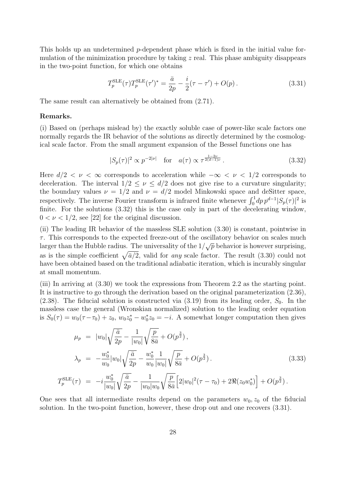This holds up an undetermined p-dependent phase which is fixed in the initial value formulation of the minimization procedure by taking  $z$  real. This phase ambiguity disappears in the two-point function, for which one obtains

$$
T_p^{\text{SLE}}(\tau) T_p^{\text{SLE}}(\tau')^* = \frac{\bar{a}}{2p} - \frac{i}{2}(\tau - \tau') + O(p) \,. \tag{3.31}
$$

The same result can alternatively be obtained from (2.71).

#### Remarks.

(i) Based on (perhaps mislead by) the exactly soluble case of power-like scale factors one normally regards the IR behavior of the solutions as directly determined by the cosmological scale factor. From the small argument expansion of the Bessel functions one has

$$
|S_p(\tau)|^2 \propto p^{-2|\nu|} \quad \text{for} \quad a(\tau) \propto \tau^{\frac{1-2\nu}{2(d-1)\nu}}.
$$
 (3.32)

Here  $d/2 < \nu < \infty$  corresponds to acceleration while  $-\infty < \nu < 1/2$  corresponds to deceleration. The interval  $1/2 \leq \nu \leq d/2$  does not give rise to a curvature singularity; the boundary values  $\nu = 1/2$  and  $\nu = d/2$  model Minkowski space and deSitter space, respectively. The inverse Fourier transform is infrared finite whenever  $\int_0^1 dp \, p^{d-1} |S_p(\tau)|^2$  is finite. For the solutions (3.32) this is the case only in part of the decelerating window,  $0 < \nu < 1/2$ , see [22] for the original discussion.

(ii) The leading IR behavior of the massless SLE solution (3.30) is constant, pointwise in  $\tau$ . This corresponds to the expected freeze-out of the oscillatory behavior on scales much larger than the Hubble radius. The universality of the  $1/\sqrt{p}$  behavior is however surprising, as is the simple coefficient  $\sqrt{\bar{a}/2}$ , valid for any scale factor. The result (3.30) could not have been obtained based on the traditional adiabatic iteration, which is incurably singular at small momentum.

(iii) In arriving at (3.30) we took the expressions from Theorem 2.2 as the starting point. It is instructive to go through the derivation based on the original parameterization (2.36), (2.38). The fiducial solution is constructed via  $(3.19)$  from its leading order,  $S_0$ . In the massless case the general (Wronskian normalized) solution to the leading order equation is  $S_0(\tau) = w_0(\tau - \tau_0) + z_0$ ,  $w_0 z_0^* - w_0^* z_0 = -i$ . A somewhat longer computation then gives

$$
\mu_p = |w_0| \sqrt{\frac{\bar{a}}{2p}} - \frac{1}{|w_0|} \sqrt{\frac{p}{8\bar{a}}} + O(p^{\frac{3}{2}}),
$$
\n
$$
\lambda_p = -\frac{w_0^*}{w_0} |w_0| \sqrt{\frac{\bar{a}}{2p}} - \frac{w_0^*}{w_0} \frac{1}{|w_0|} \sqrt{\frac{p}{8\bar{a}}} + O(p^{\frac{3}{2}}).
$$
\n(3.33)

$$
T_p^{\text{SLE}}(\tau) = -i \frac{w_0^*}{|w_0|} \sqrt{\frac{\bar{a}}{2p} - \frac{1}{|w_0|w_0}} \sqrt{\frac{p}{8\bar{a}}} \Big[ 2|w_0|^2 (\tau - \tau_0) + 2\Re(z_0 w_0^*) \Big] + O(p^{\frac{3}{2}}).
$$

One sees that all intermediate results depend on the parameters  $w_0$ ,  $z_0$  of the fiducial solution. In the two-point function, however, these drop out and one recovers (3.31).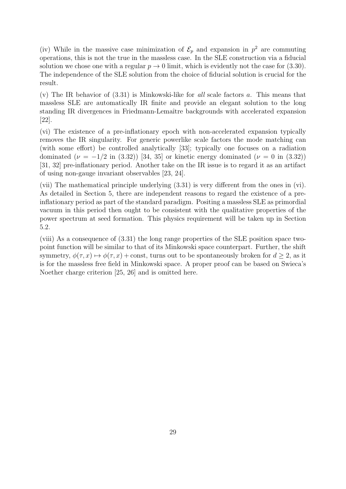(iv) While in the massive case minimization of  $\mathcal{E}_p$  and expansion in  $p^2$  are commuting operations, this is not the true in the massless case. In the SLE construction via a fiducial solution we chose one with a regular  $p \to 0$  limit, which is evidently not the case for (3.30). The independence of the SLE solution from the choice of fiducial solution is crucial for the result.

(v) The IR behavior of  $(3.31)$  is Minkowski-like for all scale factors a. This means that massless SLE are automatically IR finite and provide an elegant solution to the long standing IR divergences in Friedmann-Lemaître backgrounds with accelerated expansion [22].

(vi) The existence of a pre-inflationary epoch with non-accelerated expansion typically removes the IR singularity. For generic powerlike scale factors the mode matching can (with some effort) be controlled analytically [33]; typically one focuses on a radiation dominated ( $\nu = -1/2$  in (3.32)) [34, 35] or kinetic energy dominated ( $\nu = 0$  in (3.32)) [31, 32] pre-inflationary period. Another take on the IR issue is to regard it as an artifact of using non-gauge invariant observables [23, 24].

(vii) The mathematical principle underlying (3.31) is very different from the ones in (vi). As detailed in Section 5, there are independent reasons to regard the existence of a preinflationary period as part of the standard paradigm. Positing a massless SLE as primordial vacuum in this period then ought to be consistent with the qualitative properties of the power spectrum at seed formation. This physics requirement will be taken up in Section 5.2.

(viii) As a consequence of (3.31) the long range properties of the SLE position space twopoint function will be similar to that of its Minkowski space counterpart. Further, the shift symmetry,  $\phi(\tau, x) \mapsto \phi(\tau, x) + \text{const}$ , turns out to be spontaneously broken for  $d \geq 2$ , as it is for the massless free field in Minkowski space. A proper proof can be based on Swieca's Noether charge criterion [25, 26] and is omitted here.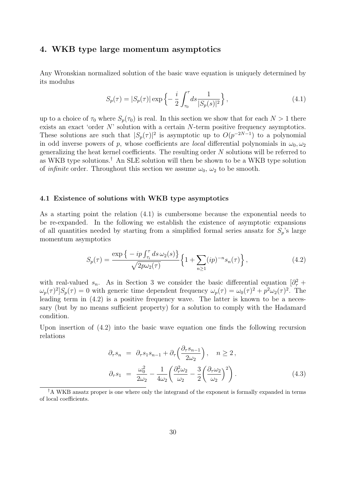## 4. WKB type large momentum asymptotics

Any Wronskian normalized solution of the basic wave equation is uniquely determined by its modulus

$$
S_p(\tau) = |S_p(\tau)| \exp\left\{-\frac{i}{2} \int_{\tau_0}^{\tau} ds \frac{1}{|S_p(s)|^2}\right\},\tag{4.1}
$$

up to a choice of  $\tau_0$  where  $S_p(\tau_0)$  is real. In this section we show that for each  $N > 1$  there exists an exact 'order N' solution with a certain N-term positive frequency asymptotics. These solutions are such that  $|S_p(\tau)|^2$  is asymptotic up to  $O(p^{-2N-1})$  to a polynomial in odd inverse powers of p, whose coefficients are *local* differential polynomials in  $\omega_0, \omega_2$ generalizing the heat kernel coefficients. The resulting order N solutions will be referred to as WKB type solutions.† An SLE solution will then be shown to be a WKB type solution of *infinite* order. Throughout this section we assume  $\omega_0$ ,  $\omega_2$  to be smooth.

#### 4.1 Existence of solutions with WKB type asymptotics

As a starting point the relation (4.1) is cumbersome because the exponential needs to be re-expanded. In the following we establish the existence of asymptotic expansions of all quantities needed by starting from a simplified formal series ansatz for  $S_p$ 's large momentum asymptotics

$$
S_p(\tau) = \frac{\exp\left\{-ip \int_{\tau_i}^{\tau} ds \,\omega_2(s)\right\}}{\sqrt{2p\omega_2(\tau)}} \left\{1 + \sum_{n \ge 1} (ip)^{-n} s_n(\tau)\right\},\tag{4.2}
$$

with real-valued  $s_n$ . As in Section 3 we consider the basic differential equation  $\left[\partial^2_\tau + \partial^2_\tau\right]$  $\omega_p(\tau)^2 |S_p(\tau)| = 0$  with generic time dependent frequency  $\omega_p(\tau) = \omega_0(\tau)^2 + p^2 \omega_2(\tau)^2$ . The leading term in  $(4.2)$  is a positive frequency wave. The latter is known to be a necessary (but by no means sufficient property) for a solution to comply with the Hadamard condition.

Upon insertion of (4.2) into the basic wave equation one finds the following recursion relations

$$
\partial_{\tau} s_n = \partial_{\tau} s_1 s_{n-1} + \partial_{\tau} \left( \frac{\partial_{\tau} s_{n-1}}{2 \omega_2} \right), \quad n \ge 2,
$$
  

$$
\partial_{\tau} s_1 = \frac{\omega_0^2}{2 \omega_2} - \frac{1}{4 \omega_2} \left( \frac{\partial_{\tau}^2 \omega_2}{\omega_2} - \frac{3}{2} \left( \frac{\partial_{\tau} \omega_2}{\omega_2} \right)^2 \right).
$$
 (4.3)

<sup>†</sup>A WKB ansatz proper is one where only the integrand of the exponent is formally expanded in terms of local coefficients.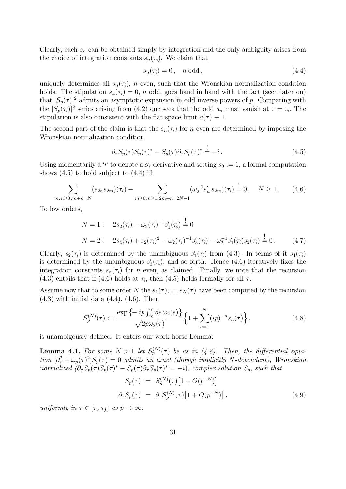Clearly, each  $s_n$  can be obtained simply by integration and the only ambiguity arises from the choice of integration constants  $s_n(\tau_i)$ . We claim that

$$
s_n(\tau_i) = 0, \quad n \text{ odd}, \tag{4.4}
$$

uniquely determines all  $s_n(\tau_i)$ , n even, such that the Wronskian normalization condition holds. The stipulation  $s_n(\tau_i) = 0$ , n odd, goes hand in hand with the fact (seen later on) that  $|S_p(\tau)|^2$  admits an asymptotic expansion in odd inverse powers of p. Comparing with the  $|S_p(\tau_i)|^2$  series arising from (4.2) one sees that the odd  $s_n$  must vanish at  $\tau = \tau_i$ . The stipulation is also consistent with the flat space limit  $a(\tau) \equiv 1$ .

The second part of the claim is that the  $s_n(\tau_i)$  for n even are determined by imposing the Wronskian normalization condition

$$
\partial_{\tau} S_p(\tau) S_p(\tau)^* - S_p(\tau) \partial_{\tau} S_p(\tau)^* \stackrel{!}{=} -i \,. \tag{4.5}
$$

Using momentarily a '*i*' to denote a  $\partial_{\tau}$  derivative and setting  $s_0 := 1$ , a formal computation shows  $(4.5)$  to hold subject to  $(4.4)$  iff

$$
\sum_{m,n\geq 0,m+n=N} (s_{2n}s_{2m})(\tau_i) - \sum_{m\geq 0,n\geq 1,2m+n=2N-1} (\omega_2^{-1}s'_n s_{2m})(\tau_i) \stackrel{!}{=} 0, \quad N \geq 1. \tag{4.6}
$$

To low orders,

$$
N = 1: \quad 2s_2(\tau_i) - \omega_2(\tau_i)^{-1} s'_1(\tau_i) = 0
$$
  
\n
$$
N = 2: \quad 2s_4(\tau_i) + s_2(\tau_i)^2 - \omega_2(\tau_i)^{-1} s'_3(\tau_i) - \omega_2^{-1} s'_1(\tau_i) s_2(\tau_i) = 0. \tag{4.7}
$$

Clearly,  $s_2(\tau_i)$  is determined by the unambiguous  $s'_1(\tau_i)$  from (4.3). In terms of it  $s_4(\tau_i)$ is determined by the unambiguous  $s'_3(\tau_i)$ , and so forth. Hence (4.6) iteratively fixes the integration constants  $s_n(\tau_i)$  for n even, as claimed. Finally, we note that the recursion (4.3) entails that if (4.6) holds at  $\tau_i$ , then (4.5) holds formally for all  $\tau$ .

Assume now that to some order N the  $s_1(\tau), \ldots s_N(\tau)$  have been computed by the recursion  $(4.3)$  with initial data  $(4.4)$ ,  $(4.6)$ . Then

$$
S_p^{(N)}(\tau) := \frac{\exp\left\{-ip \int_{\tau_0}^\tau ds \,\omega_2(s)\right\}}{\sqrt{2p\omega_2(\tau)}} \left\{1 + \sum_{n=1}^N (ip)^{-n} s_n(\tau)\right\},\tag{4.8}
$$

is unambigously defined. It enters our work horse Lemma:

**Lemma 4.1.** For some  $N > 1$  let  $S_p^{(N)}(\tau)$  be as in (4.8). Then, the differential equation  $[\partial^2_\tau + \omega_p(\tau)^2] S_p(\tau) = 0$  admits an exact (though implicitly N-dependent), Wronskian normalized  $(\partial_\tau S_p(\tau)S_p(\tau)^* - S_p(\tau)\partial_\tau S_p(\tau)^* = -i)$ , complex solution  $S_p$ , such that

$$
S_p(\tau) = S_p^{(N)}(\tau) \left[ 1 + O(p^{-N}) \right]
$$
  
\n
$$
\partial_\tau S_p(\tau) = \partial_\tau S_p^{(N)}(\tau) \left[ 1 + O(p^{-N}) \right],
$$
\n(4.9)

uniformly in  $\tau \in [\tau_i, \tau_f]$  as  $p \to \infty$ .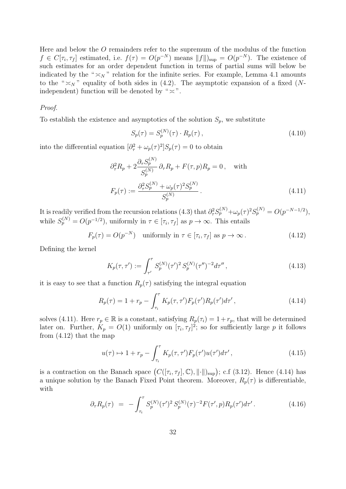Here and below the O remainders refer to the supremum of the modulus of the function  $f \in C[\tau_i, \tau_f]$  estimated, i.e.  $f(\tau) = O(p^{-N})$  means  $||f||_{\text{sup}} = O(p^{-N})$ . The existence of such estimates for an order dependent function in terms of partial sums will below be indicated by the " $\asymp_N$ " relation for the infinite series. For example, Lemma 4.1 amounts to the " $\asymp_N$ " equality of both sides in (4.2). The asymptotic expansion of a fixed (Nindependent) function will be denoted by " $\approx$ ".

#### Proof.

To establish the existence and asymptotics of the solution  $S_p$ , we substitute

$$
S_p(\tau) = S_p^{(N)}(\tau) \cdot R_p(\tau) \,, \tag{4.10}
$$

into the differential equation  $\left[\partial_{\tau}^2 + \omega_p(\tau)^2\right]S_p(\tau) = 0$  to obtain

$$
\partial_{\tau}^{2} R_{p} + 2 \frac{\partial_{\tau} S_{p}^{(N)}}{S_{p}^{(N)}} \partial_{\tau} R_{p} + F(\tau, p) R_{p} = 0, \text{ with}
$$

$$
F_{p}(\tau) := \frac{\partial_{\tau}^{2} S_{p}^{(N)} + \omega_{p}(\tau)^{2} S_{p}^{(N)}}{S_{p}^{(N)}}.
$$
(4.11)

It is readily verified from the recursion relations (4.3) that  $\partial_{\tau}^2 S_p^{(N)} + \omega_p(\tau)^2 S_p^{(N)} = O(p^{-N-1/2}),$ while  $S_p^{(N)} = O(p^{-1/2})$ , uniformly in  $\tau \in [\tau_i, \tau_f]$  as  $p \to \infty$ . This entails

$$
F_p(\tau) = O(p^{-N}) \quad \text{uniformly in } \tau \in [\tau_i, \tau_f] \text{ as } p \to \infty. \tag{4.12}
$$

Defining the kernel

$$
K_p(\tau, \tau') := \int_{\tau'}^{\tau} S_p^{(N)}(\tau')^2 S_p^{(N)}(\tau'')^{-2} d\tau'', \qquad (4.13)
$$

it is easy to see that a function  $R_p(\tau)$  satisfying the integral equation

$$
R_p(\tau) = 1 + r_p - \int_{\tau_i}^{\tau} K_p(\tau, \tau') F_p(\tau') R_p(\tau') d\tau', \qquad (4.14)
$$

solves (4.11). Here  $r_p \in \mathbb{R}$  is a constant, satisfying  $R_p(\tau_i) = 1 + r_p$ , that will be determined later on. Further,  $K_p = O(1)$  uniformly on  $[\tau_i, \tau_f]^2$ ; so for sufficiently large p it follows from (4.12) that the map

$$
u(\tau) \mapsto 1 + r_p - \int_{\tau_i}^{\tau} K_p(\tau, \tau') F_p(\tau') u(\tau') d\tau', \qquad (4.15)
$$

is a contraction on the Banach space  $(C([\tau_i, \tau_f], \mathbb{C}), \|\cdot\|)_{\sup})$ ; c.f (3.12). Hence (4.14) has a unique solution by the Banach Fixed Point theorem. Moreover,  $R_p(\tau)$  is differentiable, with

$$
\partial_{\tau} R_p(\tau) = - \int_{\tau_i}^{\tau} S_p^{(N)}(\tau')^2 S_p^{(N)}(\tau)^{-2} F(\tau', p) R_p(\tau') d\tau' . \tag{4.16}
$$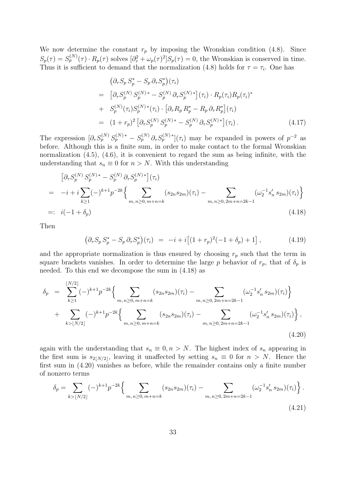We now determine the constant  $r_p$  by imposing the Wronskian condition (4.8). Since  $S_p(\tau) = S_p^{(N)}(\tau) \cdot R_p(\tau)$  solves  $\left[\partial_\tau^2 + \omega_p(\tau)^2\right] S_p(\tau) = 0$ , the Wronskian is conserved in time. Thus it is sufficient to demand that the normalization (4.8) holds for  $\tau = \tau_i$ . One has

$$
\begin{split}\n&\left(\partial_{\tau} S_{p} S_{p}^{*} - S_{p} \partial_{\tau} S_{p}^{*}\right)(\tau_{i}) \\
&= \left[\partial_{\tau} S_{p}^{(N)} S_{p}^{(N)*} - S_{p}^{(N)} \partial_{\tau} S_{p}^{(N)*}\right](\tau_{i}) \cdot R_{p}(\tau_{i}) R_{p}(\tau_{i})^{*} \\
&+ S_{p}^{(N)}(\tau_{i}) S_{p}^{(N)*}(\tau_{i}) \cdot \left[\partial_{\tau} R_{p} R_{p}^{*} - R_{p} \partial_{\tau} R_{p}^{*}\right](\tau_{i}) \\
&= (1 + r_{p})^{2} \left[\partial_{\tau} S_{p}^{(N)} S_{p}^{(N)*} - S_{p}^{(N)} \partial_{\tau} S_{p}^{(N)*}\right](\tau_{i}).\n\end{split} \tag{4.17}
$$

The expression  $[\partial_\tau S_p^{(N)} S_p^{(N)*} - S_p^{(N)} \partial_\tau S_p^{(N)*}](\tau_i)$  may be expanded in powers of  $p^{-2}$  as before. Although this is a finite sum, in order to make contact to the formal Wronskian normalization (4.5), (4.6), it is convenient to regard the sum as being infinite, with the understanding that  $s_n \equiv 0$  for  $n > N$ . With this understanding

$$
\left[ \partial_{\tau} S_{p}^{(N)} S_{p}^{(N)*} - S_{p}^{(N)} \partial_{\tau} S_{p}^{(N)*} \right] (\tau_{i})
$$
\n
$$
= -i + i \sum_{k \ge 1} (-)^{k+1} p^{-2k} \Biggl\{ \sum_{m,n \ge 0, m+n=k} (s_{2n} s_{2m}) (\tau_{i}) - \sum_{m,n \ge 0, 2m+n=2k-1} (\omega_{2}^{-1} s_{n}^{\prime} s_{2m}) (\tau_{i}) \Biggr\}
$$
\n
$$
=: i(-1 + \delta_{p}) \tag{4.18}
$$

Then

$$
\left(\partial_{\tau} S_p S_p^* - S_p \partial_{\tau} S_p^*\right)(\tau_i) = -i + i\left[(1+r_p)^2(-1+\delta_p) + 1\right],\tag{4.19}
$$

and the appropriate normalization is thus ensured by choosing  $r_p$  such that the term in square brackets vanishes. In order to determine the large p behavior of  $r_p$ , that of  $\delta_p$  is needed. To this end we decompose the sum in (4.18) as

$$
\delta_p = \sum_{k \ge 1}^{\lfloor N/2 \rfloor} (-)^{k+1} p^{-2k} \Big\{ \sum_{m,n \ge 0, m+n=k} (s_{2n} s_{2m})(\tau_i) - \sum_{m,n \ge 0, 2m+n=2k-1} (\omega_2^{-1} s'_n s_{2m})(\tau_i) \Big\} + \sum_{k > \lfloor N/2 \rfloor} (-)^{k+1} p^{-2k} \Big\{ \sum_{m,n \ge 0, m+n=k} (s_{2n} s_{2m})(\tau_i) - \sum_{m,n \ge 0, 2m+n=2k-1} (\omega_2^{-1} s'_n s_{2m})(\tau_i) \Big\},
$$
\n(4.20)

again with the understanding that  $s_n \equiv 0, n > N$ . The highest index of  $s_n$  appearing in the first sum is  $s_{2|N/2}$ , leaving it unaffected by setting  $s_n \equiv 0$  for  $n > N$ . Hence the first sum in (4.20) vanishes as before, while the remainder contains only a finite number of nonzero terms

$$
\delta_p = \sum_{k > \lfloor N/2 \rfloor} (-)^{k+1} p^{-2k} \left\{ \sum_{m,n \ge 0, m+n=k} (s_{2n} s_{2m})(\tau_i) - \sum_{m,n \ge 0, 2m+n=2k-1} (\omega_2^{-1} s_n' s_{2m})(\tau_i) \right\}.
$$
\n(4.21)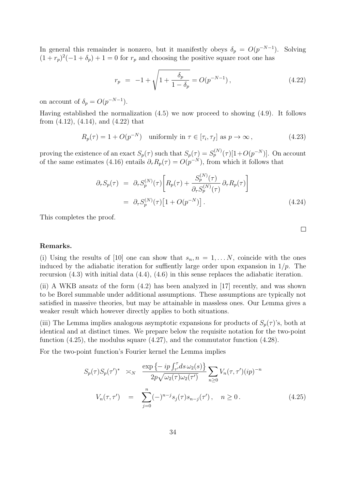In general this remainder is nonzero, but it manifestly obeys  $\delta_p = O(p^{-N-1})$ . Solving  $(1 + r_p)^2(-1 + \delta_p) + 1 = 0$  for  $r_p$  and choosing the positive square root one has

$$
r_p = -1 + \sqrt{1 + \frac{\delta_p}{1 - \delta_p}} = O(p^{-N-1}), \qquad (4.22)
$$

on account of  $\delta_p = O(p^{-N-1}).$ 

Having established the normalization (4.5) we now proceed to showing (4.9). It follows from (4.12), (4.14), and (4.22) that

$$
R_p(\tau) = 1 + O(p^{-N}) \quad \text{uniformly in } \tau \in [\tau_i, \tau_f] \text{ as } p \to \infty,
$$
\n(4.23)

proving the existence of an exact  $S_p(\tau)$  such that  $S_p(\tau) = S_p^{(N)}(\tau)[1+O(p^{-N})]$ . On account of the same estimates (4.16) entails  $\partial_{\tau} R_p(\tau) = O(p^{-N})$ , from which it follows that

$$
\partial_{\tau} S_p(\tau) = \partial_{\tau} S_p^{(N)}(\tau) \left[ R_p(\tau) + \frac{S_p^{(N)}(\tau)}{\partial_{\tau} S_p^{(N)}(\tau)} \partial_{\tau} R_p(\tau) \right]
$$

$$
= \partial_{\tau} S_p^{(N)}(\tau) \left[ 1 + O(p^{-N}) \right]. \tag{4.24}
$$

This completes the proof.

#### Remarks.

(i) Using the results of [10] one can show that  $s_n, n = 1, \ldots N$ , coincide with the ones induced by the adiabatic iteration for suffiently large order upon expansion in  $1/p$ . The recursion (4.3) with initial data (4.4), (4.6) in this sense replaces the adiabatic iteration.

(ii) A WKB ansatz of the form (4.2) has been analyzed in [17] recently, and was shown to be Borel summable under additional assumptions. These assumptions are typically not satisfied in massive theories, but may be attainable in massless ones. Our Lemma gives a weaker result which however directly applies to both situations.

(iii) The Lemma implies analogous asymptotic expansions for products of  $S_p(\tau)$ 's, both at identical and at distinct times. We prepare below the requisite notation for the two-point function (4.25), the modulus square (4.27), and the commutator function (4.28).

For the two-point function's Fourier kernel the Lemma implies

$$
S_p(\tau)S_p(\tau')^* \geq N \frac{\exp\left\{-ip \int_{\tau'}^{\tau} ds \,\omega_2(s)\right\}}{2p\sqrt{\omega_2(\tau)\omega_2(\tau')}} \sum_{n\geq 0} V_n(\tau,\tau')(ip)^{-n}
$$
  

$$
V_n(\tau,\tau') = \sum_{j=0}^n (-)^{n-j} s_j(\tau) s_{n-j}(\tau'), \quad n \geq 0.
$$
 (4.25)

 $\Box$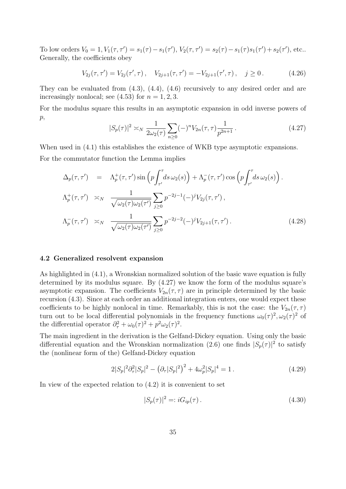To low orders  $V_0 = 1$ ,  $V_1(\tau, \tau') = s_1(\tau) - s_1(\tau')$ ,  $V_2(\tau, \tau') = s_2(\tau) - s_1(\tau)s_1(\tau') + s_2(\tau')$ , etc... Generally, the coefficients obey

$$
V_{2j}(\tau,\tau') = V_{2j}(\tau',\tau), \quad V_{2j+1}(\tau,\tau') = -V_{2j+1}(\tau',\tau), \quad j \ge 0.
$$
 (4.26)

They can be evaluated from (4.3), (4.4), (4.6) recursively to any desired order and are increasingly nonlocal; see  $(4.53)$  for  $n = 1, 2, 3$ .

For the modulus square this results in an asymptotic expansion in odd inverse powers of  $p,$ 

$$
|S_p(\tau)|^2 \asymp_N \frac{1}{2\omega_2(\tau)} \sum_{n\geq 0} (-)^n V_{2n}(\tau, \tau) \frac{1}{p^{2n+1}}.
$$
 (4.27)

When used in  $(4.1)$  this establishes the existence of WKB type asymptotic expansions. For the commutator function the Lemma implies

$$
\Delta_p(\tau, \tau') = \Lambda_p^+(\tau, \tau') \sin\left(p \int_{\tau'}^{\tau} ds \,\omega_2(s)\right) + \Lambda_p^-(\tau, \tau') \cos\left(p \int_{\tau'}^{\tau} ds \,\omega_2(s)\right).
$$
  
\n
$$
\Lambda_p^+(\tau, \tau') \approx_N \frac{1}{\sqrt{\omega_2(\tau)\omega_2(\tau')}} \sum_{j\geq 0} p^{-2j-1}(-)^j V_{2j}(\tau, \tau'),
$$
  
\n
$$
\Lambda_p^-(\tau, \tau') \approx_N \frac{1}{\sqrt{\omega_2(\tau)\omega_2(\tau')}} \sum_{j\geq 0} p^{-2j-2}(-)^j V_{2j+1}(\tau, \tau').
$$
\n(4.28)

#### 4.2 Generalized resolvent expansion

As highlighted in (4.1), a Wronskian normalized solution of the basic wave equation is fully determined by its modulus square. By (4.27) we know the form of the modulus square's asymptotic expansion. The coefficients  $V_{2n}(\tau, \tau)$  are in principle determined by the basic recursion (4.3). Since at each order an additional integration enters, one would expect these coefficients to be highly nonlocal in time. Remarkably, this is not the case: the  $V_{2n}(\tau, \tau)$ turn out to be local differential polynomials in the frequency functions  $\omega_0(\tau)^2, \omega_2(\tau)^2$  of the differential operator  $\partial_{\tau}^2 + \omega_0(\tau)^2 + p^2 \omega_2(\tau)^2$ .

The main ingredient in the derivation is the Gelfand-Dickey equation. Using only the basic differential equation and the Wronskian normalization (2.6) one finds  $|S_p(\tau)|^2$  to satisfy the (nonlinear form of the) Gelfand-Dickey equation

$$
2|S_p|^2 \partial_\tau^2 |S_p|^2 - \left(\partial_\tau |S_p|^2\right)^2 + 4\omega_p^2 |S_p|^4 = 1. \tag{4.29}
$$

In view of the expected relation to (4.2) it is convenient to set

$$
|S_p(\tau)|^2 = i G_{ip}(\tau). \tag{4.30}
$$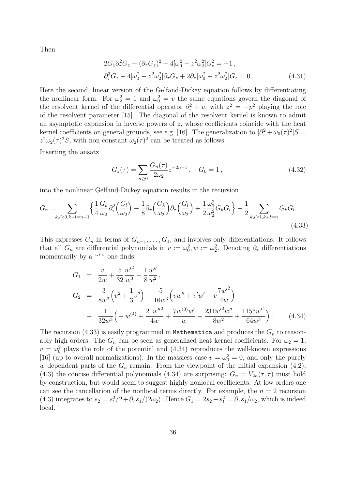Then

$$
2G_z \partial_\tau^2 G_z - (\partial_\tau G_z)^2 + 4[\omega_0^2 - z^2 \omega_2^2] G_z^2 = -1 ,
$$
  

$$
\partial_\tau^3 G_z + 4[\omega_0^2 - z^2 \omega_2^2] \partial_\tau G_z + 2\partial_\tau [\omega_0^2 - z^2 \omega_2^2] G_z = 0 .
$$
 (4.31)

Here the second, linear version of the Gelfand-Dickey equation follows by differentiating the nonlinear form. For  $\omega_2^2 = 1$  and  $\omega_0^2 = v$  the same equations govern the diagonal of the resolvent kernel of the differential operator  $\partial_{\tau}^2 + v$ , with  $z^2 = -p^2$  playing the role of the resolvent parameter [15]. The diagonal of the resolvent kernel is known to admit an asymptotic expansion in inverse powers of z, whose coefficients coincide with the heat kernel coefficients on general grounds, see e.g. [16]. The generalization to  $[\partial^2_\tau + \omega_0(\tau)^2]S =$  $z^2\omega_2(\tau)^2S$ , with non-constant  $\omega_2(\tau)^2$  can be treated as follows.

Inserting the ansatz

$$
G_z(\tau) = \sum_{n\geq 0} \frac{G_n(\tau)}{2\omega_2} z^{-2n-1}, \quad G_0 = 1,
$$
\n(4.32)

into the nonlinear Gelfand-Dickey equation results in the recursion

$$
G_n = \sum_{k,l \ge 0, k+l = n-1} \left\{ \frac{1}{4} \frac{G_k}{\omega_2} \partial_\tau^2 \left( \frac{G_l}{\omega_2} \right) - \frac{1}{8} \partial_\tau \left( \frac{G_k}{\omega_2} \right) \partial_\tau \left( \frac{G_l}{\omega_2} \right) + \frac{1}{2} \frac{\omega_0^2}{\omega_2^2} G_k G_l \right\} - \frac{1}{2} \sum_{k,l \ge 1, k+l = n} G_k G_l.
$$
\n(4.33)

This expresses  $G_n$  in terms of  $G_{n-1}, \ldots, G_1$ , and involves only differentiations. It follows that all  $G_n$  are differential polynomials in  $v := \omega_0^2, w := \omega_2^2$ . Denoting  $\partial_{\tau}$  differentiations momentarily by a  $\mathbf{u}'$  one finds:

$$
G_1 = \frac{v}{2w} + \frac{5}{32} \frac{w'^2}{w^3} - \frac{1}{8} \frac{w''}{w^2},
$$
  
\n
$$
G_2 = \frac{3}{8w^2} \left( v^2 + \frac{1}{3} v'' \right) - \frac{5}{16w^3} \left( v w'' + v' w' - v \frac{7w'^2}{4w} \right)
$$
  
\n
$$
+ \frac{1}{32w^3} \left( -w^{(4)} + \frac{21w''^2}{4w} + \frac{7w^{(3)}w'}{w} - \frac{231w'^2w''}{8w^2} + \frac{1155w'^4}{64w^3} \right).
$$
 (4.34)

The recursion (4.33) is easily programmed in Mathematica and produces the  $G_n$  to reasonably high orders. The  $G_n$  can be seen as generalized heat kernel coefficients. For  $\omega_2 = 1$ ,  $v = \omega_0^2$  plays the role of the potential and (4.34) reproduces the well-known expressions [16] (up to overall normalizations). In the massless case  $v = \omega_0^2 = 0$ , and only the purely w dependent parts of the  $G_n$  remain. From the viewpoint of the initial expansion (4.2), (4.3) the concise differential polynomials (4.34) are surprising:  $G_n = V_{2n}(\tau, \tau)$  must hold by construction, but would seem to suggest highly nonlocal coefficients. At low orders one can see the cancellation of the nonlocal terms directly. For example, the  $n = 2$  recursion (4.3) integrates to  $s_2 = s_1^2/2 + \partial_\tau s_1/(2\omega_2)$ . Hence  $G_1 = 2s_2 - s_1^2 = \partial_\tau s_1/\omega_2$ , which is indeed local.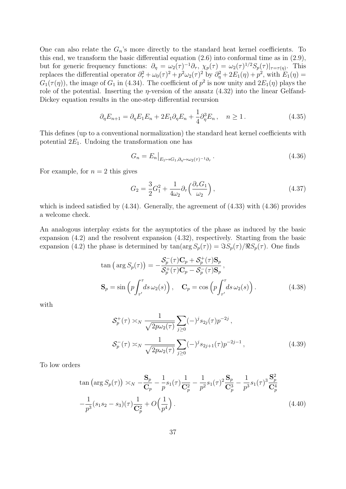One can also relate the  $G_n$ 's more directly to the standard heat kernel coefficients. To this end, we transform the basic differential equation (2.6) into conformal time as in (2.9), but for generic frequency functions:  $\partial_{\eta} = \omega_2(\tau)^{-1} \partial_{\tau}$ ,  $\chi_p(\tau) = \omega_2(\tau)^{1/2} S_p(\tau)|_{\tau=\tau(\eta)}$ . This replaces the differential operator  $\partial_{\tau}^2 + \omega_0(\tau)^2 + p^2 \omega_2(\tau)^2$  by  $\partial_{\eta}^2 + 2E_1(\eta) + p^2$ , with  $E_1(\eta) =$  $G_1(\tau(\eta))$ , the image of  $G_1$  in (4.34). The coefficient of  $p^2$  is now unity and  $2E_1(\eta)$  plays the role of the potential. Inserting the  $\eta$ -version of the ansatz (4.32) into the linear Gelfand-Dickey equation results in the one-step differential recursion

$$
\partial_{\eta} E_{n+1} = \partial_{\eta} E_1 E_n + 2E_1 \partial_{\eta} E_n + \frac{1}{4} \partial_{\eta}^3 E_n, \quad n \ge 1.
$$
 (4.35)

This defines (up to a conventional normalization) the standard heat kernel coefficients with potential  $2E_1$ . Undoing the transformation one has

$$
G_n = E_n \big|_{E_1 \mapsto G_1, \partial_\eta \mapsto \omega_2(\tau)^{-1} \partial_\tau} \,. \tag{4.36}
$$

For example, for  $n = 2$  this gives

$$
G_2 = \frac{3}{2}G_1^2 + \frac{1}{4\omega_2}\partial_\tau \left(\frac{\partial_\tau G_1}{\omega_2}\right),\tag{4.37}
$$

which is indeed satisfied by  $(4.34)$ . Generally, the agreement of  $(4.33)$  with  $(4.36)$  provides a welcome check.

An analogous interplay exists for the asymptotics of the phase as induced by the basic expansion (4.2) and the resolvent expansion (4.32), respectively. Starting from the basic expansion (4.2) the phase is determined by  $tan(\arg S_p(\tau)) = \Im S_p(\tau)/\Re S_p(\tau)$ . One finds

$$
\tan\left(\arg S_p(\tau)\right) = -\frac{\mathcal{S}_p^-(\tau)\mathbf{C}_p + \mathcal{S}_p^+(\tau)\mathbf{S}_p}{\mathcal{S}_p^+(\tau)\mathbf{C}_p - \mathcal{S}_p^-(\tau)\mathbf{S}_p},
$$
\n
$$
\mathbf{S}_p = \sin\left(p\int_{\tau'}^{\tau} ds \,\omega_2(s)\right), \quad \mathbf{C}_p = \cos\left(p\int_{\tau'}^{\tau} ds \,\omega_2(s)\right). \tag{4.38}
$$

with

$$
S_p^+(\tau) \asymp_N \frac{1}{\sqrt{2p\omega_2(\tau)}} \sum_{j\geq 0} (-)^j s_{2j}(\tau) p^{-2j},
$$
  

$$
S_p^-(\tau) \asymp_N \frac{1}{\sqrt{2p\omega_2(\tau)}} \sum_{j\geq 0} (-)^j s_{2j+1}(\tau) p^{-2j-1},
$$
 (4.39)

To low orders

$$
\tan\left(\arg S_p(\tau)\right) \asymp_N - \frac{\mathbf{S}_p}{\mathbf{C}_p} - \frac{1}{p} s_1(\tau) \frac{1}{\mathbf{C}_p^2} - \frac{1}{p^2} s_1(\tau)^2 \frac{\mathbf{S}_p}{\mathbf{C}_p^3} - \frac{1}{p^3} s_1(\tau)^3 \frac{\mathbf{S}_p^2}{\mathbf{C}_p^4} - \frac{1}{p^3} (s_1 s_2 - s_3)(\tau) \frac{1}{\mathbf{C}_p^2} + O\left(\frac{1}{p^4}\right).
$$
\n(4.40)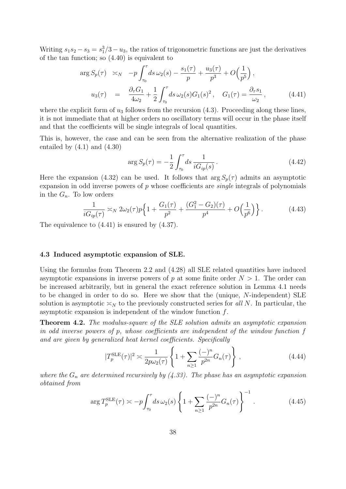Writing  $s_1 s_2 - s_3 = s_1^3/3 - u_3$ , the ratios of trigonometric functions are just the derivatives of the tan function; so (4.40) is equivalent to

$$
\arg S_p(\tau) \approx_N -p \int_{\tau_0}^{\tau} ds \,\omega_2(s) - \frac{s_1(\tau)}{p} + \frac{u_3(\tau)}{p^3} + O\left(\frac{1}{p^5}\right),
$$
  

$$
u_3(\tau) = \frac{\partial_{\tau} G_1}{4\omega_2} + \frac{1}{2} \int_{\tau_0}^{\tau} ds \,\omega_2(s) G_1(s)^2, \quad G_1(\tau) = \frac{\partial_{\tau} s_1}{\omega_2}, \quad (4.41)
$$

where the explicit form of  $u_3$  follows from the recursion (4.3). Proceeding along these lines, it is not immediate that at higher orders no oscillatory terms will occur in the phase itself and that the coefficients will be single integrals of local quantities.

This is, however, the case and can be seen from the alternative realization of the phase entailed by  $(4.1)$  and  $(4.30)$ 

$$
\arg S_p(\tau) = -\frac{1}{2} \int_{\tau_0}^{\tau} ds \, \frac{1}{i G_{ip}(s)}.
$$
\n(4.42)

Here the expansion (4.32) can be used. It follows that  $\arg S_p(\tau)$  admits an asymptotic expansion in odd inverse powers of  $p$  whose coefficients are *single* integrals of polynomials in the  $G_n$ . To low orders

$$
\frac{1}{iG_{ip}(\tau)} \approx_N 2\omega_2(\tau)p\left\{1 + \frac{G_1(\tau)}{p^2} + \frac{(G_1^2 - G_2)(\tau)}{p^4} + O\left(\frac{1}{p^6}\right)\right\}.
$$
 (4.43)

The equivalence to (4.41) is ensured by (4.37).

#### 4.3 Induced asymptotic expansion of SLE.

Using the formulas from Theorem 2.2 and (4.28) all SLE related quantities have induced asymptotic expansions in inverse powers of p at some finite order  $N > 1$ . The order can be increased arbitrarily, but in general the exact reference solution in Lemma 4.1 needs to be changed in order to do so. Here we show that the (unique, N-independent) SLE solution is asymptotic  $\leq_N$  to the previously constructed series for all N. In particular, the asymptotic expansion is independent of the window function f.

Theorem 4.2. The modulus-square of the SLE solution admits an asymptotic expansion in odd inverse powers of p, whose coefficients are independent of the window function f and are given by generalized heat kernel coefficients. Specifically

$$
|T_p^{\text{SLE}}(\tau)|^2 \asymp \frac{1}{2p\omega_2(\tau)} \left\{ 1 + \sum_{n\geq 1} \frac{(-)^n}{p^{2n}} G_n(\tau) \right\},\tag{4.44}
$$

where the  $G_n$  are determined recursively by (4.33). The phase has an asymptotic expansion obtained from

$$
\arg T_p^{\text{SLE}}(\tau) \asymp -p \int_{\tau_0}^{\tau} ds \,\omega_2(s) \left\{ 1 + \sum_{n\geq 1} \frac{(-)^n}{p^{2n}} G_n(\tau) \right\}^{-1} . \tag{4.45}
$$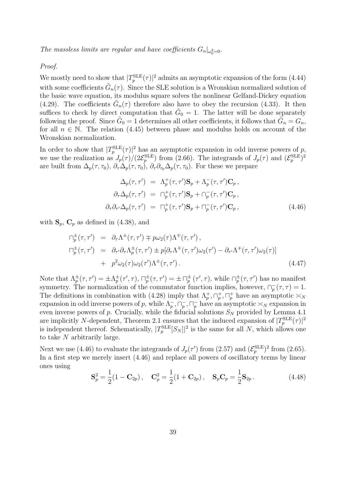The massless limits are regular and have coefficients  $G_n|_{\omega_0^2=0}$ .

Proof.

We mostly need to show that  $|T_p^{\text{SLE}}(\tau)|^2$  admits an asymptotic expansion of the form (4.44) with some coefficients  $\tilde{G}_n(\tau)$ . Since the SLE solution is a Wronskian normalized solution of the basic wave equation, its modulus square solves the nonlinear Gelfand-Dickey equation (4.29). The coefficients  $\tilde{G}_n(\tau)$  therefore also have to obey the recursion (4.33). It then suffices to check by direct computation that  $\tilde{G}_0 = 1$ . The latter will be done separately following the proof. Since  $\tilde{G}_0 = 1$  determines all other coefficients, it follows that  $\tilde{G}_n = G_n$ , for all  $n \in \mathbb{N}$ . The relation (4.45) between phase and modulus holds on account of the Wronskian normalization.

In order to show that  $|T_p^{\text{SLE}}(\tau)|^2$  has an asymptotic expansion in odd inverse powers of p, we use the realization as  $J_p(\tau)/(2\mathcal{E}_p^{\text{SLE}})$  from (2.66). The integrands of  $J_p(\tau)$  and  $(\mathcal{E}_p^{\text{SLE}})^2$ are built from  $\Delta_p(\tau, \tau_0)$ ,  $\partial_\tau \Delta_p(\tau, \tau_0)$ ,  $\partial_\tau \partial_{\tau_0} \Delta_p(\tau, \tau_0)$ . For these we prepare

$$
\Delta_p(\tau, \tau') = \Lambda_p^+(\tau, \tau') \mathbf{S}_p + \Lambda_p^-(\tau, \tau') \mathbf{C}_p ,
$$
  
\n
$$
\partial_\tau \Delta_p(\tau, \tau') = \cap_p^+(\tau, \tau') \mathbf{S}_p + \cap_p^-(\tau, \tau') \mathbf{C}_p ,
$$
  
\n
$$
\partial_\tau \partial_{\tau'} \Delta_p(\tau, \tau') = \Pi_p^+(\tau, \tau') \mathbf{S}_p + \Pi_p^-(\tau, \tau') \mathbf{C}_p ,
$$
\n(4.46)

with  $S_p$ ,  $C_p$  as defined in (4.38), and

$$
\begin{split}\n\Box_p^{\pm}(\tau, \tau') &= \partial_{\tau} \Lambda^{\pm}(\tau, \tau') \mp p \omega_2(\tau) \Lambda^{\mp}(\tau, \tau'), \\
\Box_p^{\pm}(\tau, \tau') &= \partial_{\tau'} \partial_{\tau} \Lambda_p^{\pm}(\tau, \tau') \pm p [\partial_{\tau} \Lambda^{\mp}(\tau, \tau') \omega_2(\tau') - \partial_{\tau'} \Lambda^{\mp}(\tau, \tau') \omega_2(\tau)] \\
&+ p^2 \omega_2(\tau) \omega_2(\tau') \Lambda^{\pm}(\tau, \tau').\n\end{split} \tag{4.47}
$$

Note that  $\Lambda_p^{\pm}(\tau,\tau') = \pm \Lambda_p^{\pm}(\tau',\tau)$ ,  $\Box_p^{\pm}(\tau,\tau') = \pm \Box_p^{\pm}(\tau',\tau)$ , while  $\Box_p^{\pm}(\tau,\tau')$  has no manifest symmetry. The normalization of the commutator function implies, however,  $\bigcap_{p}^{-}(\tau,\tau)=1$ . The definitions in combination with (4.28) imply that  $\Lambda_p^+, \cap_p^+, \Pi_p^+$  have an asymptotic  $\asymp_N$ expansion in odd inverse powers of p, while  $\Lambda_p^-$ ,  $\cap_p^-$ ,  $\cap_p^-$  have an asymptotic  $\asymp_N$  expansion in even inverse powers of p. Crucially, while the fiducial solutions  $S_N$  provided by Lemma 4.1 are implicitly N-dependent, Theorem 2.1 ensures that the induced expansion of  $|T_p^{\text{SLE}}(\tau)|^2$ is independent thereof. Schematically,  $|T_p^{\text{SLE}}[S_N]|^2$  is the same for all N, which allows one to take N arbitrarily large.

Next we use (4.46) to evaluate the integrands of  $J_p(\tau')$  from (2.57) and  $(\mathcal{E}_p^{\text{SLE}})^2$  from (2.65). In a first step we merely insert (4.46) and replace all powers of oscillatory terms by linear ones using

$$
\mathbf{S}_p^2 = \frac{1}{2}(1 - \mathbf{C}_{2p}), \quad \mathbf{C}_p^2 = \frac{1}{2}(1 + \mathbf{C}_{2p}), \quad \mathbf{S}_p \mathbf{C}_p = \frac{1}{2} \mathbf{S}_{2p}.
$$
 (4.48)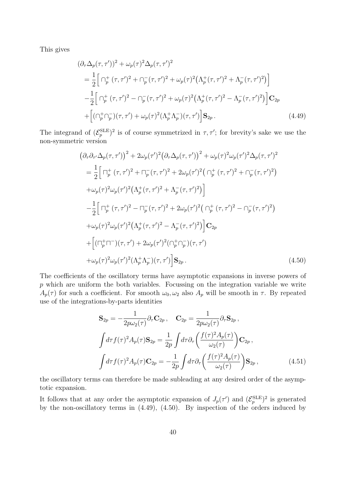This gives

$$
(\partial_{\tau} \Delta_p(\tau, \tau'))^2 + \omega_p(\tau)^2 \Delta_p(\tau, \tau')^2
$$
  
=  $\frac{1}{2} \Big[ \bigcap_p^+ (\tau, \tau')^2 + \bigcap_p^- (\tau, \tau')^2 + \omega_p(\tau)^2 \big( \Lambda_p^+ (\tau, \tau')^2 + \Lambda_p^- (\tau, \tau')^2 \big) \Big]$   
 $-\frac{1}{2} \Big[ \bigcap_p^+ (\tau, \tau')^2 - \bigcap_p^- (\tau, \tau')^2 + \omega_p(\tau)^2 \big( \Lambda_p^+ (\tau, \tau')^2 - \Lambda_p^- (\tau, \tau')^2 \big) \Big] \mathbf{C}_{2p}$   
+  $\Big[ \big( \bigcap_p^+ \bigcap_p^- \big) (\tau, \tau') + \omega_p(\tau)^2 \big( \Lambda_p^+ \Lambda_p^- \big) (\tau, \tau') \Big] \mathbf{S}_{2p} .$  (4.49)

The integrand of  $(\mathcal{E}_p^{\text{SLE}})^2$  is of course symmetrized in  $\tau, \tau'$ ; for brevity's sake we use the non-symmetric version

$$
(\partial_{\tau}\partial_{\tau'}\Delta_{p}(\tau,\tau'))^{2} + 2\omega_{p}(\tau')^{2} (\partial_{\tau}\Delta_{p}(\tau,\tau'))^{2} + \omega_{p}(\tau)^{2}\omega_{p}(\tau')^{2}\Delta_{p}(\tau,\tau')^{2}
$$
\n
$$
= \frac{1}{2} \Big[\Gamma_{p}^{+}(\tau,\tau')^{2} + \Gamma_{p}^{-}(\tau,\tau')^{2} + 2\omega_{p}(\tau')^{2} (\Gamma_{p}^{+}(\tau,\tau')^{2} + \Gamma_{p}^{-}(\tau,\tau')^{2})
$$
\n
$$
+ \omega_{p}(\tau)^{2}\omega_{p}(\tau')^{2} (\Lambda_{p}^{+}(\tau,\tau')^{2} + \Lambda_{p}^{-}(\tau,\tau')^{2}) \Big]
$$
\n
$$
- \frac{1}{2} \Big[\Gamma_{p}^{+}(\tau,\tau')^{2} - \Gamma_{p}^{-}(\tau,\tau')^{2} + 2\omega_{p}(\tau')^{2} (\Gamma_{p}^{+}(\tau,\tau')^{2} - \Gamma_{p}^{-}(\tau,\tau')^{2})
$$
\n
$$
+ \omega_{p}(\tau)^{2}\omega_{p}(\tau')^{2} (\Lambda_{p}^{+}(\tau,\tau')^{2} - \Lambda_{p}^{-}(\tau,\tau')^{2}) \Big] \mathbf{C}_{2p}
$$
\n
$$
+ \Big[(\Gamma_{p}^{+}\Gamma_{p}^{-})(\tau,\tau') + 2\omega_{p}(\tau')^{2} (\Gamma_{p}^{+}\Gamma_{p}^{-})(\tau,\tau')
$$
\n
$$
+ \omega_{p}(\tau)^{2}\omega_{p}(\tau')^{2} (\Lambda_{p}^{+}\Lambda_{p}^{-})(\tau,\tau') \Big] \mathbf{S}_{2p}.
$$
\n(4.50)

The coefficients of the oscillatory terms have asymptotic expansions in inverse powers of p which are uniform the both variables. Focussing on the integration variable we write  $A_p(\tau)$  for such a coefficient. For smooth  $\omega_0, \omega_2$  also  $A_p$  will be smooth in  $\tau$ . By repeated use of the integrations-by-parts identities

$$
\mathbf{S}_{2p} = -\frac{1}{2p\omega_2(\tau)} \partial_\tau \mathbf{C}_{2p} , \quad \mathbf{C}_{2p} = \frac{1}{2p\omega_2(\tau)} \partial_\tau \mathbf{S}_{2p} ,
$$

$$
\int d\tau f(\tau)^2 A_p(\tau) \mathbf{S}_{2p} = \frac{1}{2p} \int d\tau \partial_\tau \left( \frac{f(\tau)^2 A_p(\tau)}{\omega_2(\tau)} \right) \mathbf{C}_{2p} ,
$$

$$
\int d\tau f(\tau)^2 A_p(\tau) \mathbf{C}_{2p} = -\frac{1}{2p} \int d\tau \partial_\tau \left( \frac{f(\tau)^2 A_p(\tau)}{\omega_2(\tau)} \right) \mathbf{S}_{2p} ,
$$
(4.51)

the oscillatory terms can therefore be made subleading at any desired order of the asymptotic expansion.

It follows that at any order the asymptotic expansion of  $J_p(\tau')$  and  $(\mathcal{E}_p^{\text{SLE}})^2$  is generated by the non-oscillatory terms in (4.49), (4.50). By inspection of the orders induced by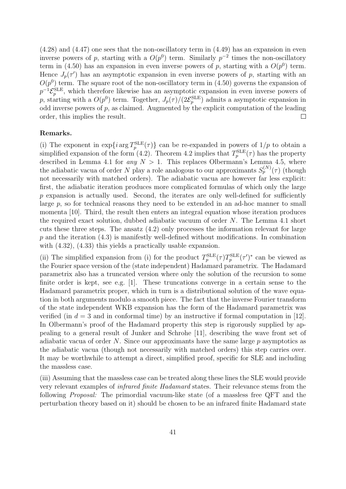(4.28) and (4.47) one sees that the non-oscillatory term in (4.49) has an expansion in even inverse powers of p, starting with a  $O(p^0)$  term. Similarly  $p^{-2}$  times the non-oscillatory term in (4.50) has an expansion in even inverse powers of p, starting with a  $O(p^0)$  term. Hence  $J_p(\tau')$  has an asymptotic expansion in even inverse powers of p, starting with an  $O(p^0)$  term. The square root of the non-oscillatory term in (4.50) governs the expansion of  $p^{-1}\mathcal{E}_p^{\rm SLE}$ , which therefore likewise has an asymptotic expansion in even inverse powers of p, starting with a  $O(p^0)$  term. Together,  $J_p(\tau)/(2\mathcal{E}_p^{\text{SLE}})$  admits a asymptotic expansion in odd inverse powers of  $p$ , as claimed. Augmented by the explicit computation of the leading order, this implies the result.  $\Box$ 

#### Remarks.

(i) The exponent in  $\exp\{i \arg T_p^{\text{SLE}}(\tau)\}\)$  can be re-expanded in powers of  $1/p$  to obtain a simplified expansion of the form (4.2). Theorem 4.2 implies that  $T_p^{\text{SLE}}(\tau)$  has the property described in Lemma 4.1 for *any*  $N > 1$ . This replaces Olbermann's Lemma 4.5, where the adiabatic vacua of order N play a role analogous to our approximants  $S_p^{(N)}(\tau)$  (though not necessarily with matched orders). The adiabatic vacua are however far less explicit: first, the adiabatic iteration produces more complicated formulas of which only the large  $p$  expansion is actually used. Second, the iterates are only well-defined for sufficiently large  $p$ , so for technical reasons they need to be extended in an ad-hoc manner to small momenta [10]. Third, the result then enters an integral equation whose iteration produces the required exact solution, dubbed adiabatic vacuum of order N. The Lemma 4.1 short cuts these three steps. The ansatz (4.2) only processes the information relevant for large  $p$  and the iteration  $(4.3)$  is manifestly well-defined without modifications. In combination with  $(4.32)$ ,  $(4.33)$  this yields a practically usable expansion.

(ii) The simplified expansion from (i) for the product  $T_p^{\text{SLE}}(\tau)T_p^{\text{SLE}}(\tau')^*$  can be viewed as the Fourier space version of the (state independent) Hadamard parametrix. The Hadamard parametrix also has a truncated version where only the solution of the recursion to some finite order is kept, see e.g. [1]. These truncations converge in a certain sense to the Hadamard parametrix proper, which in turn is a distributional solution of the wave equation in both arguments modulo a smooth piece. The fact that the inverse Fourier transform of the state independent WKB expansion has the form of the Hadamard parametrix was verified (in  $d = 3$  and in conformal time) by an instructive if formal computation in [12]. In Olbermann's proof of the Hadamard property this step is rigorously supplied by appealing to a general result of Junker and Schrohe [11], describing the wave front set of adiabatic vacua of order  $N$ . Since our approximants have the same large  $p$  asymptotics as the adiabatic vacua (though not necessarily with matched orders) this step carries over. It may be worthwhile to attempt a direct, simplified proof, specific for SLE and including the massless case.

(iii) Assuming that the massless case can be treated along these lines the SLE would provide very relevant examples of infrared finite Hadamard states. Their relevance stems from the following Proposal: The primordial vacuum-like state (of a massless free QFT and the perturbation theory based on it) should be chosen to be an infrared finite Hadamard state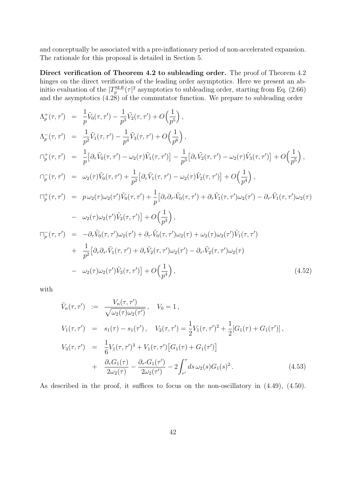and conceptually be associated with a pre-inflationary period of non-accelerated expansion. The rationale for this proposal is detailed in Section 5.

Direct verification of Theorem 4.2 to subleading order. The proof of Theorem 4.2 hinges on the direct verification of the leading order asymptotics. Here we present an abinitio evaluation of the  $|T_p^{\text{SLE}}(\tau)|^2$  asymptotics to subleading order, starting from Eq. (2.66) and the asymptotics (4.28) of the commutator function. We prepare to subleading order

$$
\Lambda_{p}^{+}(\tau,\tau') = \frac{1}{p}\tilde{V}_{0}(\tau,\tau') - \frac{1}{p^{3}}\tilde{V}_{2}(\tau,\tau') + O\left(\frac{1}{p^{5}}\right),
$$
\n
$$
\Lambda_{p}^{-}(\tau,\tau') = \frac{1}{p^{2}}\tilde{V}_{1}(\tau,\tau') - \frac{1}{p^{4}}\tilde{V}_{3}(\tau,\tau') + O\left(\frac{1}{p^{6}}\right),
$$
\n
$$
\Gamma_{p}^{+}(\tau,\tau') = \frac{1}{p}\left[\partial_{\tau}\tilde{V}_{0}(\tau,\tau') - \omega_{2}(\tau)\tilde{V}_{1}(\tau,\tau')\right] - \frac{1}{p^{3}}\left[\partial_{\tau}\tilde{V}_{2}(\tau,\tau') - \omega_{2}(\tau)\tilde{V}_{3}(\tau,\tau')\right] + O\left(\frac{1}{p^{5}}\right),
$$
\n
$$
\Gamma_{p}^{-}(\tau,\tau') = \omega_{2}(\tau)\tilde{V}_{0}(\tau,\tau') + \frac{1}{p^{2}}\left[\partial_{\tau}\tilde{V}_{1}(\tau,\tau') - \omega_{2}(\tau)\tilde{V}_{2}(\tau,\tau')\right] + O\left(\frac{1}{p^{4}}\right),
$$
\n
$$
\Gamma_{p}^{+}(\tau,\tau') = p\omega_{2}(\tau)\omega_{2}(\tau')\tilde{V}_{0}(\tau,\tau') + \frac{1}{p}\left[\partial_{\tau}\partial_{\tau'}\tilde{V}_{0}(\tau,\tau') + \partial_{\tau}\tilde{V}_{1}(\tau,\tau')\omega_{2}(\tau') - \partial_{\tau'}\tilde{V}_{1}(\tau,\tau')\omega_{2}(\tau)\right]
$$
\n
$$
- \omega_{2}(\tau)\omega_{2}(\tau')\tilde{V}_{2}(\tau,\tau')\right] + O\left(\frac{1}{p^{3}}\right),
$$
\n
$$
\Gamma_{p}^{-}(\tau,\tau') = -\partial_{\tau}\tilde{V}_{0}(\tau,\tau')\omega_{2}(\tau') + \partial_{\tau}\tilde{V}_{0}(\tau,\tau')\omega_{2}(\tau) + \omega_{2}(\tau)\omega_{2}(\tau')\tilde{V}_{1}(\tau,\tau')
$$
\n
$$
+ \frac{1}{p^{2}}\left[\partial_{\tau}\partial_{\tau'}\tilde{V}_{1}(\tau,\tau') +
$$

with

$$
\tilde{V}_n(\tau, \tau') := \frac{V_n(\tau, \tau')}{\sqrt{\omega_2(\tau)\omega_2(\tau')}} , \quad V_0 = 1 ,
$$
\n
$$
V_1(\tau, \tau') = s_1(\tau) - s_1(\tau') , \quad V_2(\tau, \tau') = \frac{1}{2} V_1(\tau, \tau')^2 + \frac{1}{2} [G_1(\tau) + G_1(\tau')],
$$
\n
$$
V_3(\tau, \tau') = \frac{1}{6} V_1(\tau, \tau')^3 + V_1(\tau, \tau') [G_1(\tau) + G_1(\tau')]
$$
\n
$$
+ \frac{\partial_\tau G_1(\tau)}{2\omega_2(\tau)} - \frac{\partial_{\tau'} G_1(\tau')}{2\omega_2(\tau')} - 2 \int_{\tau'}^{\tau} ds \,\omega_2(s) G_1(s)^2 . \tag{4.53}
$$

As described in the proof, it suffices to focus on the non-oscillatory in  $(4.49)$ ,  $(4.50)$ .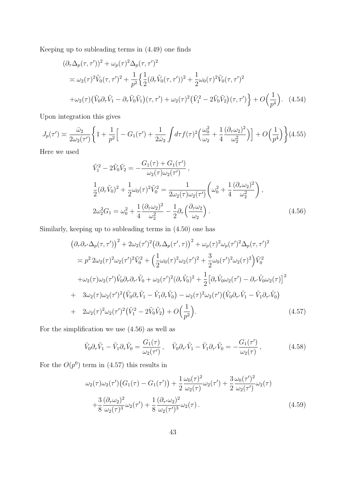Keeping up to subleading terms in (4.49) one finds

$$
(\partial_{\tau}\Delta_{p}(\tau,\tau'))^{2} + \omega_{p}(\tau)^{2}\Delta_{p}(\tau,\tau')^{2}
$$
  
\n
$$
\approx \omega_{2}(\tau)^{2}\tilde{V}_{0}(\tau,\tau')^{2} + \frac{1}{p^{2}}\left\{\frac{1}{2}(\partial_{\tau}\tilde{V}_{0}(\tau,\tau'))^{2} + \frac{1}{2}\omega_{0}(\tau)^{2}\tilde{V}_{0}(\tau,\tau')^{2}\right\}
$$
  
\n
$$
+\omega_{2}(\tau)(\tilde{V}_{0}\partial_{\tau}\tilde{V}_{1} - \partial_{\tau}\tilde{V}_{0}\tilde{V}_{1})(\tau,\tau') + \omega_{2}(\tau)^{2}(\tilde{V}_{1}^{2} - 2\tilde{V}_{0}\tilde{V}_{2})(\tau,\tau') + O\left(\frac{1}{p^{4}}\right).
$$
 (4.54)

Upon integration this gives

$$
J_p(\tau') \approx \frac{\bar{\omega}_2}{2\omega_2(\tau')} \left\{ 1 + \frac{1}{p^2} \Big[ -G_1(\tau') + \frac{1}{2\bar{\omega}_2} \int d\tau f(\tau)^2 \Big( \frac{\omega_0^2}{\omega_2} + \frac{1}{4} \frac{(\partial_\tau \omega_2)^2}{\omega_2^2} \Big) \Big] + O\Big(\frac{1}{p^4}\Big) \right\} (4.55)
$$

Here we used

$$
\tilde{V}_{1}^{2} - 2\tilde{V}_{0}\tilde{V}_{2} = -\frac{G_{1}(\tau) + G_{1}(\tau')}{\omega_{2}(\tau)\omega_{2}(\tau')}, \n\frac{1}{2}(\partial_{\tau}\tilde{V}_{0})^{2} + \frac{1}{2}\omega_{0}(\tau)^{2}\tilde{V}_{0}^{2} = \frac{1}{2\omega_{2}(\tau)\omega_{2}(\tau')} \left(\omega_{0}^{2} + \frac{1}{4}\frac{(\partial_{\tau}\omega_{2})^{2}}{\omega_{2}^{2}}\right), \n2\omega_{2}^{2}G_{1} = \omega_{0}^{2} + \frac{1}{4}\frac{(\partial_{\tau}\omega_{2})^{2}}{\omega_{2}^{2}} - \frac{1}{2}\partial_{\tau}\left(\frac{\partial_{\tau}\omega_{2}}{\omega_{2}}\right).
$$
\n(4.56)

Similarly, keeping up to subleading terms in (4.50) one has

$$
(\partial_{\tau}\partial_{\tau'}\Delta_{p}(\tau,\tau'))^{2} + 2\omega_{2}(\tau')^{2}(\partial_{\tau}\Delta_{p}(\tau',\tau))^{2} + \omega_{p}(\tau)^{2}\omega_{p}(\tau')^{2}\Delta_{p}(\tau,\tau')^{2}
$$
  
\n
$$
\approx p^{2} 2\omega_{2}(\tau)^{2}\omega_{2}(\tau')^{2}\tilde{V}_{0}^{2} + \left(\frac{1}{2}\omega_{0}(\tau)^{2}\omega_{2}(\tau')^{2} + \frac{3}{2}\omega_{0}(\tau')^{2}\omega_{2}(\tau)^{2}\right)\tilde{V}_{0}^{2}
$$
  
\n
$$
+\omega_{2}(\tau)\omega_{2}(\tau')\tilde{V}_{0}\partial_{\tau}\partial_{\tau'}\tilde{V}_{0} + \omega_{2}(\tau')^{2}(\partial_{\tau}\tilde{V}_{0})^{2} + \frac{1}{2}\left[\partial_{\tau}\tilde{V}_{0}\omega_{2}(\tau') - \partial_{\tau'}\tilde{V}_{0}\omega_{2}(\tau)\right]^{2}
$$
  
\n+  $3\omega_{2}(\tau)\omega_{2}(\tau')^{2}(\tilde{V}_{0}\partial_{\tau}\tilde{V}_{1} - \tilde{V}_{1}\partial_{\tau}\tilde{V}_{0}) - \omega_{2}(\tau)^{2}\omega_{2}(\tau')(\tilde{V}_{0}\partial_{\tau'}\tilde{V}_{1} - \tilde{V}_{1}\partial_{\tau'}\tilde{V}_{0})$   
\n+  $2\omega_{2}(\tau)^{2}\omega_{2}(\tau')^{2}(\tilde{V}_{1}^{2} - 2\tilde{V}_{0}\tilde{V}_{2}) + O\left(\frac{1}{p^{2}}\right).$  (4.57)

For the simplification we use (4.56) as well as

$$
\tilde{V}_0 \partial_\tau \tilde{V}_1 - \tilde{V}_1 \partial_\tau \tilde{V}_0 = \frac{G_1(\tau)}{\omega_2(\tau')}, \quad \tilde{V}_0 \partial_{\tau'} \tilde{V}_1 - \tilde{V}_1 \partial_{\tau'} \tilde{V}_0 = -\frac{G_1(\tau')}{\omega_2(\tau)}, \tag{4.58}
$$

For the  $O(p^0)$  term in (4.57) this results in

$$
\omega_2(\tau)\omega_2(\tau')\big(G_1(\tau) - G_1(\tau')\big) + \frac{1}{2}\frac{\omega_0(\tau)^2}{\omega_2(\tau)}\omega_2(\tau') + \frac{3}{2}\frac{\omega_0(\tau')^2}{\omega_2(\tau')}\omega_2(\tau) + \frac{3}{8}\frac{(\partial_\tau\omega_2)^2}{\omega_2(\tau)^3}\omega_2(\tau') + \frac{1}{8}\frac{(\partial_{\tau'}\omega_2)^2}{\omega_2(\tau')^3}\omega_2(\tau).
$$
\n(4.59)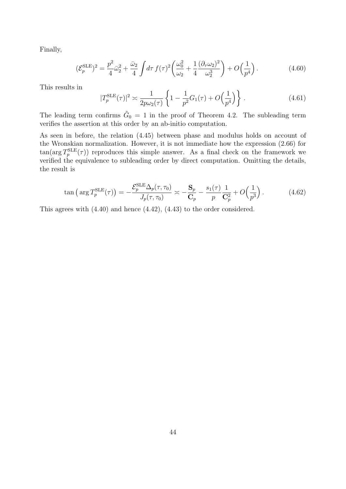Finally,

$$
(\mathcal{E}_p^{\text{SLE}})^2 = \frac{p^2}{4}\bar{\omega}_2^2 + \frac{\bar{\omega}_2}{4} \int d\tau \, f(\tau)^2 \left(\frac{\omega_0^2}{\omega_2} + \frac{1}{4} \frac{(\partial_\tau \omega_2)^2}{\omega_2^3}\right) + O\left(\frac{1}{p^4}\right). \tag{4.60}
$$

This results in

|T

$$
|T_p^{\text{SLE}}(\tau)|^2 \approx \frac{1}{2p\omega_2(\tau)} \left\{ 1 - \frac{1}{p^2} G_1(\tau) + O\left(\frac{1}{p^4}\right) \right\} \,. \tag{4.61}
$$

The leading term confirms  $\tilde{G}_0 = 1$  in the proof of Theorem 4.2. The subleading term verifies the assertion at this order by an ab-initio computation.

As seen in before, the relation (4.45) between phase and modulus holds on account of the Wronskian normalization. However, it is not immediate how the expression (2.66) for  $\tan(\arg T_p^{\text{SLE}}(\tau))$  reproduces this simple answer. As a final check on the framework we verified the equivalence to subleading order by direct computation. Omitting the details, the result is

$$
\tan\left(\arg T_p^{\text{SLE}}(\tau)\right) = -\frac{\mathcal{E}_p^{\text{SLE}}\Delta_p(\tau,\tau_0)}{J_p(\tau,\tau_0)} \asymp -\frac{\mathbf{S}_p}{\mathbf{C}_p} - \frac{s_1(\tau)}{p} \frac{1}{\mathbf{C}_p^2} + O\left(\frac{1}{p^3}\right). \tag{4.62}
$$

This agrees with (4.40) and hence (4.42), (4.43) to the order considered.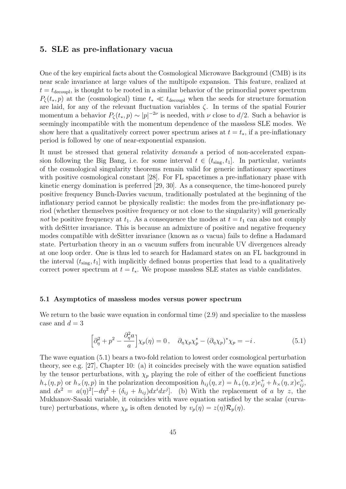## 5. SLE as pre-inflationary vacua

One of the key empirical facts about the Cosmological Microwave Background (CMB) is its near scale invariance at large values of the multipole expansion. This feature, realized at  $t = t_{\text{decoupl}}$ , is thought to be rooted in a similar behavior of the primordial power spectrum  $P_{\zeta}(t_*,p)$  at the (cosmological) time  $t_* \ll t_{\text{decoupl}}$  when the seeds for structure formation are laid, for any of the relevant fluctuation variables  $\zeta$ . In terms of the spatial Fourier momentum a behavior  $P_{\zeta}(t_*,p) \sim |p|^{-2\nu}$  is needed, with  $\nu$  close to  $d/2$ . Such a behavior is seemingly incompatible with the momentum dependence of the massless SLE modes. We show here that a qualitatively correct power spectrum arises at  $t = t_*$ , if a pre-inflationary period is followed by one of near-exponential expansion.

It must be stressed that general relativity *demands* a period of non-accelerated expansion following the Big Bang, i.e. for some interval  $t \in (t_{sing}, t_1]$ . In particular, variants of the cosmological singularity theorems remain valid for generic inflationary spacetimes with positive cosmological constant [28]. For FL spacetimes a pre-inflationary phase with kinetic energy domination is preferred [29, 30]. As a consequence, the time-honored purely positive frequency Bunch-Davies vacuum, traditionally postulated at the beginning of the inflationary period cannot be physically realistic: the modes from the pre-inflationary period (whether themselves positive frequency or not close to the singularity) will generically not be positive frequency at  $t_1$ . As a consequence the modes at  $t = t_1$  can also not comply with deSitter invariance. This is because an admixture of positive and negative frequency modes compatible with deSitter invariance (known as  $\alpha$  vacua) fails to define a Hadamard state. Perturbation theory in an  $\alpha$  vacuum suffers from incurable UV divergences already at one loop order. One is thus led to search for Hadamard states on an FL background in the interval  $(t_{\text{sing}}, t_1]$  with implicitly defined bonus properties that lead to a qualitatively correct power spectrum at  $t = t_*$ . We propose massless SLE states as viable candidates.

#### 5.1 Asymptotics of massless modes versus power spectrum

We return to the basic wave equation in conformal time  $(2.9)$  and specialize to the massless case and  $d=3$ 

$$
\left[\partial_{\eta}^{2} + p^{2} - \frac{\partial_{\eta}^{2} a}{a}\right] \chi_{p}(\eta) = 0, \quad \partial_{\eta} \chi_{p} \chi_{p}^{*} - (\partial_{\eta} \chi_{p})^{*} \chi_{p} = -i.
$$
 (5.1)

The wave equation (5.1) bears a two-fold relation to lowest order cosmological perturbation theory, see e.g. [27], Chapter 10: (a) it coincides precisely with the wave equation satisfied by the tensor perturbations, with  $\chi_p$  playing the role of either of the coefficient functions  $h_+(\eta, p)$  or  $h_\times(\eta, p)$  in the polarization decomposition  $h_{ij}(\eta, x) = h_+(\eta, x)e_{ij}^+ + h_\times(\eta, x)e_{ij}^\times$ and  $ds^2 = a(\eta)^2[-d\eta^2 + (\delta_{ij} + h_{ij})dx^idx^j]$ . (b) With the replacement of a by z, the Mukhanov-Sasaki variable, it coincides with wave equation satisfied by the scalar (curvature) perturbations, where  $\chi_p$  is often denoted by  $v_p(\eta) = z(\eta)\mathcal{R}_p(\eta)$ .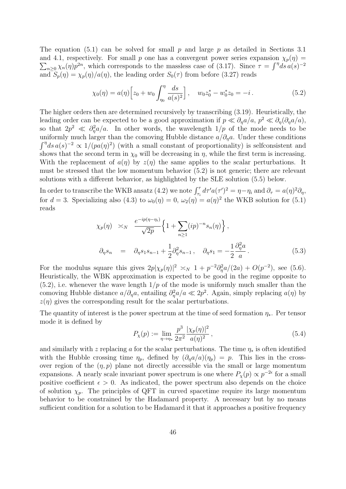The equation (5.1) can be solved for small p and large p as detailed in Sections 3.1 and 4.1, respectively. For small p one has a convergent power series expansion  $\chi_p(\eta)$  =  $\sum_{n\geq 0} \chi_n(\eta) p^{2n}$ , which corresponds to the massless case of (3.17). Since  $\tau = \int^{\eta} ds \, a(s)^{-2}$ and  $S_p(\eta) = \chi_p(\eta)/a(\eta)$ , the leading order  $S_0(\tau)$  from before (3.27) reads

$$
\chi_0(\eta) = a(\eta) \Big[ z_0 + w_0 \int_{\eta_0}^{\eta} \frac{ds}{a(s)^2} \Big], \quad w_0 z_0^* - w_0^* z_0 = -i. \tag{5.2}
$$

The higher orders then are determined recursively by transcribing (3.19). Heuristically, the leading order can be expected to be a good approximation if  $p \ll \partial_{\eta} a/a$ ,  $p^2 \ll \partial_{\eta} (\partial_{\eta} a/a)$ , so that  $2p^2 \ll \partial_{\eta}^2 a/a$ . In other words, the wavelength  $1/p$  of the mode needs to be uniformly much larger than the comoving Hubble distance  $a/\partial_n a$ . Under these conditions  $\int^{\eta} ds \, a(s)^{-2} \propto 1/(p a(\eta)^2)$  (with a small constant of proportionality) is selfconsistent and shows that the second term in  $\chi_0$  will be decreasing in  $\eta$ , while the first term is increasing. With the replacement of  $a(\eta)$  by  $z(\eta)$  the same applies to the scalar perturbations. It must be stressed that the low momentum behavior (5.2) is not generic; there are relevant solutions with a different behavior, as highlighted by the SLE solution (5.5) below.

In order to transcribe the WKB ansatz (4.2) we note  $\int_{\tau_i}^{\tau} d\tau' a(\tau')^2 = \eta - \eta_i$  and  $\partial_{\tau} = a(\eta)^2 \partial_{\eta}$ , for  $d = 3$ . Specializing also  $(4.3)$  to  $\omega_0(\eta) = 0$ ,  $\omega_2(\eta) = a(\eta)^2$  the WKB solution for  $(5.1)$ reads

$$
\chi_p(\eta) \approx_N \frac{e^{-ip(\eta - \eta_i)}}{\sqrt{2p}} \left\{ 1 + \sum_{n \ge 1} (ip)^{-n} s_n(\eta) \right\},
$$
  

$$
\partial_{\eta} s_n = \partial_{\eta} s_1 s_{n-1} + \frac{1}{2} \partial_{\eta}^2 s_{n-1}, \quad \partial_{\eta} s_1 = -\frac{1}{2} \frac{\partial_{\eta}^2 a}{a}.
$$
 (5.3)

For the modulus square this gives  $2p|\chi_p(\eta)|^2 \approx_N 1 + p^{-2}\partial_{\eta}^2 a/(2a) + O(p^{-2})$ , see (5.6). Heuristically, the WBK approximation is expected to be good in the regime opposite to  $(5.2)$ , i.e. whenever the wave length  $1/p$  of the mode is uniformly much smaller than the comoving Hubble distance  $a/\partial_{\eta}a$ , entailing  $\partial_{\eta}^2 a/a \ll 2p^2$ . Again, simply replacing  $a(\eta)$  by  $z(\eta)$  gives the corresponding result for the scalar perturbations.

The quantity of interest is the power spectrum at the time of seed formation  $\eta_*$ . Per tensor mode it is defined by

$$
P_{\chi}(p) := \lim_{\eta \to \eta_*} \frac{p^3}{2\pi^2} \frac{|\chi_p(\eta)|^2}{a(\eta)^2},\tag{5.4}
$$

and similarly with z replacing a for the scalar perturbations. The time  $\eta_*$  is often identified with the Hubble crossing time  $\eta_p$ , defined by  $(\partial_n a/a)(\eta_p) = p$ . This lies in the crossover region of the  $(\eta, p)$  plane not directly accessible via the small or large momentum expansions. A nearly scale invariant power spectrum is one where  $P_\chi(p) \propto p^{-2\epsilon}$  for a small positive coefficient  $\epsilon > 0$ . As indicated, the power spectrum also depends on the choice of solution  $\chi_p$ . The principles of QFT in curved spacetime require its large momentum behavior to be constrained by the Hadamard property. A necessary but by no means sufficient condition for a solution to be Hadamard it that it approaches a positive frequency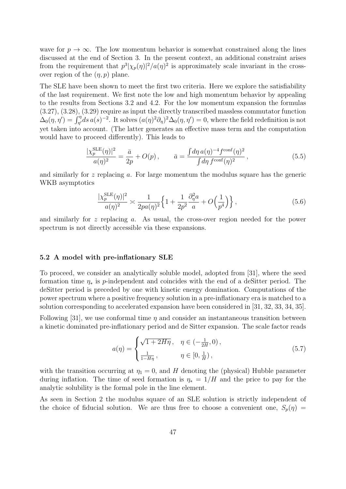wave for  $p \to \infty$ . The low momentum behavior is somewhat constrained along the lines discussed at the end of Section 3. In the present context, an additional constraint arises from the requirement that  $p^3|\chi_p(\eta)|^2/a(\eta)^2$  is approximately scale invariant in the crossover region of the  $(\eta, p)$  plane.

The SLE have been shown to meet the first two criteria. Here we explore the satisfiability of the last requirement. We first note the low and high momentum behavior by appealing to the results from Sections 3.2 and 4.2. For the low momentum expansion the formulas (3.27), (3.28), (3.29) require as input the directly transcribed massless commutator function  $\Delta_0(\eta, \eta') = \int_{\eta'}^{\eta} ds \, a(s)^{-2}$ . It solves  $(a(\eta)^2 \partial_{\eta})^2 \Delta_0(\eta, \eta') = 0$ , where the field redefinition is not yet taken into account. (The latter generates an effective mass term and the computation would have to proceed differently). This leads to

$$
\frac{|\chi_p^{\text{SLE}}(\eta)|^2}{a(\eta)^2} = \frac{\bar{a}}{2p} + O(p) \,, \qquad \bar{a} = \frac{\int d\eta \, a(\eta)^{-4} f^{\text{conf}}(\eta)^2}{\int d\eta \, f^{\text{conf}}(\eta)^2} \,, \tag{5.5}
$$

and similarly for  $z$  replacing  $a$ . For large momentum the modulus square has the generic WKB asymptotics

$$
\frac{|\chi_p^{\text{SLE}}(\eta)|^2}{a(\eta)^2} \approx \frac{1}{2pa(\eta)^2} \left\{ 1 + \frac{1}{2p^2} \frac{\partial_\eta^2 a}{a} + O\left(\frac{1}{p^4}\right) \right\},\tag{5.6}
$$

and similarly for z replacing a. As usual, the cross-over region needed for the power spectrum is not directly accessible via these expansions.

#### 5.2 A model with pre-inflationary SLE

To proceed, we consider an analytically soluble model, adopted from [31], where the seed formation time  $\eta_*$  is p-independent and coincides with the end of a deSitter period. The deSitter period is preceded by one with kinetic energy domination. Computations of the power spectrum where a positive frequency solution in a pre-inflationary era is matched to a solution corresponding to accelerated expansion have been considered in [31, 32, 33, 34, 35].

Following [31], we use conformal time  $\eta$  and consider an instantaneous transition between a kinetic dominated pre-inflationary period and de Sitter expansion. The scale factor reads

$$
a(\eta) = \begin{cases} \sqrt{1 + 2H\eta} \,, & \eta \in \left(-\frac{1}{2H}, 0\right), \\ \frac{1}{1 - H\eta} \,, & \eta \in \left[0, \frac{1}{H}\right), \end{cases} \tag{5.7}
$$

with the transition occurring at  $\eta_1 = 0$ , and H denoting the (physical) Hubble parameter during inflation. The time of seed formation is  $\eta_* = 1/H$  and the price to pay for the analytic solubility is the formal pole in the line element.

As seen in Section 2 the modulus square of an SLE solution is strictly independent of the choice of fiducial solution. We are thus free to choose a convenient one,  $S_p(\eta)$  =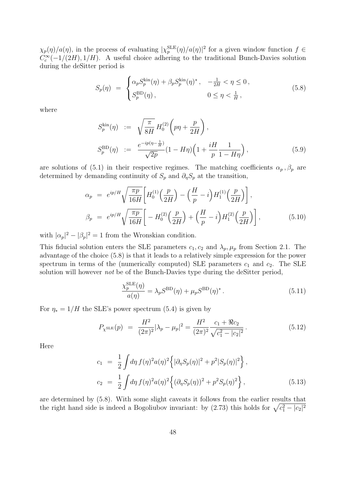$\chi_p(\eta)/a(\eta)$ , in the process of evaluating  $|\chi_p^{\rm SLE}(\eta)/a(\eta)|^2$  for a given window function  $f \in$  $C_c^{\infty}(-1/(2H), 1/H)$ . A useful choice adhering to the traditional Bunch-Davies solution during the deSitter period is

$$
S_p(\eta) = \begin{cases} \alpha_p S_p^{\text{kin}}(\eta) + \beta_p S_p^{\text{kin}}(\eta)^*, & -\frac{1}{2H} < \eta \le 0, \\ S_p^{\text{BD}}(\eta), & 0 \le \eta < \frac{1}{H}, \end{cases}
$$
(5.8)

where

$$
S_p^{\text{kin}}(\eta) := \sqrt{\frac{\pi}{8H}} H_0^{(2)} \left( p\eta + \frac{p}{2H} \right),
$$
  
\n
$$
S_p^{\text{BD}}(\eta) := \frac{e^{-ip(\eta - \frac{1}{H})}}{\sqrt{2p}} (1 - H\eta) \left( 1 + \frac{iH}{p} \frac{1}{1 - H\eta} \right),
$$
\n(5.9)

are solutions of (5.1) in their respective regimes. The matching coefficients  $\alpha_p$ ,  $\beta_p$  are determined by demanding continuity of  $S_p$  and  $\partial_{\eta}S_p$  at the transition,

$$
\alpha_p = e^{ip/H} \sqrt{\frac{\pi p}{16H}} \left[ H_0^{(1)} \left( \frac{p}{2H} \right) - \left( \frac{H}{p} - i \right) H_1^{(1)} \left( \frac{p}{2H} \right) \right],
$$
  
\n
$$
\beta_p = e^{ip/H} \sqrt{\frac{\pi p}{16H}} \left[ -H_0^{(2)} \left( \frac{p}{2H} \right) + \left( \frac{H}{p} - i \right) H_1^{(2)} \left( \frac{p}{2H} \right) \right],
$$
\n(5.10)

with  $|\alpha_p|^2 - |\beta_p|^2 = 1$  from the Wronskian condition.

This fiducial solution enters the SLE parameters  $c_1, c_2$  and  $\lambda_p, \mu_p$  from Section 2.1. The advantage of the choice (5.8) is that it leads to a relatively simple expression for the power spectrum in terms of the (numerically computed) SLE parameters  $c_1$  and  $c_2$ . The SLE solution will however *not* be of the Bunch-Davies type during the deSitter period,

$$
\frac{\chi_p^{\text{SLE}}(\eta)}{a(\eta)} = \lambda_p S^{\text{BD}}(\eta) + \mu_p S^{\text{BD}}(\eta)^*.
$$
\n(5.11)

For  $\eta_* = 1/H$  the SLE's power spectrum (5.4) is given by

$$
P_{\chi^{\text{SLE}}}(p) = \frac{H^2}{(2\pi)^2} |\lambda_p - \mu_p|^2 = \frac{H^2}{(2\pi)^2} \frac{c_1 + \Re c_2}{\sqrt{c_1^2 - |c_2|^2}}.
$$
 (5.12)

Here

$$
c_1 = \frac{1}{2} \int d\eta f(\eta)^2 a(\eta)^2 \left\{ |\partial_{\eta} S_p(\eta)|^2 + p^2 |S_p(\eta)|^2 \right\},
$$
  
\n
$$
c_2 = \frac{1}{2} \int d\eta f(\eta)^2 a(\eta)^2 \left\{ (\partial_{\eta} S_p(\eta))^2 + p^2 S_p(\eta)^2 \right\},
$$
\n(5.13)

are determined by (5.8). With some slight caveats it follows from the earlier results that the right hand side is indeed a Bogoliubov invariant: by  $(2.73)$  this holds for  $\sqrt{c_1^2 - |c_2|^2}$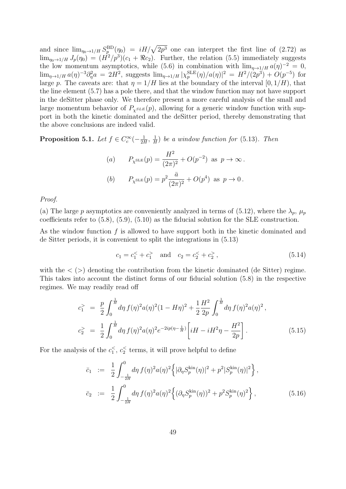and since  $\lim_{\eta_0 \to 1/H} S_p^{\text{BD}}(\eta_0) = iH/\sqrt{2p^3}$  one can interpret the first line of (2.72) as  $\lim_{\eta_0 \to 1/H} J_p(\eta_0) = (H^2/p^3)(c_1 + \Re c_2)$ . Further, the relation (5.5) immediately suggests the low momentum asymptotics, while (5.6) in combination with  $\lim_{\eta \to 1/H} a(\eta)^{-2} = 0$ ,  $\lim_{\eta \to 1/H} a(\eta)^{-3} \partial_{\eta}^{2} a = 2H^{2}$ , suggests  $\lim_{\eta \to 1/H} |\chi_{p}^{\text{SLE}}(\eta)/a(\eta)|^{2} = H^{2}/(2p^{3}) + O(p^{-5})$  for large p. The caveats are: that  $\eta = 1/H$  lies at the boundary of the interval [0, 1/H], that the line element (5.7) has a pole there, and that the window function may not have support in the deSitter phase only. We therefore present a more careful analysis of the small and large momentum behavior of  $P_{\chi^{SLE}}(p)$ , allowing for a generic window function with support in both the kinetic dominated and the deSitter period, thereby demonstrating that the above conclusions are indeed valid.

Proposition 5.1. Let  $f \in C_c^\infty(-\frac{1}{2I})$  $\frac{1}{2H}$ ,  $\frac{1}{H}$  $\frac{1}{H}$ ) be a window function for (5.13). Then

(a) 
$$
P_{\chi^{\text{SLE}}}(p) = \frac{H^2}{(2\pi)^2} + O(p^{-2})
$$
 as  $p \to \infty$ .  
\n(b)  $P_{\chi^{\text{SLE}}}(p) = p^2 \frac{\bar{a}}{(2\pi)^2} + O(p^4)$  as  $p \to 0$ .

Proof.

(a) The large p asymptotics are conveniently analyzed in terms of (5.12), where the  $\lambda_p$ ,  $\mu_p$ coefficients refer to (5.8), (5.9), (5.10) as the fiducial solution for the SLE construction.

As the window function f is allowed to have support both in the kinetic dominated and de Sitter periods, it is convenient to split the integrations in (5.13)

$$
c_1 = c_1^2 + c_1^2
$$
 and  $c_2 = c_2^2 + c_2^2$ , (5.14)

with the  $\langle \rangle$  denoting the contribution from the kinetic dominated (de Sitter) regime. This takes into account the distinct forms of our fiducial solution (5.8) in the respective regimes. We may readily read off

$$
c_1^{\geq} = \frac{p}{2} \int_0^{\frac{1}{H}} d\eta \, f(\eta)^2 a(\eta)^2 (1 - H\eta)^2 + \frac{1}{2} \frac{H^2}{2p} \int_0^{\frac{1}{H}} d\eta \, f(\eta)^2 a(\eta)^2,
$$
  

$$
c_2^{\geq} = \frac{1}{2} \int_0^{\frac{1}{H}} d\eta \, f(\eta)^2 a(\eta)^2 e^{-2ip(\eta - \frac{1}{H})} \left[ iH - iH^2 \eta - \frac{H^2}{2p} \right].
$$
 (5.15)

For the analysis of the  $c_1^{\lt}$ ,  $c_2^{\lt}$  terms, it will prove helpful to define

$$
\begin{array}{rcl}\n\bar{c}_1 & := & \frac{1}{2} \int_{-\frac{1}{2H}}^0 d\eta \, f(\eta)^2 a(\eta)^2 \left\{ |\partial_\eta S_p^{\text{kin}}(\eta)|^2 + p^2 |S_p^{\text{kin}}(\eta)|^2 \right\}, \\
\bar{c}_2 & := & \frac{1}{2} \int_{-\frac{1}{2H}}^0 d\eta \, f(\eta)^2 a(\eta)^2 \left\{ (\partial_\eta S_p^{\text{kin}}(\eta))^2 + p^2 S_p^{\text{kin}}(\eta)^2 \right\},\n\end{array} \tag{5.16}
$$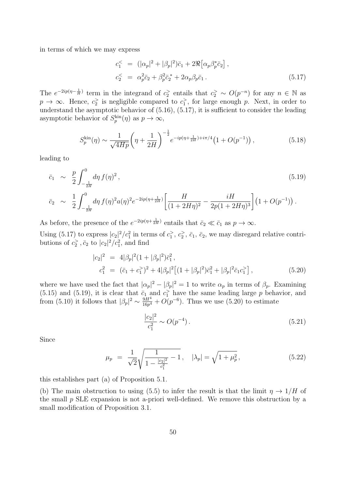in terms of which we may express

$$
c_1^{\leq} = (|\alpha_p|^2 + |\beta_p|^2)\bar{c}_1 + 2\Re[\alpha_p \beta_p^* \bar{c}_2],
$$
  
\n
$$
c_2^{\leq} = \alpha_p^2 \bar{c}_2 + \beta_p^2 \bar{c}_2^* + 2\alpha_p \beta_p \bar{c}_1.
$$
\n(5.17)

The  $e^{-2ip(\eta-\frac{1}{H})}$  term in the integrand of  $c_2$  entails that  $c_2 > O(p^{-n})$  for any  $n \in \mathbb{N}$  as  $p \to \infty$ . Hence,  $c_2^>$  is negligible compared to  $c_1^>$ , for large enough p. Next, in order to understand the asymptotic behavior of  $(5.16)$ ,  $(5.17)$ , it is sufficient to consider the leading asymptotic behavior of  $S_p^{\text{kin}}(\eta)$  as  $p \to \infty$ ,

$$
S_p^{\text{kin}}(\eta) \sim \frac{1}{\sqrt{4Hp}} \left(\eta + \frac{1}{2H}\right)^{-\frac{1}{2}} e^{-ip(\eta + \frac{1}{2H}) + i\pi/4} \left(1 + O(p^{-1})\right),\tag{5.18}
$$

leading to

$$
\bar{c}_1 \sim \frac{p}{2} \int_{-\frac{1}{2H}}^0 d\eta f(\eta)^2, \tag{5.19}
$$
\n
$$
\bar{c}_2 \sim \frac{1}{2} \int_{-\frac{1}{2H}}^0 d\eta f(\eta)^2 a(\eta)^2 e^{-2ip(\eta + \frac{1}{2H})} \left[ \frac{H}{(1 + 2H\eta)^2} - \frac{iH}{2p(1 + 2H\eta)^3} \right] (1 + O(p^{-1})).
$$

As before, the presence of the  $e^{-2ip(\eta + \frac{1}{2H})}$  entails that  $\bar{c}_2 \ll \bar{c}_1$  as  $p \to \infty$ .

Using (5.17) to express  $|c_2|^2/c_1^2$  in terms of  $c_1^2$ ,  $c_2^2$ ,  $\bar{c}_1$ ,  $\bar{c}_2$ , we may disregard relative contributions of  $c_2$ <sup>2</sup>,  $\bar{c}_2$  to  $|c_2|^2/c_1^2$ , and find

$$
|c_2|^2 = 4|\beta_p|^2 (1+|\beta_p|^2)\bar{c}_1^2,
$$
  
\n
$$
c_1^2 = (\bar{c}_1+c_1^2)^2 + 4|\beta_p|^2 [(1+|\beta_p|^2)\bar{c}_1^2+|\beta_p|^2\bar{c}_1c_1^2],
$$
\n(5.20)

where we have used the fact that  $|\alpha_p|^2 - |\beta_p|^2 = 1$  to write  $\alpha_p$  in terms of  $\beta_p$ . Examining (5.15) and (5.19), it is clear that  $\bar{c}_1$  and  $c_1$ <sup>></sup> have the same leading large p behavior, and from (5.10) it follows that  $|\beta_p|^2 \sim \frac{9H^4}{16p^4}$  $\frac{9H^4}{16p^4} + O(p^{-6})$ . Thus we use (5.20) to estimate

$$
\frac{|c_2|^2}{c_1^2} \sim O(p^{-4}).\tag{5.21}
$$

Since

$$
\mu_p = \frac{1}{\sqrt{2}} \sqrt{\frac{1}{1 - \frac{|c_2|^2}{c_1^2}} - 1}, \quad |\lambda_p| = \sqrt{1 + \mu_p^2}, \tag{5.22}
$$

this establishes part (a) of Proposition 5.1.

(b) The main obstruction to using (5.5) to infer the result is that the limit  $\eta \to 1/H$  of the small  $p$  SLE expansion is not a-priori well-defined. We remove this obstruction by a small modification of Proposition 3.1.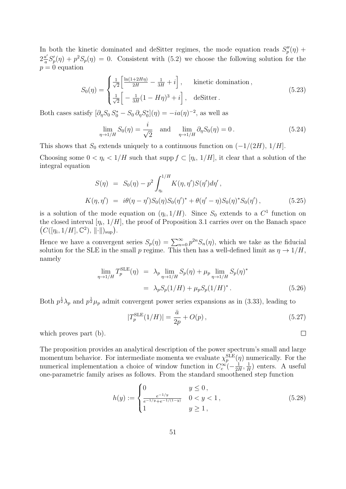In both the kinetic dominated and deSitter regimes, the mode equation reads  $S_p''(\eta)$  +  $2\frac{a'}{a}$  $\frac{a'}{a}S'_{p}(\eta) + p^2S_{p}(\eta) = 0$ . Consistent with (5.2) we choose the following solution for the  $p = 0$  equation

$$
S_0(\eta) = \begin{cases} \frac{1}{\sqrt{2}} \left[ \frac{\ln(1+2H\eta)}{2H} - \frac{1}{3H} + i \right], & \text{kinetic domination,} \\ \frac{1}{\sqrt{2}} \left[ -\frac{1}{3H}(1-H\eta)^3 + i \right], & \text{defitter.} \end{cases}
$$
(5.23)

Both cases satisfy  $\left[\partial_{\eta}S_0 S_0^* - S_0 \partial_{\eta}S_0^*\right](\eta) = -ia(\eta)^{-2}$ , as well as

$$
\lim_{\eta \to 1/H} S_0(\eta) = \frac{i}{\sqrt{2}} \quad \text{and} \quad \lim_{\eta \to 1/H} \partial_{\eta} S_0(\eta) = 0. \tag{5.24}
$$

This shows that  $S_0$  extends uniquely to a continuous function on  $(-1/(2H), 1/H]$ .

Choosing some  $0 < \eta_i < 1/H$  such that supp  $f \subset [\eta_i, 1/H]$ , it clear that a solution of the integral equation

$$
S(\eta) = S_0(\eta) - p^2 \int_{\eta_i}^{1/H} K(\eta, \eta') S(\eta') d\eta',
$$
  
\n
$$
K(\eta, \eta') = i\theta(\eta - \eta') S_0(\eta) S_0(\eta')^* + \theta(\eta' - \eta) S_0(\eta)^* S_0(\eta'),
$$
\n(5.25)

is a solution of the mode equation on  $(\eta_i, 1/H)$ . Since  $S_0$  extends to a  $C^1$  function on the closed interval  $[\eta_i, 1/H]$ , the proof of Proposition 3.1 carries over on the Banach space  $(C([n_i, 1/H], \mathbb{C}^2), ||\cdot||)_{\rm sup}).$ 

Hence we have a convergent series  $S_p(\eta) = \sum_{n=0}^{\infty} p^{2n} S_n(\eta)$ , which we take as the fiducial solution for the SLE in the small p regime. This then has a well-defined limit as  $\eta \to 1/H$ , namely

$$
\lim_{\eta \to 1/H} T_p^{\text{SLE}}(\eta) = \lambda_p \lim_{\eta \to 1/H} S_p(\eta) + \mu_p \lim_{\eta \to 1/H} S_p(\eta)^*
$$
  
=  $\lambda_p S_p(1/H) + \mu_p S_p(1/H)^*.$  (5.26)

Both  $p^{\frac{1}{2}}\lambda_p$  and  $p^{\frac{1}{2}}\mu_p$  admit convergent power series expansions as in (3.33), leading to

$$
|T_p^{\text{SLE}}(1/H)| = \frac{\bar{a}}{2p} + O(p) ,\qquad (5.27)
$$

 $\Box$ 

which proves part (b).

The proposition provides an analytical description of the power spectrum's small and large momentum behavior. For intermediate momenta we evaluate  $\chi_p^{\rm SLE}(\eta)$  numerically. For the numerical implementation a choice of window function in  $C_c^{\infty}(-\frac{1}{2l})$  $\frac{1}{2H}, \frac{1}{H}$  $\frac{1}{H}$ ) enters. A useful one-parametric family arises as follows. From the standard smoothened step function

$$
h(y) := \begin{cases} 0 & y \le 0, \\ \frac{e^{-1/y}}{e^{-1/y} + e^{-1/(1-y)}} & 0 < y < 1, \\ 1 & y \ge 1, \end{cases}
$$
 (5.28)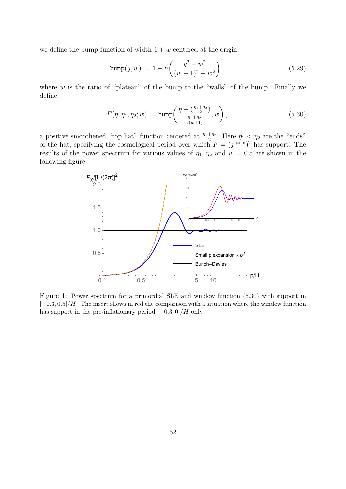we define the bump function of width  $1 + w$  centered at the origin,

$$
bump(y, w) := 1 - h\left(\frac{y^2 - w^2}{(w+1)^2 - w^2}\right),
$$
\n(5.29)

where  $w$  is the ratio of "plateau" of the bump to the "walls" of the bump. Finally we define

$$
F(\eta, \eta_1, \eta_2; w) := \text{bump}\left(\frac{\eta - \left(\frac{\eta_1 + \eta_2}{2}\right)}{\frac{\eta_1 + \eta_2}{2(w+1)}}, w\right),\tag{5.30}
$$

a positive smoothened "top hat" function centered at  $\frac{\eta_1 + \eta_2}{2}$ . Here  $\eta_1 \le \eta_2$  are the "ends" of the hat, specifying the cosmological period over which  $F = (f^{\text{cosm}})^2$  has support. The results of the power spectrum for various values of  $\eta_1$ ,  $\eta_2$  and  $w = 0.5$  are shown in the following figure



Figure 1: Power spectrum for a primordial SLE and window function (5.30) with support in  $[-0.3, 0.5]/H$ . The insert shows in red the comparison with a situation where the window function has support in the pre-inflationary period  $[-0.3, 0]/H$  only.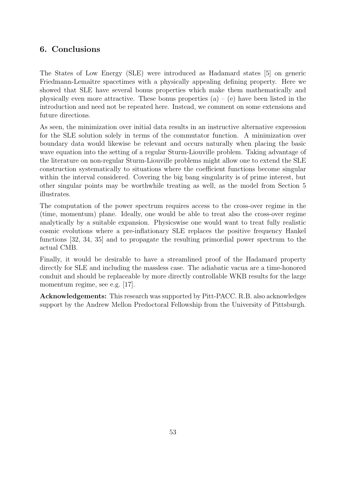## 6. Conclusions

The States of Low Energy (SLE) were introduced as Hadamard states [5] on generic Friedmann-Lemaître spacetimes with a physically appealing defining property. Here we showed that SLE have several bonus properties which make them mathematically and physically even more attractive. These bonus properties  $(a) - (e)$  have been listed in the introduction and need not be repeated here. Instead, we comment on some extensions and future directions.

As seen, the minimization over initial data results in an instructive alternative expression for the SLE solution solely in terms of the commutator function. A minimization over boundary data would likewise be relevant and occurs naturally when placing the basic wave equation into the setting of a regular Sturm-Liouville problem. Taking advantage of the literature on non-regular Sturm-Liouville problems might allow one to extend the SLE construction systematically to situations where the coefficient functions become singular within the interval considered. Covering the big bang singularity is of prime interest, but other singular points may be worthwhile treating as well, as the model from Section 5 illustrates.

The computation of the power spectrum requires access to the cross-over regime in the (time, momentum) plane. Ideally, one would be able to treat also the cross-over regime analytically by a suitable expansion. Physicswise one would want to treat fully realistic cosmic evolutions where a pre-inflationary SLE replaces the positive frequency Hankel functions [32, 34, 35] and to propagate the resulting primordial power spectrum to the actual CMB.

Finally, it would be desirable to have a streamlined proof of the Hadamard property directly for SLE and including the massless case. The adiabatic vacua are a time-honored conduit and should be replaceable by more directly controllable WKB results for the large momentum regime, see e.g. [17].

Acknowledgements: This research was supported by Pitt-PACC. R.B. also acknowledges support by the Andrew Mellon Predoctoral Fellowship from the University of Pittsburgh.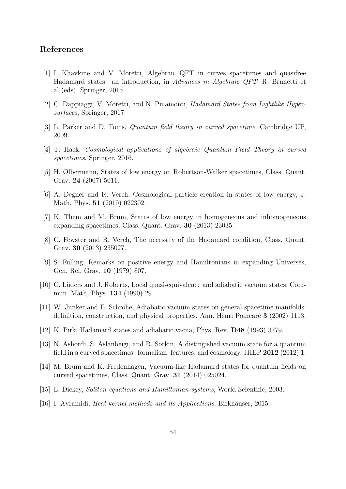## References

- [1] I. Khavkine and V. Moretti, Algebraic QFT in curves spacetimes and quasifree Hadamard states: an introduction, in Advances in Algebraic QFT, R. Brunetti et al (eds), Springer, 2015.
- [2] C. Dappiaggi, V. Moretti, and N. Pinamonti, Hadamard States from Lightlike Hypersurfaces, Springer, 2017.
- [3] L. Parker and D. Toms, Quantum field theory in curved spacetime, Cambridge UP, 2009.
- [4] T. Hack, Cosmological applications of algebraic Quantum Field Theory in curved spacetimes, Springer, 2016.
- [5] H. Olbermann, States of low energy on Robertson-Walker spacetimes, Class. Quant. Grav. 24 (2007) 5011.
- [6] A. Degner and R. Verch, Cosmological particle creation in states of low energy, J. Math. Phys. 51 (2010) 022302.
- [7] K. Them and M. Brum, States of low energy in homogeneous and inhomogeneous expanding spacetimes, Class. Quant. Grav. 30 (2013) 23035.
- [8] C. Fewster and R. Verch, The necessity of the Hadamard condition, Class. Quant. Grav. 30 (2013) 235027.
- [9] S. Fulling, Remarks on positive energy and Hamiltonians in expanding Universes, Gen. Rel. Grav. 10 (1979) 807.
- [10] C. L¨uders and J. Roberts, Local quasi-equivalence and adiabatic vacuum states, Commun. Math, Phys. 134 (1990) 29.
- [11] W. Junker and E. Schrohe, Adiabatic vacuum states on general spacetime manifolds: definition, construction, and physical properties, Ann. Henri Poincaré 3 (2002) 1113.
- [12] K. Pirk, Hadamard states and adiabatic vacua, Phys. Rev. D48 (1993) 3779.
- [13] N. Ashordi, S. Aslanbeigi, and R. Sorkin, A distingished vacuum state for a quantum field in a curved spacetimes: formalism, features, and cosmology, JHEP 2012 (2012) 1.
- [14] M. Brum and K. Fredenhagen, Vacuum-like Hadamard states for quantum fields on curved spacetimes, Class. Quant. Grav. 31 (2014) 025024.
- [15] L. Dickey, Soliton equations and Hamiltonian systems, World Scientific, 2003.
- [16] I. Avramidi, *Heat kernel methods and its Applications*, Birkhäuser, 2015.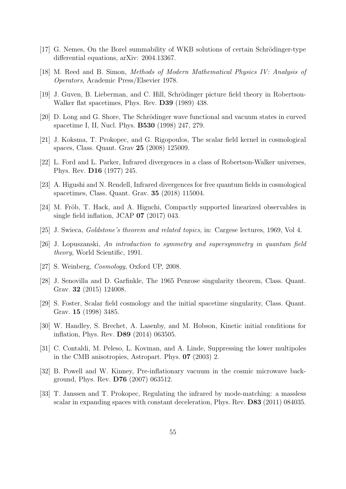- [17] G. Nemes, On the Borel summability of WKB solutions of certain Schrödinger-type differential equations, arXiv: 2004.13367.
- [18] M. Reed and B. Simon, Methods of Modern Mathematical Physics IV: Analysis of Operators, Academic Press/Elsevier 1978.
- [19] J. Guven, B. Lieberman, and C. Hill, Schrödinger picture field theory in Robertson-Walker flat spacetimes, Phys. Rev. D39 (1989) 438.
- [20] D. Long and G. Shore, The Schrödinger wave functional and vacuum states in curved spacetime I, II, Nucl. Phys. B530 (1998) 247, 279.
- [21] J. Koksma, T. Prokopec, and G. Rigopoulos, The scalar field kernel in cosmological spaces, Class. Quant. Grav 25 (2008) 125009.
- [22] L. Ford and L. Parker, Infrared divergences in a class of Robertson-Walker universes, Phys. Rev. D16 (1977) 245.
- [23] A. Higushi and N. Rendell, Infrared divergences for free quantum fields in cosmological spacetimes, Class. Quant. Grav. 35 (2018) 115004.
- [24] M. Fröb, T. Hack, and A. Higuchi, Compactly supported linearized observables in single field inflation, JCAP 07 (2017) 043.
- [25] J. Swieca, Goldstone's theorem and related topics, in: Cargese lectures, 1969, Vol 4.
- [26] J. Lopuszanski, An introduction to symmetry and supersymmetry in quantum field theory, World Scientific, 1991.
- [27] S. Weinberg, *Cosmology*, Oxford UP, 2008.
- [28] J. Senovilla and D. Garfinkle, The 1965 Penrose singularity theorem, Class. Quant. Grav. 32 (2015) 124008.
- [29] S. Foster, Scalar field cosmology and the initial spacetime singularity, Class. Quant. Grav. 15 (1998) 3485.
- [30] W. Handley, S. Brechet, A. Lasenby, and M. Hobson, Kinetic initial conditions for inflation, Phys. Rev. D89 (2014) 063505.
- [31] C. Contaldi, M. Peleso, L. Kovman, and A. Linde, Suppressing the lower multipoles in the CMB anisotropies, Astropart. Phys. 07 (2003) 2.
- [32] B. Powell and W. Kinney, Pre-inflationary vacuum in the cosmic microwave background, Phys. Rev. D76 (2007) 063512.
- [33] T. Janssen and T. Prokopec, Regulating the infrared by mode-matching: a massless scalar in expanding spaces with constant deceleration, Phys. Rev. D83 (2011) 084035.